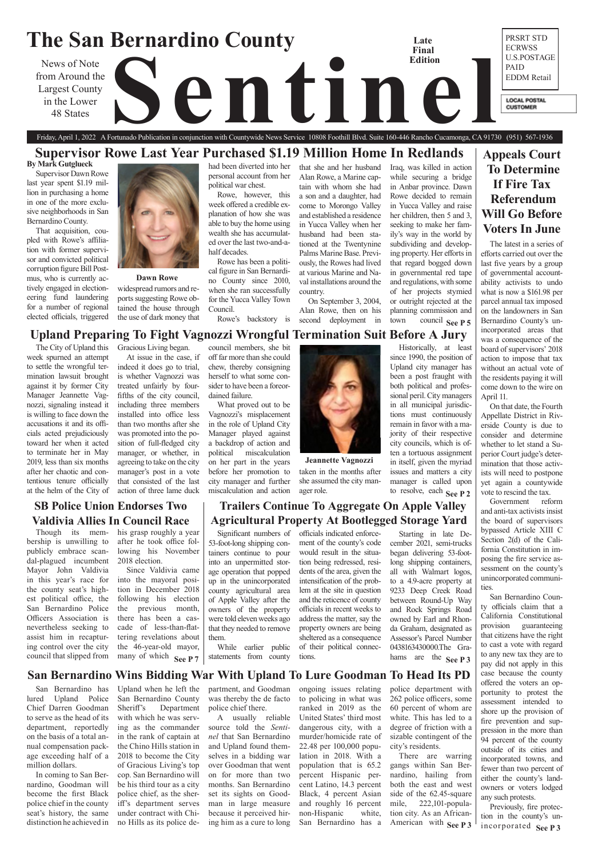### **The San Bernardino County** PRSRT STD **Late**  ECRWSS **Final**  News of Note<br>
com Around the<br>
Largest County<br>
48 States<br>
Tiday, April 1, 2022 A Fortunado Publication in conjunction with Countywide News Service 10808 Foothill Blvd. Suite 160-446 Rancho Cucamonga, CA 9173 U.S.POSTAGE **Edition** PAID from Around the EDDM Retail Largest County in the Lower **LOCAL POSTAL CUSTOMER** 48 States

# **Appeals Court To Determine If Fire Tax Referendum Will Go Before Voters In June**

# Friday, April 1, 2022 A Fortunado Publication in conjunction with Countywide News Service 10808 Foothill Blvd. Suite 160-446 Rancho Cucamonga, CA 91730 (951) 567-1936 **Supervisor Rowe Last Year Purchased \$1.19 Million Home In Redlands**

## **San Bernardino Wins Bidding War With Upland To Lure Goodman To Head Its PD**

### **Dawn Rowe**

The City of Upland this week spurned an attempt to settle the wrongful termination lawsuit brought against it by former City Manager Jeannette Vagnozzi, signaling instead it is willing to face down the accusations it and its officials acted prejudiciously toward her when it acted to terminate her in May 2019, less than six months after her chaotic and contentious tenure officially at the helm of the City of Gracious Living began.

At issue in the case, if indeed it does go to trial, is whether Vagnozzi was treated unfairly by fourfifths of the city council, including three members installed into office less than two months after she was promoted into the position of full-fledged city manager, or whether, in agreeing to take on the city manager's post in a vote that consisted of the last action of three lame duck

council members, she bit

off far more than she could chew, thereby consigning herself to what some consider to have been a foreordained failure.

What proved out to be Vagnozzi's misplacement in the role of Upland City Manager played against a backdrop of action and political miscalculation on her part in the years before her promotion to city manager and further miscalculation and action

Historically, at least since 1990, the position of Upland city manager has been a post fraught with both political and professional peril. City managers in all municipal jurisdictions must continuously remain in favor with a majority of their respective city councils, which is often a tortuous assignment in itself, given the myriad issues and matters a city manager is called upon

American with See P 3 police department with 262 police officers, some 60 percent of whom are white. This has led to a degree of friction with a sizable contingent of the city's residents. There are warring gangs within San Bernardino, hailing from both the east and west side of the 62.45-square mile, 222,101-population city. As an African-

Significant numbers of 53-foot-long shipping containers continue to pour into an unpermitted storage operation that popped up in the unincorporated county agricultural area of Apple Valley after the owners of the property were told eleven weeks ago that they needed to remove them.

Since Valdivia came into the mayoral position in December 2018 following his election the previous month, there has been a cascade of less-than-flattering revelations about the 46-year-old mayor, many of which See P  $7$ 

While earlier public statements from county

# **SB Police Union Endorses Two Valdivia Allies In Council Race** his grasp roughly a year

officials indicated enforcement of the county's code would result in the situation being redressed, residents of the area, given the intensification of the problem at the site in question and the reticence of county officials in recent weeks to address the matter, say the property owners are being sheltered as a consequence of their political connections.

San Bernardino has lured Upland Police Chief Darren Goodman to serve as the head of its department, reportedly on the basis of a total annual compensation package exceeding half of a million dollars.

In coming to San Bernardino, Goodman will become the first Black police chief in the county seat's history, the same distinction he achieved in

incorporated **See P3** Previously, fire protection in the county's un-

**See P 7** statements from county tions. hams are the **See P 3** Starting in late December 2021, semi-trucks began delivering 53-footlong shipping containers, all with Walmart logos, to a 4.9-acre property at 9233 Deep Creek Road between Round-Up Way and Rock Springs Road owned by Earl and Rhonda Graham, designated as Assessor's Parcel Number 0438163430000.The Gra-

Upland when he left the San Bernardino County Sheriff's Department with which he was serving as the commander in the rank of captain at the Chino Hills station in 2018 to become the City of Gracious Living's top cop. San Bernardino will be his third tour as a city police chief, as the sheriff's department serves under contract with Chino Hills as its police de-

# to resolve, each **See P 2 Trailers Continue To Aggregate On Apple Valley Agricultural Property At Bootlegged Storage Yard**

partment, and Goodman was thereby the de facto police chief there.

A usually reliable source told the *Sentinel* that San Bernardino and Upland found themselves in a bidding war over Goodman that went on for more than two months. San Bernardino set its sights on Goodman in large measure because it perceived hiring him as a cure to long

### town council **See P 5 Upland Preparing To Fight Vagnozzi Wrongful Termination Suit Before A Jury**  the use of dark money that Rowe's backstory is second deployment in

ongoing issues relating to policing in what was ranked in 2019 as the United States' third most dangerous city, with a murder/homicide rate of 22.48 per 100,000 population in 2018. With a population that is 65.2 percent Hispanic percent Latino, 14.3 percent Black, 4 percent Asian and roughly 16 percent non-Hispanic white, San Bernardino has a

Though its membership is unwilling to publicly embrace scandal-plagued incumbent Mayor John Valdivia in this year's race for the county seat's highest political office, the San Bernardino Police Officers Association is nevertheless seeking to assist him in recapturing control over the city council that slipped from

after he took office following his November

2018 election.



taken in the months after she assumed the city manager role. **Jeannette Vagnozzi**

The latest in a series of efforts carried out over the last five years by a group of governmental accountability activists to undo what is now a \$161.98 per parcel annual tax imposed on the landowners in San Bernardino County's unincorporated areas that was a consequence of the board of supervisors' 2018 action to impose that tax without an actual vote of the residents paying it will come down to the wire on April 11.

On that date, the Fourth Appellate District in Riverside County is due to consider and determine whether to let stand a Superior Court judge's determination that those activists will need to postpone yet again a countywide vote to rescind the tax.

Government reform and anti-tax activists insist the board of supervisors bypassed Article XIII C Section 2(d) of the California Constitution in imposing the fire service assessment on the county's unincorporated communities.

San Bernardino County officials claim that a California Constitutional provision guaranteeing that citizens have the right to cast a vote with regard to any new tax they are to pay did not apply in this

case because the county offered the voters an opportunity to protest the assessment intended to shore up the provision of fire prevention and suppression in the more than 94 percent of the county outside of its cities and incorporated towns, and fewer than two percent of either the county's landowners or voters lodged any such protests.

**By Mark Gutglueck**

Supervisor Dawn Rowe last year spent \$1.19 million in purchasing a home in one of the more exclusive neighborhoods in San Bernardino County.

That acquisition, coupled with Rowe's affiliation with former supervisor and convicted political corruption figure Bill Postmus, who is currently actively engaged in electioneering fund laundering for a number of regional elected officials, triggered



widespread rumors and reports suggesting Rowe obtained the house through had been diverted into her personal account from her political war chest.

Rowe, however, this week offered a credible explanation of how she was able to buy the home using wealth she has accumulated over the last two-and-ahalf decades.

Rowe has been a political figure in San Bernardino County since 2010, when she ran successfully for the Yucca Valley Town Council.

that she and her husband Alan Rowe, a Marine captain with whom she had a son and a daughter, had come to Morongo Valley and established a residence in Yucca Valley when her husband had been stationed at the Twentynine Palms Marine Base. Previously, the Rowes had lived at various Marine and Naval installations around the country.

On September 3, 2004, Alan Rowe, then on his Iraq, was killed in action while securing a bridge in Anbar province. Dawn Rowe decided to remain in Yucca Valley and raise her children, then 5 and 3, seeking to make her family's way in the world by subdividing and developing property. Her efforts in that regard bogged down in governmental red tape and regulations, with some of her projects stymied or outright rejected at the planning commission and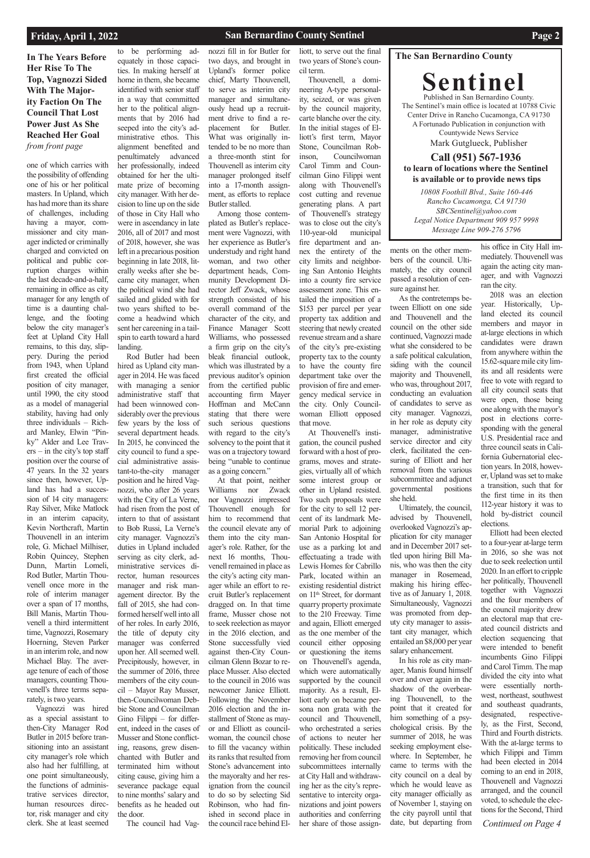### **San Bernardino County Sentinel Page 2**

### **The San Bernardino County**

**Sentinel** Published in San Bernardino County. The Sentinel's main office is located at 10788 Civic Center Drive in Rancho Cucamonga, CA 91730 A Fortunado Publication in conjunction with Countywide News Service Mark Gutglueck, Publisher **Call (951) 567-1936**

**to learn of locations where the Sentinel is available or to provide news tips** 

**In The Years Before Her Rise To The Top, Vagnozzi Sided With The Majority Faction On The Council That Lost Power Just As She Reached Her Goal**  *from front page*

> *10808 Foothill Blvd., Suite 160-446 Rancho Cucamonga, CA 91730 SBCSentinel@yahoo.com Legal Notice Department 909 957 9998 Message Line 909-276 5796*

### **Friday, April 1, 2022**

one of which carries with the possibility of offending one of his or her political masters. In Upland, which has had more than its share of challenges, including having a mayor, commissioner and city manager indicted or criminally charged and convicted on political and public corruption charges within the last decade-and-a-half, remaining in office as city manager for any length of time is a daunting challenge, and the footing below the city manager's feet at Upland City Hall remains, to this day, slippery. During the period from 1943, when Upland first created the official position of city manager, until 1990, the city stood as a model of managerial stability, having had only three individuals – Richard Manley, Elwin "Pinky" Alder and Lee Trav $ers - in$  the city's top staff position over the course of 47 years. In the 32 years since then, however, Upland has had a succession of 14 city managers: Ray Silver, Mike Matlock in an interim capacity, Kevin Northcraft, Martin Thouvenell in an interim role, G. Michael Milhiser, Robin Quincey, Stephen Dunn, Martin Lomeli, Rod Butler, Martin Thouvenell once more in the role of interim manager over a span of 17 months, Bill Manis, Martin Thouvenell a third intermittent time, Vagnozzi, Rosemary Hoerning, Steven Parker in an interim role, and now Michael Blay. The average tenure of each of those managers, counting Thouvenell's three terms separately, is two years. Vagnozzi was hired as a special assistant to then-City Manager Rod Butler in 2015 before transitioning into an assistant city manager's role which also had her fulfilling, at one point simultaneously, the functions of administrative services director, human resources director, risk manager and city clerk. She at least seemed

to be performing adequately in those capacities. In making herself at home in them, she became identified with senior staff in a way that committed her to the political alignments that by 2016 had seeped into the city's administrative ethos. This alignment benefited and penultimately advanced her professionally, indeed obtained for her the ultimate prize of becoming city manager. With her decision to line up on the side of those in City Hall who were in ascendancy in late 2016, all of 2017 and most of 2018, however, she was left in a precarious position beginning in late 2018, literally weeks after she became city manager, when the political wind she had sailed and glided with for two years shifted to become a headwind which sent her careening in a tailspin to earth toward a hard landing.

Rod Butler had been hired as Upland city manager in 2014. He was faced with managing a senior administrative staff that had been winnowed considerably over the previous few years by the loss of several department heads. In 2015, he convinced the city council to fund a special administrative assistant-to-the-city manager position and he hired Vagnozzi, who after 26 years with the City of La Verne, had risen from the post of intern to that of assistant to Bob Russi, La Verne's city manager. Vagnozzi's duties in Upland included serving as city clerk, administrative services director, human resources manager and risk management director. By the fall of 2015, she had conformed herself well into all of her roles. In early 2016, the title of deputy city manager was conferred upon her. All seemed well. Precipitously, however, in the summer of 2016, three members of the city council – Mayor Ray Musser, then-Councilwoman Debbie Stone and Councilman Gino Filippi – for different, indeed in the cases of Musser and Stone conflicting, reasons, grew disenchanted with Butler and terminated him without citing cause, giving him a severance package equal to nine months' salary and benefits as he headed out the door. The council had Vagnozzi fill in for Butler for two days, and brought in Upland's former police chief, Marty Thouvenell, to serve as interim city manager and simultaneously head up a recruitment drive to find a replacement for Butler. What was originally intended to be no more than a three-month stint for Thouvenell as interim city manager prolonged itself into a 17-month assignment, as efforts to replace Butler stalled.

Among those contemplated as Butler's replacement were Vagnozzi, with her experience as Butler's understudy and right hand woman, and two other department heads, Community Development Director Jeff Zwack, whose strength consisted of his overall command of the character of the city, and Finance Manager Scott Williams, who possessed a firm grip on the city's bleak financial outlook, which was illustrated by a previous auditor's opinion from the certified public accounting firm Mayer Hoffman and McCann stating that there were such serious questions with regard to the city's solvency to the point that it was on a trajectory toward being "unable to continue as a going concern."

> *Continued on Page 4* Elliott had been elected to a four-year at-large term in 2016, so she was not due to seek reelection until 2020. In an effort to cripple her politically, Thouvenell together with Vagnozzi and the four members of the council majority drew an electoral map that created council districts and election sequencing that were intended to benefit incumbents Gino Filippi and Carol Timm. The map divided the city into what were essentially northwest, northeast, southwest and southeast quadrants, designated, respectively, as the First, Second, Third and Fourth districts. With the at-large terms to which Filippi and Timm had been elected in 2014 coming to an end in 2018, Thouvenell and Vagnozzi arranged, and the council voted, to schedule the elections for the Second, Third

At that point, neither Williams nor Zwack nor Vagnozzi impressed Thouvenell enough for him to recommend that the council elevate any of them into the city manager's role. Rather, for the next 16 months, Thouvenell remained in place as the city's acting city manager while an effort to recruit Butler's replacement dragged on. In that time frame, Musser chose not to seek reelection as mayor in the 2016 election, and Stone successfully vied against then-City Councilman Glenn Bozar to replace Musser. Also elected to the council in 2016 was newcomer Janice Elliott. Following the November 2016 election and the installment of Stone as mayor and Elliott as councilwoman, the council chose to fill the vacancy within its ranks that resulted from Stone's advancement into the mayoralty and her resignation from the council to do so by selecting Sid Robinson, who had finished in second place in the council race behind El-

liott, to serve out the final two years of Stone's council term.

Thouvenell, a domineering A-type personality, seized, or was given by the council majority, carte blanche over the city. In the initial stages of Elliott's first term, Mayor Stone, Councilman Robinson, Councilwoman Carol Timm and Councilman Gino Filippi went along with Thouvenell's cost cutting and revenue generating plans. A part of Thouvenell's strategy was to close out the city's 110-year-old municipal fire department and annex the entirety of the city limits and neighboring San Antonio Heights into a county fire service assessment zone. This entailed the imposition of a \$153 per parcel per year property tax addition and steering that newly created revenue stream and a share of the city's pre-existing property tax to the county to have the county fire department take over the provision of fire and emergency medical service in the city. Only Councilwoman Elliott opposed that move.

At Thouvenell's instigation, the council pushed forward with a host of programs, moves and strategies, virtually all of which some interest group or other in Upland resisted. Two such proposals were for the city to sell 12 percent of its landmark Memorial Park to adjoining San Antonio Hospital for use as a parking lot and effectuating a trade with Lewis Homes for Cabrillo Park, located within an existing residential district on 11th Street, for dormant quarry property proximate to the 210 Freeway. Time and again, Elliott emerged as the one member of the council either opposing or questioning the items on Thouvenell's agenda, which were automatically supported by the council majority. As a result, Elliott early on became persona non grata with the council and Thouvenell, who orchestrated a series of actions to neuter her politically. These included removing her from council subcommittees internally at City Hall and withdrawing her as the city's representative to intercity organizations and joint powers authorities and conferring her share of those assign-

ments on the other members of the council. Ultimately, the city council passed a resolution of censure against her.

As the contretemps between Elliott on one side and Thouvenell and the council on the other side continued, Vagnozzi made what she considered to be a safe political calculation, siding with the council majority and Thouvenell, who was, throughout 2017, conducting an evaluation of candidates to serve as city manager. Vagnozzi, in her role as deputy city manager, administrative service director and city clerk, facilitated the censuring of Elliott and her removal from the various subcommittee and adjunct governmental positions she held.

Ultimately, the council, advised by Thouvenell, overlooked Vagnozzi's application for city manager and in December 2017 settled upon hiring Bill Manis, who was then the city manager in Rosemead, making his hiring effective as of January 1, 2018. Simultaneously, Vagnozzi was promoted from deputy city manager to assistant city manager, which entailed an \$8,000 per year salary enhancement.

In his role as city manager, Manis found himself over and over again in the shadow of the overbearing Thouvenell, to the point that it created for him something of a psychological crisis. By the summer of 2018, he was seeking employment elsewhere. In September, he came to terms with the city council on a deal by which he would leave as city manager officially as of November 1, staying on the city payroll until that date, but departing from

his office in City Hall immediately. Thouvenell was again the acting city manager, and with Vagnozzi ran the city.

2018 was an election year. Historically, Upland elected its council members and mayor in at-large elections in which candidates were drawn from anywhere within the 15.62-square mile city limits and all residents were free to vote with regard to all city council seats that were open, those being one along with the mayor's post in elections corresponding with the general U.S. Presidential race and three council seats in California Gubernatorial election years. In 2018, however, Upland was set to make a transition, such that for the first time in its then 112-year history it was to hold by-district council elections.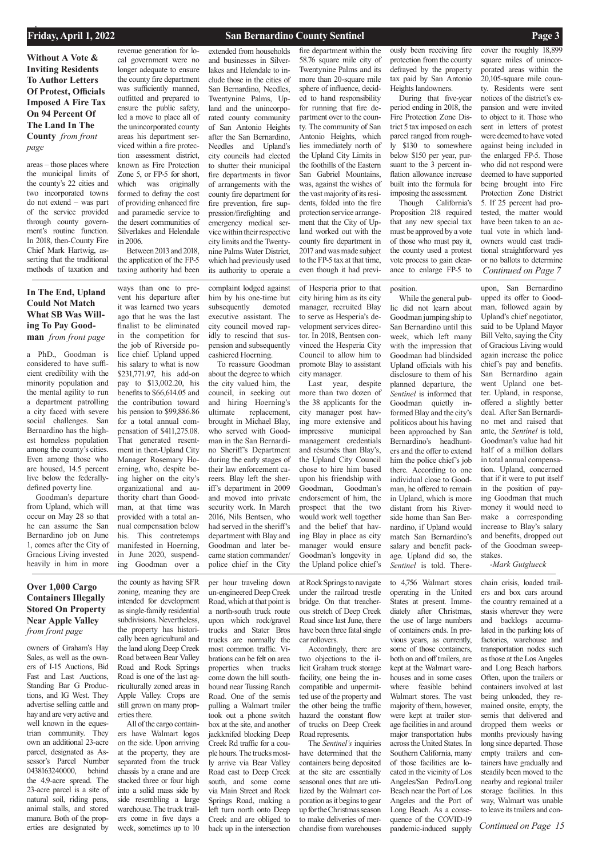*Continued on Page 15*

## **Without A Vote & Inviting Residents To Author Letters Of Protest, Officials Imposed A Fire Tax On 94 Percent Of The Land In The County** *from front page*

owners of Graham's Hay Sales, as well as the owners of I-15 Auctions, Bid

Fast and Last Auctions, Standing Bar G Productions, and IG West. They advertise selling cattle and hay and are very active and well known in the equestrian community. They own an additional 23-acre parcel, designated as Assessor's Parcel Number 0438163240000, behind the 4.9-acre spread. The 23-acre parcel is a site of natural soil, riding pens, animal stalls, and stored manure. Both of the properties are designated by

the county as having SFR zoning, meaning they are intended for development as single-family residential subdivisions. Nevertheless, the property has historically been agricultural and the land along Deep Creek Road between Bear Valley Road and Rock Springs Road is one of the last agriculturally zoned areas in Apple Valley. Crops are still grown on many properties there. All of the cargo containers have Walmart logos on the side. Upon arriving at the property, they are separated from the truck chassis by a crane and are stacked three or four high into a solid mass side by side resembling a large warehouse. The truck trailers come in five days a week, sometimes up to 10

per hour traveling down un-engineered Deep Creek Road, which at that point is a north-south truck route upon which rock/gravel trucks and Stater Bros trucks are normally the most common traffic. Vibrations can be felt on area properties when trucks come down the hill southbound near Tussing Ranch Road. One of the semis pulling a Walmart trailer took out a phone switch box at the site, and another jackknifed blocking Deep Creek Rd traffic for a couple hours. The trucks mostly arrive via Bear Valley Road east to Deep Creek south, and some come via Main Street and Rock Springs Road, making a left turn north onto Deep Creek and are obliged to back up in the intersection lized by the Walmart corporation as it begins to gear up for the Christmas season to make deliveries of merchandise from warehouses

at Rock Springs to navigate under the railroad trestle bridge. On that treacherous stretch of Deep Creek Road since last June, there have been three fatal single car rollovers.

Accordingly, there are two objections to the illicit Graham truck storage facility, one being the incompatible and unpermitted use of the property and the other being the traffic hazard the constant flow of trucks on Deep Creek Road represents. The *Sentinel's* inquiries have determined that the containers being deposited at the site are essentially seasonal ones that are uti-

to 4,756 Walmart stores operating in the United States at present. Immediately after Christmas, the use of large numbers of containers ends. In previous years, as currently, some of those containers, both on and off trailers, are kept at the Walmart ware-

houses and in some cases where feasible behind Walmart stores. The vast majority of them, however, were kept at trailer storage facilities in and around major transportation hubs across the United States. In Southern California, many of those facilities are located in the vicinity of Los Angeles/San Pedro/Long Beach near the Port of Los Angeles and the Port of Long Beach. As a consequence of the COVID-19 pandemic-induced supply

chain crisis, loaded trailers and box cars around the country remained at a stasis wherever they were and backlogs accumulated in the parking lots of factories, warehouse and transportation nodes such as those at the Los Angeles and Long Beach harbors. Often, upon the trailers or containers involved at last being unloaded, they remained onsite, empty, the semis that delivered and dropped them weeks or months previously having long since departed. Those empty trailers and containers have gradually and steadily been moved to the nearby and regional trailer storage facilities. In this way, Walmart was unable to leave its trailers and con-

a PhD., Goodman is considered to have sufficient credibility with the minority population and the mental agility to run a department patrolling a city faced with severe social challenges. San Bernardino has the highest homeless population among the county's cities. Even among those who are housed, 14.5 percent live below the federallydefined poverty line.

Goodman's departure from Upland, which will occur on May 28 so that he can assume the San Bernardino job on June 1, comes after the City of Gracious Living invested heavily in him in more

ways than one to prevent his departure after it was learned two years ago that he was the last finalist to be eliminated in the competition for the job of Riverside police chief. Upland upped his salary to what is now \$231,771.97, his add-on pay to \$13,002.20, his benefits to \$66,614.05 and the contribution toward his pension to \$99,886.86 for a total annual compensation of \$411,275.08. That generated resentment in then-Upland City Manager Rosemary Hoerning, who, despite being higher on the city's organizational and authority chart than Goodman, at that time was provided with a total annual compensation below his. This contretemps manifested in Hoerning, in June 2020, suspending Goodman over a complaint lodged against him by his one-time but subsequently demoted executive assistant. The city council moved rapidly to rescind that suspension and subsequently cashiered Hoerning.

To reassure Goodman about the degree to which the city valued him, the council, in seeking out and hiring Hoerning's ultimate replacement, brought in Michael Blay, who served with Goodman in the San Bernardino Sheriff's Department during the early stages of their law enforcement careers. Blay left the sheriff's department in 2009 and moved into private security work. In March 2016, Nils Bentsen, who had served in the sheriff's department with Blay and Goodman and later became station commander/ police chief in the City

of Hesperia prior to that city hiring him as its city manager, recruited Blay to serve as Hesperia's development services director. In 2018, Bentsen convinced the Hesperia City Council to allow him to promote Blay to assistant

city manager.

Last year, despite more than two dozen of the 38 applicants for the city manager post having more extensive and impressive municipal management credentials and résumés than Blay's, the Upland City Council chose to hire him based upon his friendship with Goodman, Goodman's endorsement of him, the prospect that the two would work well together and the belief that having Blay in place as city manager would ensure Goodman's longevity in the Upland police chief's

position.

While the general public did not learn about Goodman jumping ship to San Bernardino until this week, which left many with the impression that Goodman had blindsided Upland officials with his disclosure to them of his planned departure, the *Sentinel* is informed that Goodman quietly informed Blay and the city's politicos about his having been approached by San Bernardino's headhunters and the offer to extend him the police chief's job there. According to one individual close to Goodman, he offered to remain in Upland, which is more distant from his Riverside home than San Bernardino, if Upland would match San Bernardino's salary and benefit package. Upland did so, the *Sentinel* is told. There-

upon, San Bernardino upped its offer to Goodman, followed again by Upland's chief negotiator, said to be Upland Mayor Bill Velto, saying the City of Gracious Living would again increase the police chief's pay and benefits. San Bernardino again went Upland one better. Upland, in response, offered a slightly better deal. After San Bernardino met and raised that ante, the *Sentinel* is told, Goodman's value had hit half of a million dollars in total annual compensation. Upland, concerned that if it were to put itself in the position of paying Goodman that much money it would need to make a corresponding increase to Blay's salary and benefits, dropped out of the Goodman sweepstakes.

*-Mark Gutglueck*

areas – those places where the municipal limits of the county's 22 cities and two incorporated towns do not extend – was part of the service provided through county government's routine function. In 2018, then-County Fire Chief Mark Hartwig, asserting that the traditional methods of taxation and

revenue generation for local government were no longer adequate to ensure the county fire department was sufficiently manned, outfitted and prepared to ensure the public safety, led a move to place all of the unincorporated county areas his department serviced within a fire protection assessment district, known as Fire Protection Zone 5, or FP-5 for short, which was originally formed to defray the cost of providing enhanced fire and paramedic service to the desert communities of Silverlakes and Helendale in 2006.

Between 2013 and 2018, the application of the FP-5 taxing authority had been extended from households and businesses in Silverlakes and Helendale to include those in the cities of San Bernardino, Needles, Twentynine Palms, Upland and the unincorporated county community of San Antonio Heights after the San Bernardino, Needles and Upland's city councils had elected to shutter their municipal fire departments in favor of arrangements with the county fire department for fire prevention, fire suppression/firefighting and emergency medical service within their respective city limits and the Twentynine Palms Water District, which had previously used its authority to operate a

fire department within the 58.76 square mile city of Twentynine Palms and its more than 20-square mile sphere of influence, decided to hand responsibility for running that fire department over to the county. The community of San Antonio Heights, which lies immediately north of the Upland City Limits in the foothills of the Eastern San Gabriel Mountains, was, against the wishes of the vast majority of its residents, folded into the fire protection service arrangement that the City of Upland worked out with the county fire department in 2017 and was made subject to the FP-5 tax at that time, even though it had previ-

ously been receiving fire protection from the county defrayed by the property tax paid by San Antonio Heights landowners.

During that five-year period ending in 2018, the Fire Protection Zone District 5 tax imposed on each parcel ranged from roughly \$130 to somewhere below \$150 per year, pursuant to the 3 percent inflation allowance increase built into the formula for imposing the assessment.

Though California's Proposition 218 required that any new special tax must be approved by a vote of those who must pay it, the county used a protest vote process to gain clearance to enlarge FP-5 to

cover the roughly 18,899

square miles of unincorporated areas within the 20,105-square mile county. Residents were sent notices of the district's expansion and were invited to object to it. Those who sent in letters of protest were deemed to have voted against being included in the enlarged FP-5. Those who did not respond were deemed to have supported being brought into Fire Protection Zone District 5. If 25 percent had protested, the matter would have been taken to an actual vote in which landowners would cast traditional straightforward yes or no ballots to determine *Continued on Page 7*

## **Over 1,000 Cargo Containers Illegally Stored On Property Near Apple Valley**  *from front page*

## **In The End, Upland Could Not Match What SB Was Willing To Pay Goodman** *from front page*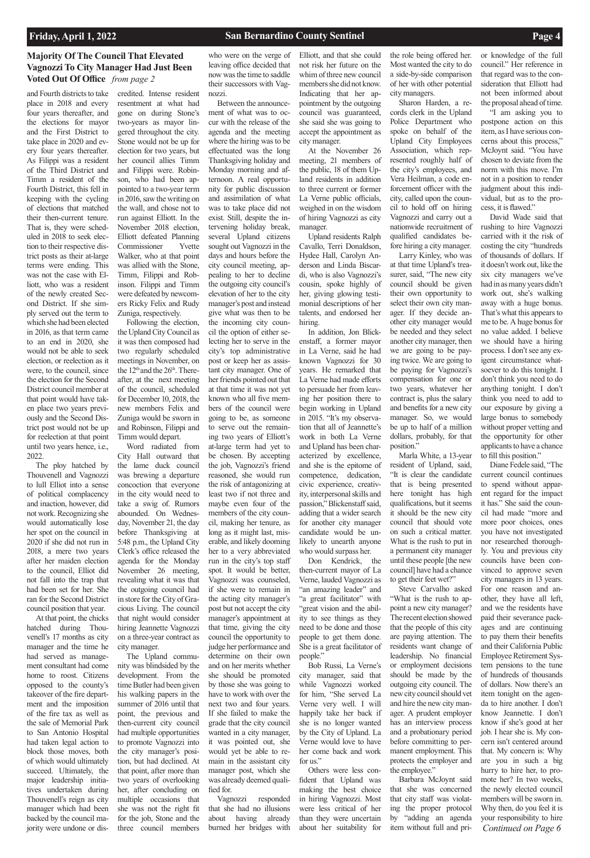and Fourth districts to take place in 2018 and every four years thereafter, and the elections for mayor and the First District to take place in 2020 and every four years thereafter. As Filippi was a resident of the Third District and Timm a resident of the Fourth District, this fell in keeping with the cycling of elections that matched their then-current tenure. That is, they were scheduled in 2018 to seek election to their respective district posts as their at-large terms were ending. This was not the case with Elliott, who was a resident of the newly created Second District. If she simply served out the term to which she had been elected in 2016, as that term came to an end in 2020, she would not be able to seek election, or reelection as it were, to the council, since the election for the Second District council member at that point would have taken place two years previously and the Second District post would not be up for reelection at that point until two years hence, i.e., 2022.

The ploy hatched by Thouvenell and Vagnozzi to lull Elliot into a sense of political complacency and inaction, however, did not work. Recognizing she would automatically lose her spot on the council in 2020 if she did not run in 2018, a mere two years after her maiden election to the council, Elliot did not fall into the trap that had been set for her. She ran for the Second District council position that year.

At that point, the chicks hatched during Thouvenell's 17 months as city manager and the time he had served as management consultant had come

home to roost. Citizens opposed to the county's takeover of the fire department and the imposition of the fire tax as well as the sale of Memorial Park to San Antonio Hospital had taken legal action to block those moves, both of which would ultimately succeed. Ultimately, the major leadership initiatives undertaken during Thouvenell's reign as city manager which had been backed by the council majority were undone or discredited. Intense resident resentment at what had gone on during Stone's two-years as mayor lingered throughout the city. Stone would not be up for election for two years, but her council allies Timm and Filippi were. Robinson, who had been appointed to a two-year term in 2016, saw the writing on the wall, and chose not to run against Elliott. In the November 2018 election, Elliott defeated Planning Commissioner Yvette Walker, who at that point was allied with the Stone, Timm, Filippi and Robinson. Filippi and Timm were defeated by newcomers Ricky Felix and Rudy Zuniga, respectively.

Following the election, the Upland City Council as it was then composed had two regularly scheduled meetings in November, on the  $12<sup>th</sup>$  and the  $26<sup>th</sup>$ . Thereafter, at the next meeting of the council, scheduled for December 10, 2018, the new members Felix and Zuniga would be sworn in and Robinson, Filippi and Timm would depart.

Word radiated from City Hall outward that the lame duck council was brewing a departure concoction that everyone in the city would need to take a swig of. Rumors abounded. On Wednesday, November 21, the day before Thanksgiving at 5:48 p.m., the Upland City Clerk's office released the agenda for the Monday November 26 meeting, revealing what it was that the outgoing council had in store for the City of Gracious Living. The council that night would consider hiring Jeannette Vagnozzi on a three-year contract as city manager.

The Upland community was blindsided by the

development. From the time Butler had been given his walking papers in the summer of 2016 until that point, the previous and then-current city council had multiple opportunities to promote Vagnozzi into the city manager's position, but had declined. At that point, after more than two years of overlooking her, after concluding on multiple occasions that she was not the right fit for the job, Stone and the three council members

who were on the verge of leaving office decided that now was the time to saddle their successors with Vagnozzi.

Between the announcement of what was to occur with the release of the agenda and the meeting where the hiring was to be effectuated was the long Thanksgiving holiday and Monday morning and afternoon. A real opportunity for public discussion and assimilation of what was to take place did not exist. Still, despite the intervening holiday break, several Upland citizens sought out Vagnozzi in the days and hours before the city council meeting, appealing to her to decline the outgoing city council's elevation of her to the city manager's post and instead give what was then to be the incoming city council the option of either selecting her to serve in the city's top administrative post or keep her as assistant city manager. One of her friends pointed out that at that time it was not yet known who all five members of the council were going to be, as someone to serve out the remaining two years of Elliott's at-large term had yet to be chosen. By accepting the job, Vagnozzi's friend reasoned, she would run the risk of antagonizing at least two if not three and maybe even four of the members of the city council, making her tenure, as long as it might last, miserable, and likely dooming her to a very abbreviated run in the city's top staff spot. It would be better, Vagnozzi was counseled, if she were to remain in the acting city manager's post but not accept the city manager's appointment at that time, giving the city council the opportunity to judge her performance and determine on their own and on her merits whether

she should be promoted by those she was going to have to work with over the next two and four years. If she failed to make the grade that the city council wanted in a city manager, it was pointed out, she would yet be able to remain in the assistant city manager post, which she was already deemed qualified for.

Vagnozzi responded that she had no illusions about having already burned her bridges with

Elliott, and that she could not risk her future on the whim of three new council members she did not know. Indicating that her appointment by the outgoing council was guaranteed, she said she was going to accept the appointment as city manager.

At the November 26 meeting, 21 members of the public, 18 of them Upland residents in addition to three current or former La Verne public officials, weighed in on the wisdom of hiring Vagnozzi as city manager.

Upland residents Ralph Cavallo, Terri Donaldson, Hydee Hall, Carolyn Anderson and Linda Biscardi, who is also Vagnozzi's cousin, spoke highly of her, giving glowing testimonial descriptions of her talents, and endorsed her hiring.

In addition, Jon Blickenstaff, a former mayor in La Verne, said he had known Vagnozzi for 30 years. He remarked that La Verne had made efforts to persuade her from leaving her position there to begin working in Upland in 2015. "It's my observation that all of Jeannette's work in both La Verne and Upland has been characterized by excellence, and she is the epitome of competence, dedication, civic experience, creativity, interpersonal skills and passion," Blickenstaff said, adding that a wider search for another city manager candidate would be unlikely to unearth anyone who would surpass her.

Don Kendrick, the then-current mayor of La Verne, lauded Vagnozzi as "an amazing leader" and "a great facilitator" with "great vision and the ability to see things as they need to be done and those people to get them done. She is a great facilitator of people."

Bob Russi, La Verne's

city manager, said that while Vagnozzi worked for him, "She served La Verne very well. I will happily take her back if she is no longer wanted by the City of Upland. La Verne would love to have her come back and work for us."

Others were less confident that Upland was making the best choice in hiring Vagnozzi. Most were less critical of her than they were uncertain about her suitability for

the role being offered her. Most wanted the city to do a side-by-side comparison of her with other potential city managers.

Sharon Harden, a records clerk in the Upland Police Department who spoke on behalf of the Upland City Employees Association, which represented roughly half of the city's employees, and Vera Heilman, a code enforcement officer with the city, called upon the council to hold off on hiring Vagnozzi and carry out a nationwide recruitment of qualified candidates before hiring a city manager.

Larry Kinley, who was at that time Upland's treasurer, said, "The new city council should be given their own opportunity to select their own city manager. If they decide another city manager would be needed and they select another city manager, then we are going to be paying twice. We are going to be paying for Vagnozzi's compensation for one or two years, whatever her contract is, plus the salary and benefits for a new city manager. So, we would be up to half of a million dollars, probably, for that position."

Marla White, a 13-year resident of Upland, said, "It is clear the candidate that is being presented here tonight has high qualifications, but it seems it should be the new city council that should vote on such a critical matter. What is the rush to put in a permanent city manager until these people [the new council] have had a chance to get their feet wet?"

Steve Carvalho asked "What is the rush to appoint a new city manager? The recent election showed that the people of this city are paying attention. The residents want change of leadership. No financial or employment decisions

should be made by the outgoing city council. The new city council should vet and hire the new city manager. A prudent employer has an interview process and a probationary period before committing to permanent employment. This protects the employer and the employee."

Barbara McJoynt said that she was concerned that city staff was violating the proper protocol by "adding an agenda item without full and pri-

or knowledge of the full council." Her reference in that regard was to the consideration that Elliott had not been informed about the proposal ahead of time.

"I am asking you to postpone action on this item, as I have serious concerns about this process," McJoynt said. "You have chosen to deviate from the norm with this move. I'm not in a position to render judgment about this individual, but as to the process, it is flawed."

David Wade said that rushing to hire Vagnozzi carried with it the risk of costing the city "hundreds of thousands of dollars. If it doesn't work out, like the six city managers we've had in as many years didn't work out, she's walking away with a huge bonus. That's what this appears to me to be. A huge bonus for no value added. I believe we should have a hiring process. I don't see any exigent circumstance whatsoever to do this tonight. I don't think you need to do anything tonight. I don't think you need to add to our exposure by giving a large bonus to somebody without proper vetting and the opportunity for other applicants to have a chance to fill this position."

Diane Fedele said, "The current council continues to spend without apparent regard for the impact it has." She said the council had made "more and more poor choices, ones you have not investigated nor researched thoroughly. You and previous city councils have been convinced to approve seven city managers in 13 years. For one reason and another, they have all left, and we the residents have paid their severance packages and are continuing to pay them their benefits and their California Public Employee Retirement System pensions to the tune of hundreds of thousands of dollars. Now there's an item tonight on the agenda to hire another. I don't know Jeannette. I don't know if she's good at her job. I hear she is. My concern isn't centered around that. My concern is: Why are you in such a big hurry to hire her, to promote her? In two weeks, the newly elected council members will be sworn in. Why then, do you feel it is your responsibility to hire *Continued on Page 6*

## **Majority Of The Council That Elevated Vagnozzi To City Manager Had Just Been Voted Out Of Office** *from page 2*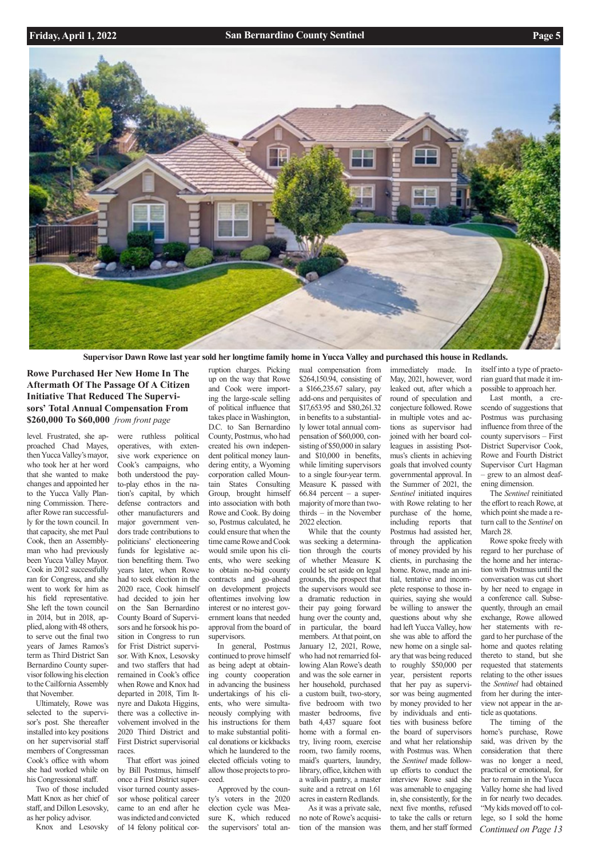

**Rowe Purchased Her New Home In The Aftermath Of The Passage Of A Citizen Initiative That Reduced The Supervisors' Total Annual Compensation From \$260,000 To \$60,000** *from front page* 

level. Frustrated, she approached Chad Mayes, then Yucca Valley's mayor, who took her at her word that she wanted to make changes and appointed her to the Yucca Vally Planning Commission. Thereafter Rowe ran successfully for the town council. In that capacity, she met Paul Cook, then an Assemblyman who had previously been Yucca Valley Mayor. Cook in 2012 successfully ran for Congress, and she went to work for him as his field representative. She left the town council in 2014, but in 2018, applied, along with 48 others, to serve out the final two years of James Ramos's term as Third District San Bernardino County supervisor following his election to the Cailfornia Assembly that November. Ultimately, Rowe was selected to the supervisor's post. She thereafter installed into key positions on her supervisorial staff members of Congressman Cook's office with whom she had worked while on his Congressional staff.

Two of those included Matt Knox as her chief of staff, and Dillon Lesovsky, as her policy advisor.

Knox and Lesovsky

were ruthless political operatives, with extensive work experience on Cook's campaigns, who both understood the payto-play ethos in the nation's capital, by which defense contractors and other manufacturers and major government vendors trade contributions to politicians' electioneering funds for legislative action benefiting them. Two years later, when Rowe had to seek election in the 2020 race, Cook himself had decided to join her on the San Bernardino County Board of Supervisors and he forsook his position in Congress to run for Frist District supervisor. With Knox, Lesovsky and two staffers that had

remained in Cook's office when Rowe and Knox had departed in 2018, Tim Itnyre and Dakota Higgins, there was a collective involvement involved in the 2020 Third District and First District supervisorial races.

That effort was joined by Bill Postmus, himself once a First District supervisor turned county assessor whose political career came to an end after he was indicted and convicted of 14 felony political cor-

ruption charges. Picking up on the way that Rowe and Cook were importing the large-scale selling of political influence that takes place in Washington, D.C. to San Bernardino County, Postmus, who had created his own independent political money laundering entity, a Wyoming corporation called Mountain States Consulting Group, brought himself into association with both Rowe and Cook. By doing so, Postmus calculated, he could ensure that when the time came Rowe and Cook would smile upon his clients, who were seeking to obtain no-bid county contracts and go-ahead on development projects oftentimes involving low interest or no interest government loans that needed approval from the board of supervisors.

In general, Postmus continued to prove himself as being adept at obtain-

ing county cooperation in advancing the business undertakings of his clients, who were simultaneously complying with his instructions for them to make substantial political donations or kickbacks which he laundered to the elected officials voting to allow those projects to proceed.

Approved by the county's voters in the 2020 election cycle was Measure K, which reduced the supervisors' total an*Continued on Page 13* The timing of the home's purchase, Rowe said, was driven by the consideration that there was no longer a need, practical or emotional, for her to remain in the Yucca Valley home she had lived in for nearly two decades. "My kids moved off to college, so I sold the home

nual compensation from \$264,150.94, consisting of a \$166,235.67 salary, pay add-ons and perquisites of \$17,653.95 and \$80,261.32 in benefits to a substantially lower total annual compensation of \$60,000, consisting of \$50,000 in salary and \$10,000 in benefits, while limiting supervisors to a single four-year term. Measure K passed with  $66.84$  percent – a supermajority of more than twothirds – in the November 2022 election. While that the county

was seeking a determination through the courts of whether Measure K could be set aside on legal grounds, the prospect that the supervisors would see a dramatic reduction in their pay going forward hung over the county and, in particular, the board members. At that point, on January 12, 2021, Rowe, who had not remarried following Alan Rowe's death and was the sole earner in her household, purchased a custom built, two-story, five bedroom with two master bedrooms, five bath 4,437 square foot home with a formal entry, living room, exercise room, two family rooms, maid's quarters, laundry, library, office, kitchen with a walk-in pantry, a master suite and a retreat on 1.61 acres in eastern Redlands. As it was a private sale, no note of Rowe's acquisition of the mansion was

immediately made. In May, 2021, however, word leaked out, after which a round of speculation and conjecture followed. Rowe in multiple votes and actions as supervisor had joined with her board colleagues in assisting Psotmus's clients in achieving goals that involved county governmental approval. In the Summer of 2021, the *Sentinel* initiated inquires with Rowe relating to her purchase of the home, including reports that Postmus had assisted her, through the application of money provided by his clients, in purchasing the home. Rowe, made an initial, tentative and incomplete response to those inquiries, saying she would be willing to answer the questions about why she had left Yucca Valley, how she was able to afford the new home on a single salary that was being reduced to roughly \$50,000 per

year, persistent reports that her pay as supervisor was being augmented by money provided to her by individuals and entities with business before the board of supervisors and what her relationship with Postmus was. When the *Sentinel* made followup efforts to conduct the interview Rowe said she was amenable to engaging in, she consistently, for the next five months, refused to take the calls or return them, and her staff formed

itself into a type of praetorian guard that made it impossible to approach her.

Last month, a crescendo of suggestions that Postmus was purchasing influence from three of the county supervisors – First District Supervisor Cook, Rowe and Fourth District Supervisor Curt Hagman – grew to an almost deafening dimension.

The *Sentinel* reinitiated the effort to reach Rowe, at which point she made a return call to the *Sentinel* on March 28.

Rowe spoke freely with regard to her purchase of the home and her interaction with Postmus until the conversation was cut short by her need to engage in a conference call. Subsequently, through an email exchange, Rowe allowed her statements with regard to her purchase of the home and quotes relating thereto to stand, but she requested that statements

relating to the other issues the *Sentinel* had obtained from her during the interview not appear in the article as quotations.

**Supervisor Dawn Rowe last year sold her longtime family home in Yucca Valley and purchased this house in Redlands.**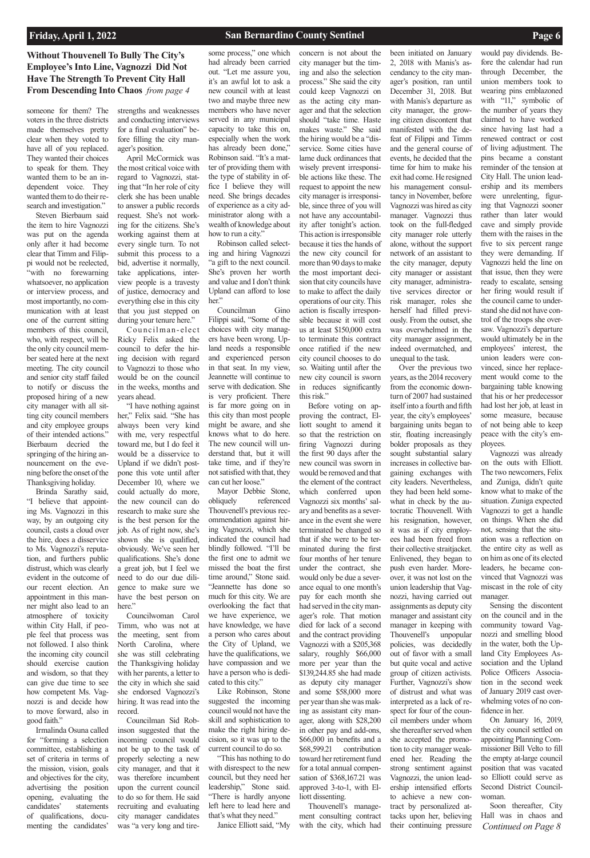someone for them? The voters in the three districts made themselves pretty clear when they voted to have all of you replaced. They wanted their choices to speak for them. They wanted them to be an independent voice. They wanted them to do their research and investigation."

Steven Bierbaum said the item to hire Vagnozzi was put on the agenda only after it had become clear that Timm and Filippi would not be reelected, "with no forewarning whatsoever, no application or interview process, and most importantly, no communication with at least one of the current sitting members of this council, who, with respect, will be the only city council member seated here at the next meeting. The city council and senior city staff failed to notify or discuss the proposed hiring of a new city manager with all sitting city council members and city employee groups of their intended actions." Bierbaum decried the springing of the hiring announcement on the evening before the onset of the Thanksgiving holiday.

"I have nothing against her," Felix said. "She has always been very kind with me, very respectful toward me, but I do feel it would be a disservice to Upland if we didn't postpone this vote until after December 10, where we could actually do more, the new council can do research to make sure she is the best person for the job. As of right now, she's shown she is qualified, obviously. We've seen her qualifications. She's done a great job, but I feel we need to do our due diligence to make sure we have the best person on here."

Brinda Sarathy said, "I believe that appointing Ms. Vagnozzi in this way, by an outgoing city council, casts a cloud over the hire, does a disservice to Ms. Vagnozzi's reputation, and furthers public distrust, which was clearly evident in the outcome of our recent election. An appointment in this manner might also lead to an atmosphere of toxicity within City Hall, if people feel that process was not followed. I also think the incoming city council should exercise caution and wisdom, so that they can give due time to see how competent Ms. Vagnozzi is and decide how to move forward, also in good faith." Irmalinda Osuna called for "forming a selection committee, establishing a set of criteria in terms of the mission, vision, goals and objectives for the city, advertising the position opening, evaluating the candidates' statements of qualifications, documenting the candidates'

strengths and weaknesses and conducting interviews for a final evaluation" before filling the city manager's position.

> Robinson called selecting and hiring Vagnozzi "a gift to the next council. She's proven her worth and value and I don't think Upland can afford to lose her."

April McCormick was the most critical voice with regard to Vagnozzi, stating that "In her role of city clerk she has been unable to answer a public records request. She's not working for the citizens. She's working against them at every single turn. To not submit this process to a bid, advertise it normally, take applications, interview people is a travesty of justice, democracy and everything else in this city that you just stepped on during your tenure here."

Cou ncil ma n- elect Ricky Felix asked the council to defer the hiring decision with regard to Vagnozzi to those who would be on the council in the weeks, months and years ahead.

Councilwoman Carol Timm, who was not at the meeting, sent from North Carolina, where she was still celebrating the Thanksgiving holiday

with her parents, a letter to the city in which she said she endorsed Vagnozzi's hiring. It was read into the record.

Councilman Sid Robinson suggested that the incoming council would not be up to the task of properly selecting a new city manager, and that it was therefore incumbent upon the current council to do so for them. He said recruiting and evaluating city manager candidates was "a very long and tire-

some process," one which had already been carried out. "Let me assure you, it's an awful lot to ask a new council with at least two and maybe three new members who have never served in any municipal capacity to take this on, especially when the work has already been done," Robinson said. "It's a matter of providing them with the type of stability in office I believe they will need. She brings decades of experience as a city administrator along with a wealth of knowledge about how to run a city."

Councilman Gino Filippi said, "Some of the choices with city managers have been wrong. Upland needs a responsible and experienced person in that seat. In my view, Jeannette will continue to serve with dedication. She is very proficient. There is far more going on in this city than most people might be aware, and she knows what to do here. The new council will understand that, but it will take time, and if they're not satisfied with that, they can cut her loose."

Mayor Debbie Stone, obliquely referenced Thouvenell's previous recommendation against hiring Vagnozzi, which she indicated the council had blindly followed. "I'll be the first one to admit we missed the boat the first time around," Stone said. "Jeannette has done so much for this city. We are overlooking the fact that we have experience, we have knowledge, we have a person who cares about the City of Upland, we have the qualifications, we have compassion and we

have a person who is dedicated to this city."

Like Robinson, Stone suggested the incoming council would not have the skill and sophistication to make the right hiring decision, so it was up to the current council to do so.

"This has nothing to do with disrespect to the new council, but they need her leadership," Stone said. "There is hardly anyone left here to lead here and that's what they need." Janice Elliott said, "My concern is not about the city manager but the timing and also the selection process." She said the city could keep Vagnozzi on as the acting city manager and that the selection should "take time. Haste makes waste." She said the hiring would be a "disservice. Some cities have lame duck ordinances that wisely prevent irresponsible actions like these. The request to appoint the new city manager is irresponsible, since three of you will not have any accountability after tonight's action. This action is irresponsible because it ties the hands of the new city council for more than 90 days to make the most important decision that city councils have to make to affect the daily operations of our city. This action is fiscally irresponsible because it will cost us at least \$150,000 extra to terminate this contract once ratified if the new city council chooses to do so. Waiting until after the new city council is sworn in reduces significantly this risk."

Before voting on approving the contract, Elliott sought to amend it so that the restriction on firing Vagnozzi during the first 90 days after the new council was sworn in would be removed and that the element of the contract which conferred upon Vagnozzi six months' salary and benefits as a severance in the event she were terminated be changed so that if she were to be terminated during the first four months of her tenure under the contract, she would only be due a severance equal to one month's pay for each month she had served in the city manager's role. That motion died for lack of a second and the contract providing Vagnozzi with a \$205,368 salary, roughly \$66,000 more per year than the \$139,244.85 she had made as deputy city manager and some \$58,000 more per year than she was making as assistant city manager, along with \$28,200 in other pay and add-ons, \$66,000 in benefits and a \$68,599.21 contribution toward her retirement fund for a total annual compensation of \$368,167.21 was approved 3-to-1, with Elliott dissenting. Thouvenell's management consulting contract with the city, which had

been initiated on January 2, 2018 with Manis's ascendancy to the city manager's position, ran until December 31, 2018. But with Manis's departure as city manager, the growing citizen discontent that manifested with the defeat of Filippi and Timm and the general course of events, he decided that the time for him to make his exit had come. He resigned his management consultancy in November, before Vagnozzi was hired as city manager. Vagnozzi thus took on the full-fledged city manager role utterly alone, without the support network of an assistant to the city manager, deputy city manager or assistant city manager, administrative services director or risk manager, roles she herself had filled previously. From the outset, she was overwhelmed in the city manager assignment, indeed overmatched, and

unequal to the task. Over the previous two years, as the 2014 recovery from the economic downturn of 2007 had sustained itself into a fourth and fifth year, the city's employees' bargaining units began to stir, floating increasingly bolder proposals as they sought substantial salary increases in collective bargaining exchanges with city leaders. Nevertheless, they had been held somewhat in check by the autocratic Thouvenell. With his resignation, however, it was as if city employees had been freed from their collective straitjacket. Enlivened, they began to push even harder. Moreover, it was not lost on the union leadership that Vagnozzi, having carried out assignments as deputy city manager and assistant city manager in keeping with Thouvenell's unpopular policies, was decidedly out of favor with a small but quite vocal and active group of citizen activists. Further, Vagnozzi's show of distrust and what was interpreted as a lack of respect for four of the council members under whom she thereafter served when she accepted the promotion to city manager weakened her. Reading the strong sentiment against Vagnozzi, the union leadership intensified efforts to achieve a new contract by personalized attacks upon her, believing their continuing pressure

would pay dividends. Before the calendar had run through December, the union members took to wearing pins emblazoned with "11," symbolic of the number of years they claimed to have worked since having last had a renewed contract or cost of living adjustment. The pins became a constant reminder of the tension at City Hall. The union leadership and its members were unrelenting, figuring that Vagnozzi sooner rather than later would cave and simply provide them with the raises in the five to six percent range they were demanding. If Vagnozzi held the line on that issue, then they were ready to escalate, sensing her firing would result if the council came to understand she did not have control of the troops she oversaw. Vagnozzi's departure would ultimately be in the employees' interest, the union leaders were convinced, since her replacement would come to the bargaining table knowing that his or her predecessor had lost her job, at least in some measure, because of not being able to keep peace with the city's employees.

Vagnozzi was already on the outs with Elliott. The two newcomers, Felix and Zuniga, didn't quite know what to make of the situation. Zuniga expected Vagnozzi to get a handle on things. When she did not, sensing that the situation was a reflection on the entire city as well as on him as one of its elected leaders, he became convinced that Vagnozzi was miscast in the role of city manager.

Sensing the discontent on the council and in the community toward Vagnozzi and smelling blood in the water, both the Upland City Employees Association and the Upland Police Officers Association in the second week of January 2019 cast overwhelming votes of no confidence in her. On January 16, 2019, the city council settled on appointing Planning Commissioner Bill Velto to fill the empty at-large council position that was vacated so Elliott could serve as Second District Councilwoman.

Soon thereafter, City Hall was in chaos and *Continued on Page 8*

**Without Thouvenell To Bully The City's Employee's Into Line, Vagnozzi Did Not Have The Strength To Prevent City Hall From Descending Into Chaos** *from page 4*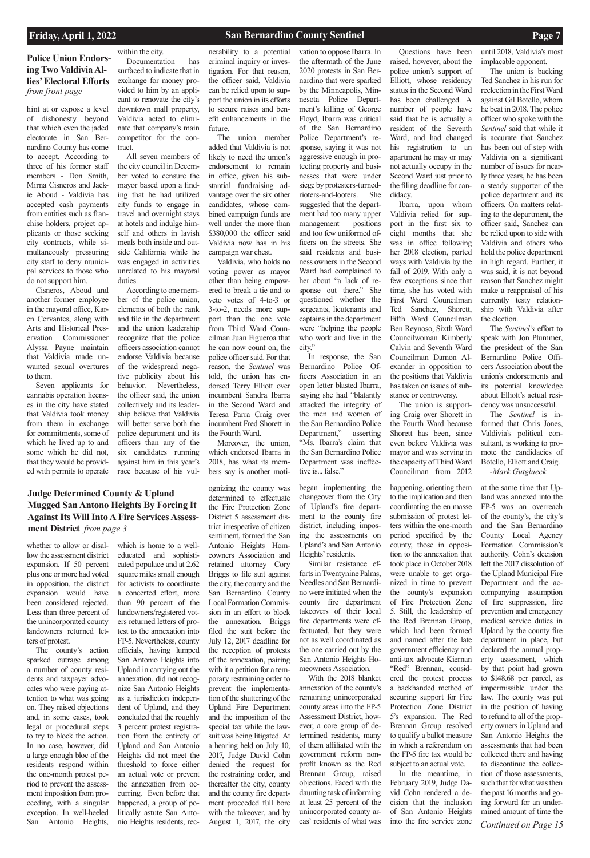## **Police Union Endorsing Two Valdivia Allies' Electoral Efforts**  *from front page*

hint at or expose a level of dishonesty beyond that which even the jaded electorate in San Bernardino County has come to accept. According to three of his former staff members - Don Smith, Mirna Cisneros and Jackie Aboud - Valdivia has accepted cash payments from entities such as franchise holders, project applicants or those seeking city contracts, while simultaneously pressuring city staff to deny municipal services to those who do not support him.

Cisneros, Aboud and another former employee in the mayoral office, Karen Cervantes, along with Arts and Historical Preservation Commissioner Alyssa Payne maintain that Valdivia made unwanted sexual overtures to them.

Seven applicants for cannabis operation licenses in the city have stated that Valdivia took money from them in exchange for commitments, some of which he lived up to and some which he did not, that they would be provided with permits to operate

within the city. Documentation has surfaced to indicate that in exchange for money provided to him by an applicant to renovate the city's downtown mall property, Valdivia acted to eliminate that company's main competitor for the contract.

All seven members of the city council in December voted to censure the mayor based upon a finding that he had utilized city funds to engage in travel and overnight stays at hotels and indulge himself and others in lavish meals both inside and outside California while he was engaged in activities unrelated to his mayoral duties.

According to one member of the police union, elements of both the rank and file in the department and the union leadership recognize that the police officers association cannot endorse Valdivia because of the widespread negative publicity about his behavior. Nevertheless, the officer said, the union collectively and its leadership believe that Valdivia will better serve both the police department and its officers than any of the six candidates running against him in this year's race because of his vulnerability to a potential criminal inquiry or investigation. For that reason, the officer said, Valdivia can be relied upon to support the union in its efforts to secure raises and benefit enhancements in the future.

The union member added that Valdivia is not likely to need the union's endorsement to remain in office, given his substantial fundraising advantage over the six other candidates, whose combined campaign funds are well under the more than \$380,000 the officer said Valdivia now has in his campaign war chest.

Valdivia, who holds no voting power as mayor other than being empowered to break a tie and to veto votes of 4-to-3 or 3-to-2, needs more support than the one vote from Third Ward Councilman Juan Figueroa that he can now count on, the police officer said. For that reason, the *Sentinel* was told, the union has endorsed Terry Elliott over incumbent Sandra Ibarra in the Second Ward and Teresa Parra Craig over incumbent Fred Shorett in the Fourth Ward.

Moreover, the union, which endorsed Ibarra in 2018, has what its members say is another moti-

vation to oppose Ibarra. In the aftermath of the June 2020 protests in San Bernardino that were sparked by the Minneapolis, Minnesota Police Department's killing of George Floyd, Ibarra was critical of the San Bernardino Police Department's response, saying it was not aggressive enough in protecting property and businesses that were under siege by protesters-turnedrioters-and-looters. She suggested that the department had too many upper management positions and too few uniformed officers on the streets. She said residents and business owners in the Second Ward had complained to her about "a lack of response out there." She questioned whether the sergeants, lieutenants and captains in the department were "helping the people who work and live in the city."

In response, the San Bernardino Police Officers Association in an open letter blasted Ibarra, saying she had "blatantly attacked the integrity of the men and women of the San Bernardino Police Department," asserting "Ms. Ibarra's claim that the San Bernardino Police Department was ineffective is... false."

Questions have been raised, however, about the police union's support of Elliott, whose residency status in the Second Ward has been challenged. A number of people have said that he is actually a resident of the Seventh Ward, and had changed his registration to an apartment he may or may not actually occupy in the Second Ward just prior to the filing deadline for candidacy.

Ibarra, upon whom Valdivia relied for support in the first six to eight months that she was in office following her 2018 election, parted ways with Valdivia by the fall of 2019. With only a few exceptions since that time, she has voted with First Ward Councilman Ted Sanchez, Shorett, Fifth Ward Councilman Ben Reynoso, Sixth Ward Councilwoman Kimberly Calvin and Seventh Ward Councilman Damon Alexander in opposition to the positions that Valdivia has taken on issues of substance or controversy.

The union is supporting Craig over Shorett in the Fourth Ward because Shorett has been, since even before Valdivia was mayor and was serving in the capacity of Third Ward Councilman from 2012

until 2018, Valdivia's most implacable opponent.

The union is backing Ted Sanchez in his run for reelection in the First Ward against Gil Botello, whom he beat in 2018. The police officer who spoke with the *Sentinel* said that while it is accurate that Sanchez has been out of step with Valdivia on a significant number of issues for nearly three years, he has been a steady supporter of the police department and its officers. On matters relating to the department, the officer said, Sanchez can be relied upon to side with Valdivia and others who hold the police department in high regard. Further, it was said, it is not beyond reason that Sanchez might make a reappraisal of his currently testy relationship with Valdivia after the election.

The *Sentinel's* effort to speak with Jon Plummer, the president of the San Bernardino Police Officers Association about the union's endorsements and its potential knowledge about Elliott's actual residency was unsuccessful.

The *Sentinel* is informed that Chris Jones, Valdivia's political consultant, is working to promote the candidacies of Botello, Elliott and Craig. *-Mark Gutglueck*

whether to allow or disallow the assessment district expansion. If 50 percent plus one or more had voted in opposition, the district expansion would have been considered rejected. Less than three percent of the unincorporated county landowners returned letters of protest.

The county's action sparked outrage among a number of county residents and taxpayer advocates who were paying attention to what was going on. They raised objections and, in some cases, took legal or procedural steps to try to block the action. In no case, however, did a large enough bloc of the residents respond within the one-month protest period to prevent the assessment imposition from proceeding, with a singular exception. In well-heeled San Antonio Heights,

which is home to a welleducated and sophisticated populace and at 2.62 square miles small enough for activists to coordinate a concerted effort, more than 90 percent of the landowners/registered voters returned letters of protest to the annexation into FP-5. Nevertheless, county officials, having lumped San Antonio Heights into Upland in carrying out the annexation, did not recognize San Antonio Heights as a jurisdiction independent of Upland, and they concluded that the roughly 3 percent protest registration from the entirety of Upland and San Antonio Heights did not meet the threshold to force either an actual vote or prevent the annexation from occurring. Even before that happened, a group of politically astute San Antonio Heights residents, rec-

ognizing the county was determined to effectuate the Fire Protection Zone District 5 assessment district irrespective of citizen sentiment, formed the San Antonio Heights Homeowners Association and retained attorney Cory Briggs to file suit against the city, the county and the San Bernardino County Local Formation Commission in an effort to block the annexation. Briggs filed the suit before the July 12, 2017 deadline for the reception of protests of the annexation, pairing with it a petition for a tem porary restraining order to prevent the implementation of the shuttering of the Upland Fire Department and the imposition of the special tax while the lawsuit was being litigated. At a hearing held on July 10, 2017, Judge David Cohn denied the request for the restraining order, and thereafter the city, county and the county fire department proceeded full bore with the takeover, and by August 1, 2017, the city began implementing the changeover from the City of Upland's fire department to the county fire district, including imposing the assessments on Upland's and San Antonio Heights' residents.

Similar resistance efforts in Twentynine Palms, Needles and San Bernardino were initiated when the county fire department takeovers of their local fire departments were effectuated, but they were not as well coordinated as the one carried out by the San Antonio Heights Homeowners Association. With the 2018 blanket annexation of the county's remaining unincorporated county areas into the FP-5 Assessment District, however, a core group of determined residents, many of them affiliated with the government reform nonprofit known as the Red Brennan Group, raised objections. Faced with the daunting task of informing at least 25 percent of the unincorporated county areas' residents of what was

happening, orienting them to the implication and then coordinating the en masse submission of protest letters within the one-month period specified by the county, those in opposition to the annexation that took place in October 2018 were unable to get organized in time to prevent the county's expansion of Fire Protection Zone 5. Still, the leadership of the Red Brennan Group, which had been formed and named after the late government efficiency and anti-tax advocate Kiernan "Red" Brennan, considered the protest process a backhanded method of securing support for Fire Protection Zone District 5's expansion. The Red Brennan Group resolved to qualify a ballot measure in which a referendum on the FP-5 fire tax would be subject to an actual vote. In the meantime, in February 2019, Judge David Cohn rendered a decision that the inclusion of San Antonio Heights into the fire service zone

at the same time that Upland was annexed into the FP-5 was an overreach of the county's, the city's and the San Bernardino County Local Agency Formation Commission's authority. Cohn's decision left the 2017 dissolution of the Upland Municipal Fire Department and the accompanying assumption of fire suppression, fire prevention and emergency medical service duties in Upland by the county fire department in place, but declared the annual property assessment, which by that point had grown to \$148.68 per parcel, as impermissible under the law. The county was put in the position of having to refund to all of the property owners in Upland and San Antonio Heights the assessments that had been collected there and having to discontinue the collection of those assessments, such that for what was then the past 16 months and going forward for an undermined amount of time the *Continued on Page 15*

## **Judge Determined County & Upland Mugged San Antono Heights By Forcing It Against Its Will Into A Fire Services Assessment District** *from page 3*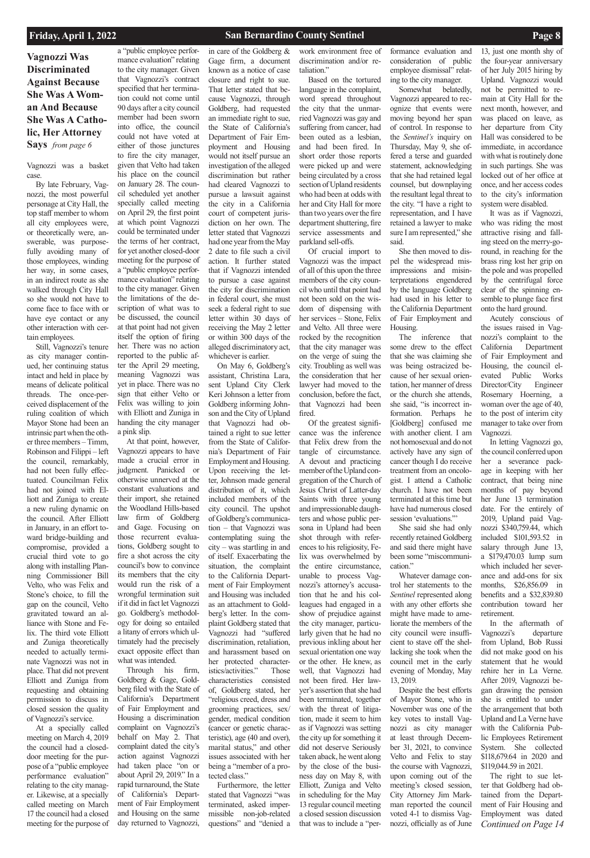**Vagnozzi Was Discriminated Against Because She Was A Woman And Because She Was A Catholic, Her Attorney Says** *from page 6*

Vagnozzi was a basket case.

By late February, Vagnozzi, the most powerful personage at City Hall, the top staff member to whom all city employees were, or theoretically were, answerable, was purposefully avoiding many of those employees, winding her way, in some cases, in an indirect route as she walked through City Hall so she would not have to come face to face with or have eye contact or any other interaction with certain employees.

Still, Vagnozzi's tenure as city manager continued, her continuing status intact and held in place by means of delicate political threads. The once-perceived displacement of the ruling coalition of which Mayor Stone had been an intrinsic part when the other three members – Timm, Robinson and Filippi – left the council, remarkably, had not been fully effectuated. Councilman Felix had not joined with Elliott and Zuniga to create a new ruling dynamic on the council. After Elliott in January, in an effort toward bridge-building and compromise, provided a crucial third vote to go along with installing Planning Commissioner Bill Velto, who was Felix and Stone's choice, to fill the gap on the council, Velto gravitated toward an alliance with Stone and Felix. The third vote Elliott and Zuniga theoretically needed to actually terminate Vagnozzi was not in place. That did not prevent Elliott and Zuniga from requesting and obtaining permission to discuss in closed session the quality of Vagnozzi's service. At a specially called meeting on March 4, 2019 the council had a closeddoor meeting for the purpose of a "public employee performance evaluation" relating to the city manager. Likewise, at a specially called meeting on March 17 the council had a closed meeting for the purpose of

a "public employee performance evaluation" relating to the city manager. Given that Vagnozzi's contract specified that her termination could not come until 90 days after a city council member had been sworn into office, the council could not have voted at either of those junctures to fire the city manager, given that Velto had taken his place on the council on January 28. The council scheduled yet another specially called meeting on April 29, the first point at which point Vagnozzi could be terminated under the terms of her contract, for yet another closed-door meeting for the purpose of a "public employee performance evaluation" relating to the city manager. Given the limitations of the description of what was to be discussed, the council at that point had not given itself the option of firing her. There was no action reported to the public after the April 29 meeting, meaning Vagnozzi was yet in place. There was no sign that either Velto or Felix was willing to join with Elliott and Zuniga in handing the city manager

a pink slip. At that point, however, Vagnozzi appears to have made a crucial error in judgment. Panicked or otherwise unnerved at the constant evaluations and their import, she retained the Woodland Hills-based law firm of Goldberg and Gage. Focusing on those recurrent evaluations, Goldberg sought to fire a shot across the city council's bow to convince its members that the city would run the risk of a wrongful termination suit if it did in fact let Vagnozzi go. Goldberg's methodology for doing so entailed a litany of errors which ultimately had the precisely exact opposite effect than what was intended. Through his firm, Goldberg & Gage, Goldberg filed with the State of California's Department of Fair Employment and Housing a discrimination complaint on Vagnozzi's behalf on May 2. That complaint dated the city's action against Vagnozzi had taken place "on or about April 29, 2019." In a rapid turnaround, the State of California's Department of Fair Employment and Housing on the same day returned to Vagnozzi,

The inference that some drew to the effect that she was claiming she was being ostracized because of her sexual orientation, her manner of dress or the church she attends, she said, "is incorrect information. Perhaps he [Goldberg] confused me with another client. I am not homosexual and do not actively have any sign of cancer though I do receive treatment from an oncologist. I attend a Catholic church. I have not been terminated at this time but have had numerous closed session 'evaluations."

in care of the Goldberg & Gage firm, a document known as a notice of case closure and right to sue. That letter stated that because Vagnozzi, through Goldberg, had requested an immediate right to sue, the State of California's Department of Fair Employment and Housing would not itself pursue an investigation of the alleged discrimination but rather had cleared Vagnozzi to pursue a lawsuit against the city in a California court of competent jurisdiction on her own. The letter stated that Vagnozzi had one year from the May 2 date to file such a civil action. It further stated that if Vagnozzi intended to pursue a case against the city for discrimination in federal court, she must seek a federal right to sue letter within 30 days of receiving the May 2 letter or within 300 days of the alleged discriminatory act, whichever is earlier.

On May 6, Goldberg's assistant, Christina Lara, sent Upland City Clerk Keri Johnson a letter from Goldberg informing Johnson and the City of Upland that Vagnozzi had obtained a right to sue letter from the State of California's Department of Fair Employment and Housing. Upon receiving the letter, Johnson made general distribution of it, which included members of the city council. The upshot of Goldberg's communication – that Vagnozzi was contemplating suing the city – was startling in and of itself. Exacerbating the situation, the complaint to the California Department of Fair Employment and Housing was included as an attachment to Goldberg's letter. In the complaint Goldberg stated that Vagnozzi had "suffered discrimination, retaliation, and harassment based on her protected characteristics/activities." Those characteristics consisted of, Goldberg stated, her "religious creed, dress and grooming practices, sex/ gender, medical condition (cancer or genetic characteristic), age (40 and over), marital status," and other issues associated with her being a "member of a protected class." Furthermore, the letter stated that Vagnozzi "was

*Continued on Page 14* In the aftermath of Vagnozzi's departure from Upland, Bob Russi did not make good on his statement that he would rehire her in La Verne. After 2019, Vagnozzi began drawing the pension she is entitled to under the arrangement that both Upland and La Verne have with the California Public Employees Retirement System. She collected \$118,679.64 in 2020 and \$119,044.59 in 2021. The right to sue letter that Goldberg had obtained from the Department of Fair Housing and Employment was dated

terminated, asked impermissible non-job-related questions" and "denied a

work environment free of discrimination and/or retaliation."

Based on the tortured language in the complaint, word spread throughout the city that the unmarried Vagnozzi was gay and suffering from cancer, had been outed as a lesbian, and had been fired. In short order those reports were picked up and were being circulated by a cross section of Upland residents who had been at odds with her and City Hall for more than two years over the fire department shuttering, fire service assessments and parkland sell-offs.

Of crucial import to Vagnozzi was the impact of all of this upon the three members of the city council who until that point had not been sold on the wisdom of dispensing with her services – Stone, Felix and Velto. All three were rocked by the recognition that the city manager was on the verge of suing the city. Troubling as well was the consideration that her lawyer had moved to the conclusion, before the fact, that Vagnozzi had been fired.

Of the greatest significance was the inference that Felix drew from the tangle of circumstance. A devout and practicing member of the Upland congregation of the Church of Jesus Christ of Latter-day Saints with three young and impressionable daughters and whose public persona in Upland had been shot through with references to his religiosity, Felix was overwhelmed by the entire circumstance, unable to process Vagnozzi's attorney's accusation that he and his colleagues had engaged in a show of prejudice against the city manager, particularly given that he had no previous inkling about her sexual orientation one way or the other. He knew, as well, that Vagnozzi had not been fired. Her lawyer's assertion that she had been terminated, together with the threat of litigation, made it seem to him as if Vagnozzi was setting the city up for something it did not deserve Seriously taken aback, he went along by the close of the business day on May 8, with Elliott, Zuniga and Velto in scheduling for the May 13 regular council meeting a closed session discussion that was to include a "per-

formance evaluation and consideration of public employee dismissal" relating to the city manager.

Somewhat belatedly, Vagnozzi appeared to recognize that events were moving beyond her span of control. In response to the *Sentinel's* inquiry on Thursday, May 9, she offered a terse and guarded statement, acknowledging that she had retained legal counsel, but downplaying the resultant legal threat to the city. "I have a right to representation, and I have retained a lawyer to make sure I am represented," she said.

She then moved to dispel the widespread misimpressions and misinterpretations engendered by the language Goldberg had used in his letter to the California Department of Fair Employment and Housing.

She said she had only recently retained Goldberg and said there might have been some "miscommunication."

Whatever damage control her statements to the *Sentinel* represented along with any other efforts she might have made to ameliorate the members of the city council were insufficient to stave off the shellacking she took when the council met in the early evening of Monday, May 13, 2019. Despite the best efforts of Mayor Stone, who in November was one of the key votes to install Vagnozzi as city manager at least through December 31, 2021, to convince Velto and Felix to stay the course with Vagnozzi, upon coming out of the meeting's closed session, City Attorney Jim Markman reported the council voted 4-1 to dismiss Vagnozzi, officially as of June

13, just one month shy of the four-year anniversary of her July 2015 hiring by Upland. Vagnozzi would not be permitted to remain at City Hall for the next month, however, and was placed on leave, as her departure from City Hall was considered to be immediate, in accordance with what is routinely done in such partings. She was locked out of her office at once, and her access codes to the city's information system were disabled.

It was as if Vagnozzi, who was riding the most attractive rising and falling steed on the merry-goround, in reaching for the brass ring lost her grip on the pole and was propelled by the centrifugal force clear of the spinning ensemble to plunge face first onto the hard ground.

Acutely conscious of the issues raised in Vagnozzi's complaint to the California Department of Fair Employment and Housing, the council elevated Public Works Director/City Rosemary Hoerning, a woman over the age of 40, to the post of interim city manager to take over from Vagnozzi.

In letting Vagnozzi go, the council conferred upon her a severance package in keeping with her contract, that being nine months of pay beyond her June 13 termination date. For the entirely of 2019, Upland paid Vagnozzi \$340,759.44, which included \$101,593.52 in salary through June 13, a \$179,470.03 lump sum which included her severance and add-ons for six months, \$26,856.09 in benefits and a \$32,839.80 contribution toward her retirement.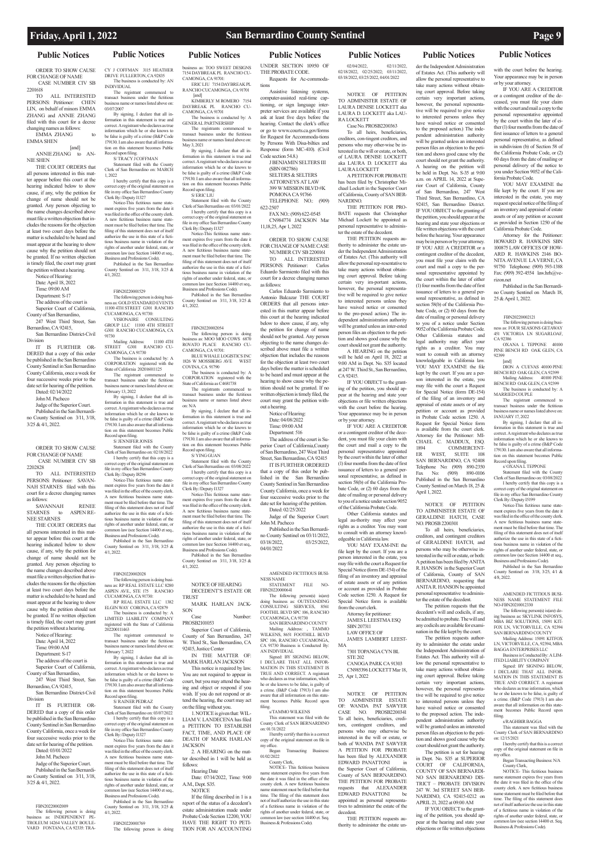### **Public Notices Public Notices Public Notices Public Notices Public Notices Public Notices Public Notices**

ORDER TO SHOW CAUSE FOR CHANGE OF NAME CASE NUMBER CIV SB

 $\frac{2201618}{\text{TO}}$ ALL INTERESTED PERSONS: Petitioner: CHEN LIN, on behalf of minors EMMA ZHANG and ANNIE ZHANG filed with this court for a decree changing names as follows:

EMMA ZHANG to EMMA SHEN

[and] ANNIE ZHANG to AN-NIE SHEN

THE COURT ORDERS that all persons interested in this matter appear before this court at the hearing indicated below to show cause, if any, why the petition for change of name should not be granted. Any person objecting to the name changes described above must file a written objection that includes the reasons for the objection at least two court days before the matter is scheduled to be heard and must appear at the hearing to show cause why the petition should not be granted. If no written objection is timely filed, the court may grant

the petition without a hearing. Notice of Hearing: Date: April 18, 2022 Time: 09:00 AM Department: S-17 The address of the court is Superior Court of California, County of San Bernardino,

247 West Third Street, San Bernardino, CA 92415, San Bernardino District-Civil

> The address of the court is Superior Court of California

Division IT IS FURTHER OR-DERED that a copy of this order

be published in the San Bernardino County Sentinel in San Bernardino County California, once a week for four successive weeks prior to the date set for hearing of the petition.

Dated: 02/14/2022

John M. Pacheco

Judge of the Superior Court. Published in the San Bernardino County Sentinel on 3/11, 3/18, 3/25 & 4/1, 2022.

ORDER TO SHOW CAUSE FOR CHANGE OF NAME CASE NUMBER CIV SB

2202828 ALL INTERESTED PERSONS: Petitioner: SAVAN-NAH STARNES filed with this court for a decree changing names

as follows: SAVANNAH RENEE STARNES to ASPEN RE-NEE STARNES

THE COURT ORDERS that all persons interested in this matter appear before this court at the hearing indicated below to show cause, if any, why the petition for change of name should not be granted. Any person objecting to the name changes described above must file a written objection that includes the reasons for the objection at least two court days before the matter is scheduled to be heard and must appear at the hearing to show cause why the petition should not be granted. If no written objection is timely filed, the court may grant

VISIONAIRE CONSULTING GROUP LLC 11100 4TH STREET G301 RANCHO CUCAMONGA, CA 91730 Mailing Address: 11100 4TH STREET G301 RANCHO CU-

the petition without a hearing. Notice of Hearing: Date: April 14, 2022 Time: 09:00 AM Department: S-17

County of San Bernardino,

247 West Third Street, San Bernardino, CA 92415,

San Bernardino District-Civil Division

tatement filed with the County Clerk of San Bernardino on: 02/18/2022 I hereby certify that this copy is a

IT IS FURTHER OR-DERED that a copy of this order be published in the San Bernardino County Sentinel in San Bernardino County California, once a week for four successive weeks prior to the date set for hearing of the petition. Dated: 03/01/2022 John M. Pacheco Judge of the Superior Court. Published in the San Bernardino County Sentinel on 3/11, 3/18, 3/25 & 4/1, 2022.

### FBN20220002009

The following person is doing business as: INDEPENDENT PE-TROLEUM 14264 VALLEY BOULE-VARD FONTANA, CA 92335: TRA-

CY J COFFMAN 3115 HEATHER DRIVE FULLERTON, CA 92835 The business is conducted by: AN INDIVIDUAL

The registrant commenced to transact business under the fictitious business name or names listed above on: 03/07/2007 By signing, I declare that all in-

formation in this statement is true and correct. A registrant who declares as true information which he or she knows to be false is guilty of a crime (B&P Code 179130. I am also aware that all information on this statement becomes Public

Record upon filing. S/ TRACY J COFFMAN Statement filed with the County

Clerk of San Bernardino on: MARCH 1, 2022 I hereby certify that this copy is a correct copy of the original statement on

file in my office San Bernardino County Clerk By:/Deputy I1327 Notice-This fictitious name state-

correct. A registrant who declares as true information which he or she knows to be false is guilty of a crime (B&P Code 179130. I am also aware that all information on this statement becomes Public Record upon filing.  $S/FR$  IC LIU

ment expires five years from the date it was filed in the office of the county clerk. A new fictitious business name statement must be filed before that time. The filing of this statement does not of itself authorize the use in this state of a fictitious business name in violation of the rights of another under federal, state, or common law (see Section 14400 et seq., Business and Professions Code).

Statement filed with the County Clerk of San Bernardino on: 03/01/2022 I hereby certify that this copy is a correct copy of the original statement on file in my office San Bernardino County

Published in the San Bernardino County Sentinel on 3/11, 3/18, 3/25 & 4/1, 2022.

FBN20220001529

The following person is doing business as: GOLD STANDARD EVENTS 11100 4TH STREET G301 RANCHO CUCAMONGA, CA 91730:

CAMONGA, CA 91730 The business is conducted by: A

CORPORATION registered with the State of California 202016011125 The registrant commenced to

transact business under the fictitious business name or names listed above on: February 13, 2022 By signing, I declare that all in-

formation in this statement is true and correct. A registrant who declares as true information which he or she knows to be false is guilty of a crime (B&P Code 179130. I am also aware that all information on this statement becomes Public

> NOTICE OF HEARING DECEDENT'S ESTATE OR **TRUST**

MARK HARLAN JACK-SON<br>Case

Number: PROSB2101053 Superior Court of California,

Record upon filing. S/ JENNIFER JONES

> You are not required to appear in court, but you may attend the hearing and object or respond if you wish. If you do not respond or attend the hearing, the court may act on the filing without you. 1. NOTICE is given that: WIL-LIAM V. LANDECENA has filed a PETITION TO ESTABLISH FACT, TIME, AND PLACE OF DEATH OF MARK HARLAN **JACKSON**

correct copy of the original statement on file in my office San Bernardino County Clerk By:/Deputy I8296

> **NOTICE** If the filing described in 1 is a

Notice-This fictitious name statement expires five years from the date it was filed in the office of the county clerk. A new fictitious business name statement must be filed before that time. The filing of this statement does not of itself authorize the use in this state of a fictitious business name in violation of the

rights of another under federal, state, or common law (see Section 14400 et seq., Business and Professions Code). Published in the San Bernardino

County Sentinel on 3/11, 3/18, 3/25 & 4/1, 2022.

FBN20220002028

The following person is doing busi-ness as: RP REAL ESTATE LLC 8280 ASPEN AVE. STE 175 RANCHO CUCAMONGA, CA 91730: RP REAL ESTATE LLC 1382

ELGIN WAY CORONA, CA 92879 The business is conducted by: A LIMITED LIABILITY COMPANY registered with the State of California 202200111463 The registrant commenced to transact business under the fictitious

business name or names listed above on: February 7, 2022 By signing, I declare that all information in this statement is true and correct. A registrant who declares as true

information which he or she knows to be false is guilty of a crime (B&P Code 179130. I am also aware that all informa-tion on this statement becomes Public Record upon filing. S/ RAINER PEDRAZ

Statement filed with the County Clerk of San Bernardino on: 03/07/2022 I hereby certify that this copy is a correct copy of the original statement on file in my office San Bernardino County Clerk By:/Deputy I1327

> Began Transacting Business: 01/02/2022

Notice-This fictitious name statement expires five years from the date it was filed in the office of the county clerk. A new fictitious business name state ment must be filed before that time. The filing of this statement does not of itself authorize the use in this state of a fictitious business name in violation of the rights of another under federal, state, or common law (see Section 14400 et seq., Business and Professions Code). Published in the San Bernardino County Sentinel on 3/11, 3/18, 3/25 & 4/1, 2022.

### FBN20220001769

The following person is doing

business as: TOO SWEET DESIGNS 7154 DAYBREAK PL RANCHO CU-CAMONGA, CA 91701: ERIC LILL 7154 DAVBREAK PL RANCHO CUCAMONGA, CA 91701

 [and] KIMBERLY M ROMERO 7154 DAYBREAK PL RANCHO CU-CAMONGA, CA 91701 The business is conducted by: A GENERAL PARTNERSHIP

The registrants commenced to transact business under the fictitious business name or names listed above on: May 3, 2021 By signing, I declare that all information in this statement is true and

Clerk By:/Deputy I1327 Notice-This fictitious name statement expires five years from the date it was filed in the office of the county clerk. A new fictitious business name statement must be filed before that time. The filing of this statement does not of itself authorize the use in this state of a fictitious business name in violation of the

rights of another under federal, state, or common law (see Section 14400 et seq., Business and Professions Code). Published in the San Bernardin County Sentinel on 3/11, 3/18, 3/25 &

4/1, 2022.

The following person is doing business as: MOO MOO COWS 6870 ROVATO PLACE RANCHO CU-CAMONGA, CA 91701: BLUE WHALE LOGISTICS INC

### FBN20220002054

1826 W MOSSBERG AVE WEST COVINA, CA 91790 The business is conducted by: A CORPORATION registered with the

State of California as C4681738 The registrants commenced to transact business under the fictitious business name or names listed above on: N/A

By signing, I declare that all information in this statement is true and correct. A registrant who declares as true information which he or she knows to be false is guilty of a crime (B&P Code 179130. I am also aware that all information on this statement becomes Public

Record upon filing. S/ YING GUAN Statement filed with the County

Clerk of San Bernardino on: 03/08/2022 I hereby certify that this copy is a correct copy of the original statement on file in my office San Bernardino County Clerk By:/Deputy I1327

Notice-This fictitious name statement expires five years from the date it was filed in the office of the county clerk. A new fictitious business name statement must be filed before that time. The filing of this statement does not of itself

authorize the use in this state of a fictitious business name in violation of the rights of another under federal, state, or common law (see Section 14400 et seq., siness and Professions Code). Published in the San Bernardino County Sentinel on 3/11, 3/18, 3/25 &

4/1, 2022.

County of San Bernardino, 247 W. Third St., San Bernardino, CA 92415, Justice Center IN THE MATTER OF:

MARK HARLAN JACKSON This notice is required by law.

actions without obtaining court approval. Before taking certain very important actions, however, the personal representative will be required to give notice to interested persons unless they have waived notice or consented to the proposed action. The independent administration authority will be granted unless an interested person files an objection to the petition and shows good cause why the court should not grant the authority.

2. A HEARING on the matter described in 1 will be held as follows:

with the court before the hearing. Your appearance may be in person

Hearing Date Date: 07/14/2022, Time: 9:00 A.M., Dept. S35.

report of the status of a decedent's estate administration made under Probate Code Section 12200, YOU HAVE THE RIGHT TO PETI-TION FOR AN ACCOUNTING

UNDER SECTION 10950 OF THE PROBATE CODE. Requests for Ac-commoda-

> Attorney for the Petitioner: HOWARD R. HAWKINS SBN 100875 LAW OFFICES OF HOW-ARD R. HAWKINS 2146 BO-NITA AVENUE LA VERNE, CA 91750 Telephone: (909) 593-1388 Fax: (909) 392-4554 law.hrh@ve-

tions Assistive listening systems, computer-assisted real-time captioning, or sign language interpreter services are available if you ask at least five days before the hearing. Contact the clerk's office or go to www.courts.ca.gov/forms for Request for Accommoda-tions by Persons With Disa-bilties and Response (form MC-410). (Civil Code section 54.8.)

> 92399 [and]

DION A CUEVAS 40100 PINE BENCH RD OAK GLEN, CA 92399<br>Mailing Address: 40100 PINE Mailing Address: BENCH RD OAK GLEN, CA 92399 The business is conducted by: A MARRIED COUPLE The registrant comm transact business under the fictitious siness name or names listed above on:

J BENJAMIN SELTERS III (SBN 082786) SELTERS & SELTERS ATTORNEYS AT LAW 399 W MISSION BLVD #K POMONA CA 91766 TELEPHONE NO.: (909)

622-2507 FAX NO.: (909) 622-0545 CN984774 JACKSON Mar

11,18,25, Apr 1, 2022 ORDER TO SHOW CAUSE

FOR CHANGE OF NAME CASE NUMBER CIV SB 2200161

TO ALL INTERESTED PERSONS: Petitioner: Carlos Eduardo Sarmiento filed with this court for a decree changing names as follows: Carlos Eduardo Sarmiento to

> $s$ / $\overrightarrow{OX}$  ANA L TEPPONE Statement filed with the County Clerk of San Bernardino on: 03/08/2022 I hereby certify that this copy is a correct copy of the original statement on file in my office San Bernardino County Clerk By:/Deputy I5199

Antonio Balcazar THE COURT ORDERS that all persons interested in this matter appear before this court at the hearing indicated below to show cause, if any, why the petition for change of name should not be granted. Any person objecting to the name changes described above must file a written objection that includes the reasons for the objection at least two court days before the matter is scheduled to be heard and must appear at the hearing to show cause why the petition should not be granted. If no written objection is timely filed, the court may grant the petition with-

out a hearing. Notice of Hearing: Date: 04/08/2022 Time: 09:00 AM

Department: 516 The address of the court is Su-

perior Court of California,County of San Bernardino, 247 West Third Street, San Bernardino, CA 92415

> NOTICE- This fictitious business name statement expires five years from the date it was filed in the office of the county clerk. A new fictitious business name statement must be filed before that time. The filing of this statement does not of itself authorize the use in this state of a fictitious name in violation of the rights of another under federal, state, or common law (see section 14400 et. Seq. Business & Professions Code).

IT IS FURTHER ORDERED that a copy of this order be published in the San Bernardino County Sentinel in San Bernardino County California, once a week for four successive weeks prior to the date set for hearing of the petition. Dated: 02/25/2022

Judge of the Superior Court: John M. Pacheco

Published in the San Bernardino County Sentinel on 03/11/2022, 03/18/2022, 03/25/2022 04/01/2022

AMENDED FICTITIOUS BUSI-NESS NAME

STATEMENT FILE NO-FBN20220000641

The following person(s) is(are) doing business as: OUTSTANDING CONSULTING SERVICES, 8561 FOOTHIL BLVD SPC 106, RANCHO CUCAMONGA, CA 91730

SAN BERNARDINO COUNTY Mailing Address: , TAMMO WILKENS, 8651 FOOTHILL BLVD SPC 106, RANCHO CUCAMONGA, CA 91730 Business is Conducted By: AN INDIVIDUAL

Signed: BY SIGNING BELOW, I DECLARE THAT ALL INFOR-

MATION IN THIS STATEMENT IS TRUE AND CORRECT. A registrant who declares as true information, which he or she knows to be false, is guilty of a crime. (B&P Code 17913) I am also aware that all information on this statement becomes Public Record upon filing.

s/TAMMO WILKENS

This statement was filed with the County Clerk of SAN BERNARDINO on: 01/31/2022

I hereby certify that this is a correct copy of the original statement on file in my office.

### County Clerk,

NOTICE- This fictitious business name statement expires five years from the date it was filed in the office of the county clerk. A new fictitious business name statement must be filed before that time. The filing of this statement does not of itself authorize the use in this state of a fictitious name in violation of the rights of another under federal, state, or common law (see section 14400 et. Seq. Business & Professions Code).

02/04/2022, 02/11/2022, 02/18/2022, 02/25/2022; 03/11/2022, 03/18/2022, 03/25/2022, 04/01/2022

NOTICE OF PETITION TO ADMINISTER ESTATE OF LAURA DENISE LOCKETT aka LAURA D. LOCKETT aka LAU-RA LOCKETT

Case No. PROSB2200363

To all heirs, beneficiaries, creditors, con-tingent creditors, and persons who may other-wise be interested in the will or estate, or both, of LAURA DENISE LOCKETT aka LAURA D. LOCKETT aka LAURA LOCKETT

A PETITION FOR PROBATE has been filed by Christopher Michael Lockett in the Superior Court of California, County of SAN BER-NARDINO.

THE PETITION FOR PRO-BATE requests that Christopher Michael Lockett be appointed as personal representative to administer the estate of the decedent.

THE PETITION requests authority to administer the estate under the Independent Administration of Estates Act. (This authority will allow the personal rep-resentative to take many actions without obtaining court approval. Before taking certain very im-portant actions, however, the personal representative will be required to give notice to interested persons unless they have waived notice or consented to the pro-posed action.) The independent administration authority will be granted unless an inter-ested person files an objection to the petition and shows good cause why the court should not grant the authority.

A HEARING on the petition will be held on April 18, 2022 at 9:00 AM in Dept. No. S35 located at 247 W. Third St., San Bernardino, CA 92415.

IF YOU OBJECT to the granting of the petition, you should appear at the hearing and state your objections or file written objections with the court before the hearing. Your appearance may be in person or by your attorney.

IF YOU ARE A CREDITOR or a contingent creditor of the decedent, you must file your claim with the court and mail a copy to the personal representative appointed by the court within the later of either (1) four months from the date of first issuance of letters to a general personal representative, as defined in section 58(b) of the California Probate Code, or (2) 60 days from the date of mailing or personal delivery to you of a notice under section 9052 of the California Probate Code.

Other California statutes and legal au-thority may affect your rights as a creditor. You may want

to consult with an attorney knowledgeable in California law.

YOU MAY EXAM-INE the file kept by the court. If you are a person interested in the estate, you may file with the court a Request for Special Notice (form DE-154) of the filing of an inventory and appraisal of estate assets or of any petition or account as provided in Probate Code section 1250. A Request for Special Notice form is available

from the court clerk. Attorney for petitioner: JAMES L LEESTMA ESQ

> SBN 207311 LAW OFFICE OF JAMES LAMBERT LEEST-

MA

7301 TOPANGA CYN BL

STE 202

CANOGA PARK CA 91303 CN985396 LOCKETT Mar 18, 25, Apr 1, 2022

NOTICE OF PETITION TO ADMINISTER ESTATE OF: WANDA PAT SAWYER CASE NO. PROSB2200341 To all heirs, beneficiaries, creditors, contingent creditors, and persons who may otherwise be interested in the will or estate, or both of WANDA PAT SAWYER A PETITION FOR PROBATE has been filed by ALEXANDER EDWARD PANATTONI in the Superior Court of California, County of SAN BERNARDINO. THE PETITION FOR PROBATE requests that ALEXANDER EDWARD PANATTONI be appointed as personal representatives to administer the estate of the decedent.

THE PETITION requests authority to administer the estate un-

der the Independent Administration of Estates Act. (This authority will allow the personal representative to take many actions without obtaining court approval. Before taking certain very important actions, however, the personal representative will be required to give notice to interested persons unless they have waived notice or consented to the proposed action.) The independent administration authority will be granted unless an interested person files an objection to the petition and shows good cause why the court should not grant the authority. A hearing on the petition will be held in Dept. No. S-35 at 9:00 a.m. on APRIL 14, 2022 at Superior Court of California, County of San Bernardino, 247 West Third Street, San Bernardino, CA 92415, San Bernardino District. IF YOU OBJECT to the granting of the petition, you should appear at the hearing and state your objections or file written objections with the court before the hearing. Your appearance may be in person or by your attorney. IF YOU ARE A CREDITOR or a contingent creditor of the decedent. you must file your claim with the court and mail a copy to the personal representative appointed by the court within the later of either (1) four months from the date of first issuance of letters to a general personal representative, as defined in section 58(b) of the California Probate Code, or (2) 60 days from the date of mailing or personal delivery to you of a notice under Section 9052 of the California Probate Code. Other California statutes and legal authority may affect your rights as a creditor. You may want to consult with an attorney knowledgeable in California law. YOU MAY EXAMINE the file kept by the court. If you are a person interested in the estate, you may file with the court a Request for Special Notice (form DE-154) of the filing of an inventory and appraisal of estate assets or of any petition or account as provided in Probate Code section 1250. A Request for Special Notice form is available from the court clerk. Attorney for the Petitioner: MI-CHAEL C. MADDUX, ESQ. 1894 COMMERCENT-ER WEST, SUITE 108 SAN BERNARDINO, CA 92408 Telephone No: (909) 890-2350<br>Fax No: (909) 890-0106 Fax No:  $(909)$ Published in the San Bernardino County Sentinel on March 18, 25 &

April 1, 2022.

NOTICE OF PETITION TO ADMINISTER ESTATE OF GERALDINE HATCH, CASE NO. PROSB 2200301

To all heirs, beneficiaries, creditors, and contingent creditors of GERALDINE HATCH, and persons who may be otherwise interested in the will or estate, or both: A petition has been filed by ANITA R. HANSON in the Superior Court of California, County of SAN BERNARDINO, requesting that ANITA R. HANSON be appointed personal representative to administer the estate of the decedent. The petition requests that the decedent's will and codicils, if any, be admitted to probate. The will and any codicils are available for examination in the file kept by the court. The petition requests authority to administer the estate under the Independent Administration of Estates Act. This authority will allow the personal representative to

The petition is set for hearing in Dept. No. S35 at SUPERIOR COURT OF CALIFORNIA, COUNTY OF SAN BERNARDI-NO SAN BERNARDINO DIS-TRICT – PROBATE DIVISION 247 W. 3rd STREET SAN BER-NARDINO, CA 92415-0212 on APRIL 21, 2022 at 09:00 AM

IF YOU OBJECT to the granting of the petition, you should appear at the hearing and state your objections or file written objections or by your attorney.

IF YOU ARE A CREDITOR or a contingent creditor of the deceased, you must file your claim with the court and mail a copy to the personal representative appointed by the court within the later of either (1) four months from the date of first issuance of letters to a general personal representative, as defined in subdivision (b) of Section 58 of the California Probate Code, or (2) 60 days from the date of mailing or personal delivery of the notice to you under Section 9052 of the Cali-

fornia Probate Code.

YOU MAY EXAMINE the file kept by the court. If you are interested in the estate, you may request special notice of the filing of an inventory and appraisal of estate assets or of any petition or account as provided in Section 1250 of the California Probate Code.

rizon.net

Published in the San Bernardino County Sentinel on March 18,

25 & April 1, 2022.

 FBN20220002121 The following person is doing business as: FOUR SEASONS GETAWAY 451 VICTORIA LN SUGARLOAF,

CA 92386

OXANA L TEPPONE 40100 PINE BENCH RD OAK GLEN, CA

JANUARY 17, 2022

By signing, I declare that all information in this statement is true and correct. A registrant who declares as true information which he or she knows to be false is guilty of a crime (B&P Code 179130. I am also aware that all information on this statement becomes Public

Record upon filing.

Notice-This fictitious name statement expires five years from the date it was filed in the office of the county clerk. A new fictitious business name statement must be filed before that time. The filing of this statement does not of itself authorize the use in this state of a fictitious business name in violation of the rights of another under federal, state, or common law (see Section 14400 et seq., Business and Professions Code). Published in the San Bernardino County Sentinel on 3/18, 3/25, 4/1 &

4/8, 2022.

AMENDED FICTITIOUS BUSI-NESS NAME STATEMENT FILE

NO-FBN20210012330

The following person(s) is(are) doing business as: SKYLINK INFOSYS, MBA BIZ SOLUTIONS, 15091 KIT-FOX LN, VICTORVILLE, CA 92394 SAN BERNARDINO COUNTY Mailing Address: 15091 KITFOX LN, VICTORVILLE, CA, 92394, MBA BAGGA ENTERPRISES LLC Business is Conducted By: A LIM-ITED LIABILITY COMPANY

Signed: BY SIGNING BELOW, I DECLARE THAT ALL INFOR-MATION IN THIS STATEMENT IS TRUE AND CORRECT. A registrant who declares as true information, which he or she knows to be false, is guilty of a crime. (B&P Code 17913) I am also aware that all information on this statement becomes Public Record upon filing.

### s/RAGHBIR BAGGA

This statement was filed with the County Clerk of SAN BERNARDINO on: 12/15/2021

I hereby certify that this is a correct copy of the original statement on file in my office.

Began Transacting Business: N/A County Clerk,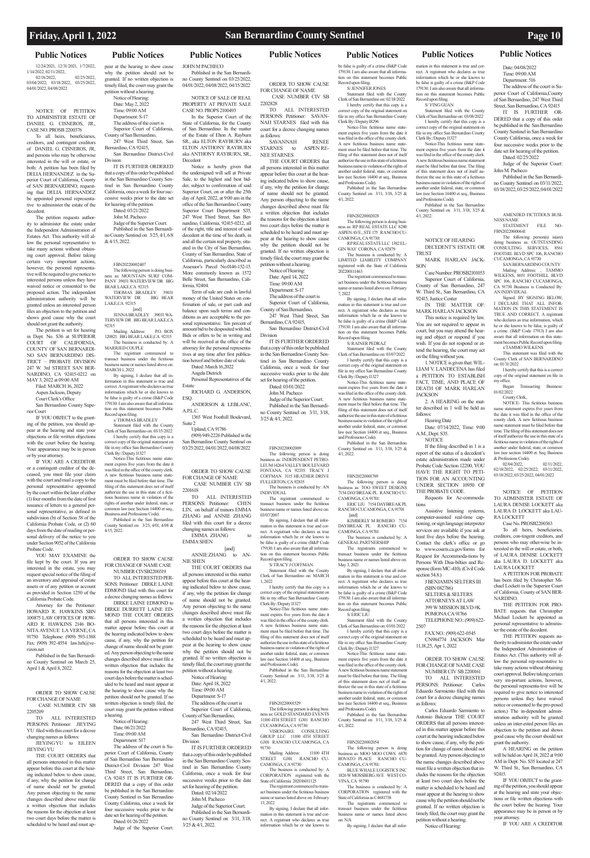## **Public Notices Public Notices Public Notices Public Notices Public Notices Public Notices Public Notices**

12/24/2021, 12/31/2021, 1/7/2022, 1/14/2022; 02/11/2022, 02/25/2022,<br>03/25/2022. 03/04/2022; 03/18/2022, 03/25/2022,

04/01/2022, 04/08/2022

NOTICE OF PETITION TO ADMINISTER ESTATE OF DANIEL G. CISNEROS, JR., CASE NO. PROSB 2200376

To all heirs, beneficiaries, creditors, and contingent creditors of DANIEL G. CISNEROS, JR, and persons who may be otherwise interested in the will or estate, or both: A petition has been filed by DELIA HERNANDEZ in the Superior Court of California, County of SAN BERNARDINO, requesting that DELIA HERNANDEZ be appointed personal representative to administer the estate of the decedent.

The petition requests authority to administer the estate under the Independent Administration of Estates Act. This authority will allow the personal representative to take many actions without obtaining court approval. Before taking certain very important actions, however, the personal representative will be required to give notice to interested persons unless they have waived notice or consented to the proposed action. The independent administration authority will be granted unless an interested person files an objection to the petition and shows good cause why the court should not grant the authority.

Attorney for the Petitioner HOWARD R. HAWKINS SBN 100875 LAW OFFICES OF HOW-ARD R. HAWKINS 2146 BO-NITA AVENUE LA VERNE, CA 91750 Telephone: (909) 593-1388 Fax: (909) 392-4554 law.hrh@verizon.net

The petition is set for hearing in Dept. No. S36 at SUPERIOR COURT OF CALIFORNIA COUNTY OF SAN BERNARDI-NO SAN BERNARDINO DIS-TRICT – PROBATE DIVISION 247 W. 3rd STREET SAN BER-NARDINO, CA 92415-0212 on MAY 3, 2022 at 09:00 AM

Filed: MARCH 16, 2022 Aspen Jackson, Deputy Court Clerk's Office

San Bernardino County Superior Court

THE COURT ORDERS that all persons interested in this matter appear before this court at the hearing indicated below to show cause, if any, why the petition for change of name should not be granted. Any person objecting to the name changes described above must file a written objection that includes the reasons for the objection at least two court days before the matter is scheduled to be heard and must ap-

IF YOU OBJECT to the granting of the petition, you should appear at the hearing and state your objections or file written objections with the court before the hearing. Your appearance may be in person or by your attorney.

Notice of Hearing: Date: May 2, 2022 Time: 09:00 AM Department: S-17 The address of the court is Superior Court of California County of San Bernardino,

IF YOU ARE A CREDITOR or a contingent creditor of the deceased, you must file your claim with the court and mail a copy to the personal representative appointed by the court within the later of either (1) four months from the date of first issuance of letters to a general personal representative, as defined in subdivision (b) of Section 58 of the California Probate Code, or (2) 60 days from the date of mailing or personal delivery of the notice to you under Section 9052 of the California Probate Code.

YOU MAY EXAMINE the file kept by the court. If you are interested in the estate, you may request special notice of the filing of an inventory and appraisal of estate assets or of any petition or account as provided in Section 1250 of the California Probate Code.

Published in the San Bernardino County Sentinel on March 25, April 1 & April 8, 2022.

ORDER TO SHOW CAUSE FOR CHANGE OF NAME CASE NUMBER CIV SB 2205209

TO ALL INTERESTED PERSONS: Petitioner: JIEYING YU filed with this court for a decree changing names as follows:

JIEYING YU to EILEEN JIEYING YU

NUMBER CIVSB2200319 TO ALL INTERESTED PER-SONS: Petitioner: DIRKE LAINE EDMOND filed with this court for a decree changing names as follows: DIRKE LAINE EDMOND to DIRKE DURRETT LAINE ED-MOND THE COURT ORDERS that all persons interested in this matter appear before this court at the hearing indicated below to show cause, if any, why the petition for change of name should not be granted. Any person objecting to the name changes described above must file a written objection that includes the

reasons for the objection at least two court days before the matter is scheduled to be heard and must appear at the hearing to show cause why the petition should not be granted. If no written objection is timely filed, the court may grant the petition without a hearing.

Notice of Hearing: Date: 06/21/2022 Time: 09:00 AM Department: S17

The address of the court is Superior Court of California, County of San Bernardino San Bernardino District-Civil Division 247 West Third Street, San Bernardino, CA 92415 IT IS FURTHER OR-DERED that a copy of this order be published in the San Bernardino County Sentinel in San Bernardino IT IS FURTHER ORDERED that a copy of this order be published in the San Bernardino County Sentinel in San Bernardino County California, once a week for four successive weeks prior to the date set for hearing of the petition. Dated: 02/14/2022

**JOHN M PACHECO** Published in the San Bernardino County Sentinel on 03/25/2022, 04/01/2022, 04/08/2022, 04/15/2022

pear at the hearing to show cause why the petition should not be granted. If no written objection is timely filed, the court may grant the petition without a hearing.

247 West Third Street, San Bernardino, CA 92415, San Bernardino District-Civil

Division IT IS FURTHER ORDERED that a copy of this order be published in the San Bernardino County Sentinel in San Bernardino County California, once a week for four successive weeks prior to the date set for hearing of the petition. Dated: 03/21/2022

John M. Pacheco

Judge of the Superior Court. Published in the San Bernardino County Sentinel on 3/25, 4/1, 6/8 & 4/15, 2022.

FBN20220002407

The following person is doing b ness as: MOUNTAIN SURF COM-PANY 39031 WATERVIEW DR BIG BEAR LAKE,CA 92315: THOMAS BRADLEY 39031<br>FERVIEW DR BIG BEAR WATERVIEW DR

correct copy of the original statem file in my office San Bernardino County Clerk By:/Deputy I1327 Notice-This fictitious name state-San Bernardino County Sentinel on 03/25/2022, 04/01/2022, 04/08/2022

LAKE,CA 92315 [and] JENNA BRADLEY 39031 WA-TERVIEW DR BIG BEAR LAKE,CA

> [and] ANNIE ZHANG to AN-NIE SHEN

92315 Mailing Address: P.O. BOX 120821 BIG BEAR LAKE,CA 92315 The business is conducted by: A

MARRIED COUPLE The registrant commenced to transact business under the fictitious business name or names listed above on: MARCH 1, 2022

By signing, I declare that all information in this statement is true and correct. A registrant who declares as true information which he or she knows to be false is guilty of a crime (B&P Code 179130. I am also aware that all information on this statement becomes Public Record upon filing.

s/ THOMAS BRADLEY Statement filed with the County Clerk of San Bernardino on: 03/15/2022 I hereby certify that this copy is a

SAVANNAH RENEE<br>ARNES to ASPEN\_RE-STARNES to NEE STARNES THE COURT ORDERS that

ment expires five years from the date it was filed in the office of the county clerk. A new fictitious business name statement must be filed before that time. The filing of this statement does not of itself authorize the use in this state of a fictitious business name in violation of the rights of another under federal, state, or mmon law (see Section 14400 et seq., Business and Professions Code).

that a copy of this order be published in the San Bernardino County Sentinel in San Bernardino County California, once a week for four successive weeks prior to the date set for hearing of the petition. Dated: 03/01/2022

Published in the San Bernardino unty Sentinel on 3/25, 4/01, 4/08 & 4/15, 2022.

ORDER TO SHOW CAUSE FOR CHANGE OF NAME CASE

> Published in the S County Sentinel on 3/11, 3/18, 3/25 & 4/1, 2022.

County California, once a week for four successive weeks prior to the date set for hearing of the petition. Dated: 01/26/2022

Clerk By:/Deputy I8296 Notice-This fictitious name statement expires five years from the date it was filed in the office of the county clerk. A new fictitious business name statement must be filed before that time. The

Judge of the Superior Court:

NOTICE OF SALE OF REAL PROPERTY AT PRIVATE SALE CASE NO. PROPS 2100493 In the Superior Court of the

State of California, for the County of San Bernardino: In the matter of the Estate of Elton A. Rayburn SR., aka ELTON RAYBURN aka ELTON ANTHONY RAYBURN aka ANTHONY RAYBURN, SR., Decedent

Notice is hereby given that the undersigned will sell at Private Sale, to the highest and best bidder, subject to confirmation of said Superior Court, on or after the 25th day of April, 2022, at 9:00 am in the office of the San Bernardino County Superior Court Department S35, 247 West Third Street, San Bernardino, California, 92415-0212, all of the right, title and interest of said decedent at the time of his death, in and all the certain real property, situated in the City of San Bernardino, County of San Bernardino, State of California, particularly described as Assessor's Parcel No.0146-152-15. More commonly known as 1572 Belle Street, San Barnardino, Cali-

> Notice-This fictitious name ment expires five years from the date it was filed in the office of the county clerk. A new fictitious business name statement must be filed before that time. The filing of this statement does not of itself authorize the use in this state of a fictitious business name in violation of the rights of another under federal, state, or common law (see Section 14400 et seq., Business and Professions Code).

> Published in the San Bernardino County Sentinel on 3/11, 3/18, 3/25 & 4/1, 2022.

The following person is doing business as: TOO SWEET DESIGNS 7154 DAYBREAK PL RANCHO CU-

[and] KIMBERLY M ROMERO 7154 DAYBREAK PL RANCHO CU-CAMONGA, CA 91701

fornia, 92404. Term of sale are cash in lawful money of the United States on confirmation of sale, or part cash and balance upon such terms and conditions as are acceptable to the personal representative. Ten percent of amount bid to be desposited with bid. Bids or offers to be in writing and will be received at the office of the attorney for the personal representatives at any time after first publica-

tion hereof and before date of sale. Dated: March 16,2022 Angela Dietrich Personal Representatives of the

Estate RICHARD G. ANDERSON, ESQ.

> Published in the San Bernardino County Sentinel on 3/11, 3/18, 3/25 &  $4/1, 2022$

ANDERSON & LEBLANC, A.PT.C. 1365 West Foothill Boulevard,

Suite 2 Upland, CA 91786 (909) 949-2226 Published in the

ORDER TO SHOW CAUSE FOR CHANGE OF NAME

 CASE NUMBER CIV SB 2201618 TO ALL INTERESTED

PERSONS: Petitioner: CHEN LIN, on behalf of minors EMMA ZHANG and ANNIE ZHANG filed with this court for a decree

changing names as follows: EMMA ZHANG to EMMA SHEN

THE COURT ORDERS that all persons interested in this matter appear before this court at the hearing indicated below to show cause, if any, why the petition for change of name should not be granted. Any person objecting to the name changes described above must file a written objection that includes the reasons for the objection at least two court days before the matter is scheduled to be heard and must appear at the hearing to show cause why the petition should not be granted. If no written objection is

Published in the San Bernardino County Sentinel on 3/11, 3/18, 3/25 &

timely filed, the court may grant the petition without a hearing. Notice of Hearing: Date: April 18, 2022 Time: 09:00 AM Department: S-17 The address of the court is Superior Court of California,

A.M., Dept. S35. **NOTICE** 

County of San Bernardino, 247 West Third Street, San Bernardino, CA 92415, San Bernardino District-Civil

Division

John M. Pacheco Judge of the Superior Court.

Published in the San Bernardino County Sentinel on 3/11, 3/18, 3/25 & 4/1, 2022.

NI IMBER CIV SB 2200161 TO ALL INTERESTED PERSONS: Petitioner: Carlos Eduardo Sarmiento filed with this court for a decree changing names as follows:

ORDER TO SHOW CAUSE FOR CHANGE OF NAME CASE NUMBER CIV SB

2202828 TO ALL INTERESTED PERSONS: Petitioner: SAVAN-NAH STARNES filed with this court for a decree changing names as follows:

all persons interested in this matter appear before this court at the hearing indicated below to show cause, if any, why the petition for change of name should not be granted. Any person objecting to the name changes described above must file a written objection that includes the reasons for the objection at least two court days before the matter is scheduled to be heard and must appear at the hearing to show cause why the petition should not be granted. If no written objection is timely filed, the court may grant the petition without a hearing.

The following person(s) doing business as: OUTSTANDING CONSULTING SERVICES, 8561 FOOTHIL BLVD SPC 106, RANCHO CUCAMONGA, CA 91730 SAN BERNARDINO COUNTY Mailing Address: , TAMMO WILKENS, 8651 FOOTHILL BLVD SPC 106, RANCHO CUCAMONGA, CA 91730 Business is Conducted By:

Notice of Hearing: Date: April 14, 2022 Time: 09:00 AM

Department: S-17 The address of the court is

Signed: BY SIGNING BELOW, I DECLARE THAT ALL INFOR-MATION IN THIS STATEMENT IS TRUE AND CORRECT. A registrant who declares as true information, which he or she knows to be false, is guilty of a crime. (B&P Code 17913) I am also aware that all information on this statement becomes Public Record upon filing. s/TAMMO WILKENS This statement was filed with the County Clerk of SAN BERNARDINO

Superior Court of California, County of San Bernardino,

247 West Third Street, San Bernardino, CA 92415, San Bernardino District-Civil

Division IT IS FURTHER ORDERED

John M. Pacheco Judge of the Superior Court. Published in the San Bernardino County Sentinel on 3/11, 3/18,

3/25 & 4/1, 2022.

FBN20220002009 The following person is doing business as: INDEPENDENT PETRO-LEUM 14264 VALLEY BOULEVARD FONTANA, CA 92335: TRACY J COFFMAN 3115 HEATHER DRIVE

FULLERTON, CA 92835 The business is conducted by: AN INDIVIDUAL

The registrant commenced to transact business under the fictitious siness name or names listed above on: 03/07/2007

By signing, I declare that all information in this statement is true and correct. A registrant who declares as true information which he or she knows to be false is guilty of a crime (B&P Code 179130. I am also aware that all information on this statement becomes Public Record upon filing.

S/TRACY LCOFFMAN

Statement filed with the County Clerk of San Bernardino on: MARCH 1, 2022

I hereby certify that this copy is a correct copy of the original statement on file in my office San Bernardino County Clerk By:/Deputy I1327

Notice-This fictitious name stateent expires five years from the date it was filed in the office of the county clerk. A new fictitious business name statement must be filed before that time. The filing of this statement does not of itself authorize the use in this state of a fictitious business name in violation of the rights of another under federal, state, or common law (see Section 14400 et seq., Business and Professions Code).

### FBN20220001529

The following person is doing business as: GOLD STANDARD EVENTS 11100 4TH STREET G301 RANCHO CUCAMONGA, CA 91730: VISIONAIRE CONSULTING GROUP LLC 11100 4TH STREET G301 RANCHO CUCAMONGA, CA 91730

Mailing Address: 11100 4TH STREET G301 RANCHO CU-CAMONGA, CA 91730

The business is conducted by: A CORPORATION registered with the State of California 202016011125

The registrant commenced to transact business under the fictitious business name or names listed above on: February 13, 2022

By signing, I declare that all information in this statement is true and correct. A registrant who declares as true information which he or she knows to be false is guilty of a crime (B&P Code 179130. I am also aware that all information on this statement becomes Public Record upon filing.

S/ JENNIFER JONES Statement filed with the County

Clerk of San Bernardino on: 02/18/2022 I hereby certify that this copy is a correct copy of the original statement on file in my office San Bernardino County

filing of this statement does not of itself authorize the use in this state of a fictitious business name in violation of the rights of another under federal, state, or common law (see Section 14400 et seq., Business and Professions Code). Published in the San Bernardino

County Sentinel on 3/11, 3/18, 3/25 & 4/1, 2022.

### FBN20220002028 The following person is doing business as: RP REAL ESTATE LLC 8280

ASPEN AVE., STE 175 RANCHO CU-CAMONGA, CA 91730: RP REAL ESTATE LLC 1382 EL-

GIN WAY CORONA, CA 92879 The business is conducted by: A LIMITED LIABILITY COMPANY

registered with the State of California 202200111463 The registrant commenced to transact business under the fictitious business

name or names listed above on: February 7, 2022 By signing, I declare that all infor-

mation in this statement is true and correct. A registrant who declares as true information which he or she knows to be false is guilty of a crime (B&P Code 179130. I am also aware that all information on this statement becomes Public Record upon filing.

S/ RAINER PEDRAZ

Statement filed with the County Clerk of San Bernardino on: 03/07/2022 I hereby certify that this copy is a correct copy of the original statement on file in my office San Bernardino County Clerk By:/Deputy I1327

### FBN20220001769

CAMONGA, CA 91701: ERIC LIU 7154 DAYBREAK PL RANCHO CUCAMONGA, CA 91701

The business is conducted by: A

GENERAL PARTNERSHIP The registrants commenced to transact business under the fictitious business name or names listed above on:

May 3, 2021 By signing, I declare that all information in this statement is true and correct. A registrant who declares as true

information which he or she knows to be false is guilty of a crime (B&P Code 179130. I am also aware that all information on this statement becomes Public

Record upon filing. S/ ERIC LIU

Statement filed with the County

A new fictitious business name statement must be filed before that time. The filing of this statement does not of itself authorize the use in this state of a fictitious business name in violation of the rights of another under federal, state, or common law (see Section 14400 et seq., Business and Professions Code).

### FBN20220002054

The following person is doing business as: MOO MOO COWS 6870 ROVATO PLACE RANCHO CU-CAMONGA, CA 91701:

BLUE WHALE LOGISTICS INC 1826 W MOSSBERG AVE WEST CO-VINA, CA 91790

The business is conducted by: A CORPORATION registered with the State of California as C4681738

The registrants commenced to transact business under the fictitious business name or names listed above on: N/A

By signing, I declare that all infor-

mation in this statement is true and correct. A registrant who declares as true information which he or she knows to be false is guilty of a crime (B&P Code 179130. I am also aware that all information on this statement becomes Public

Record upon filing. S/ YING GUAN

Statement filed with the County Clerk of San Bernardino on: 03/08/2022 I hereby certify that this copy is a orrect copy of the original statement on file in my office San Bernardino County Clerk By:/Deputy I1327

Notice-This fictitious name statement expires five years from the date it was filed in the office of the county clerk. A new fictitious business name statement must be filed before that time. The filing of this statement does not of itself authorize the use in this state of a fictitious business name in violation of the rights of another under federal, state, or common law (see Section 14400 et seq., Business

Clerk of San Bernardino on: 03/01/2022 I hereby certify that this copy is a correct copy of the original statement on file in my office San Bernardino County 2507 FAX NO.: (909) 622-0545 CN984774 JACKSON Mar 11,18,25, Apr 1, 2022

Clerk By:/Deputy I1327 Notice-This fictitious name statement expires five years from the date it was filed in the office of the county clerk. FOR CHANGE OF NAME CASE

and Professions Code).

4/1, 2022.

NOTICE OF HEARING DECEDENT'S ESTATE OR

TRUST

MARK HARLAN JACK-

SON

Case Number: PROSB2101053 Superior Court of California, County of San Bernardino, 247 W. Third St., San Bernardino, CA

92415, Justice Center

**JACKSON** 

IN THE MATTER OF: MARK HARLAN JACKSON This notice is required by law. You are not required to appear in court, but you may attend the hearing and object or respond if you wish. If you do not respond or attend the hearing, the court may act on the filing without you.

1. NOTICE is given that: WIL-LIAM V. LANDECENA has filed a PETITION TO ESTABLISH FACT, TIME, AND PLACE OF DEATH OF MARK HARLAN

2. A HEARING on the matter described in 1 will be held as

follows:

Hearing Date

Date: 07/14/2022, Time: 9:00

If the filing described in 1 is a report of the status of a decedent's estate administration made under Probate Code Section 12200, YOU HAVE THE RIGHT TO PETI-TION FOR AN ACCOUNTING UNDER SECTION 10950 OF THE PROBATE CODE. Requests for Ac-commoda-

tions

Assistive listening systems, computer-assisted real-time captioning, or sign language interpreter services are available if you ask at least five days before the hearing. Contact the clerk's office or go to www.courts.ca.gov/forms for Request for Accommoda-tions by Persons With Disa-bilties and Response (form MC-410). (Civil Code

section 54.8.)

J BENJAMIN SELTERS III

(SBN 082786) SELTERS & SELTERS ATTORNEYS AT LAW 399 W MISSION BLVD #K POMONA CA 91766 TELEPHONE NO.: (909) 622-

ORDER TO SHOW CAUSE

Carlos Eduardo Sarmiento to Antonio Balcazar THE COURT ORDERS that all persons interested in this matter appear before this court at the hearing indicated below to show cause, if any, why the petition for change of name should not be granted. Any person objecting to the name changes described above must file a written objection that includes the reasons for the objection

at least two court days before the matter is scheduled to be heard and must appear at the hearing to show cause why the petition should not be granted. If no written objection is timely filed, the court may grant the petition without a hearing. Notice of Hearing:

Date: 04/08/2022 Time: 09:00 AM Department: 516

The address of the court is Superior Court of California,County of San Bernardino, 247 West Third Street, San Bernardino, CA 92415 IT IS FURTHER OR-DERED that a copy of this order be published in the San Bernardino County Sentinel in San Bernardino County California, once a week for four successive weeks prior to the date set for hearing of the petition. Dated: 02/25/2022 Judge of the Superior Court:

John M. Pacheco

Published in the San Bernardino County Sentinel on 03/11/2022, 03/18/2022, 03/25/2022, 04/01/2022

AMENDED FICTITIOUS BUSI-

STATEMENT FILE NO-

NESS NAME

FBN20220000641

AN INDIVIDUAL.

on: 01/31/2022

I hereby certify that this is a correct copy of the original statement on file in

my office.

Began Transacting Business:

01/02/2022 County Clerk,

& Professions Code).<br>02/04/2022,

NOTICE- This fictitious business ne statement expires five years from the date it was filed in the office of the county clerk. A new fictitious business name statement must be filed before that time. The filing of this statement does not of itself authorize the use in this state of a fictitious name in violation of the rights of another under federal, state, or common law (see section 14400 et. Seq. Business

02/04/2022, 02/11/2022, 02/18/2022, 02/25/2022; 03/11/2022, 03/18/2022, 03/25/2022, 04/01/2022

NOTICE OF PETITION TO ADMINISTER ESTATE OF LAURA DENISE LOCKETT aka LAURA D. LOCKETT aka LAU-

RA LOCKETT

Case No. PROSB2200363 To all heirs, beneficiaries, creditors, con-tingent creditors, and persons who may other-wise be interested in the will or estate, or both, of LAURA DENISE LOCKETT aka LAURA D. LOCKETT aka

LAURA LOCKETT

A PETITION FOR PROBATE has been filed by Christopher Michael Lockett in the Superior Court of California, County of SAN BER-

NARDINO.

THE PETITION FOR PRO-BATE requests that Christopher Michael Lockett be appointed as personal representative to administer the estate of the decedent. THE PETITION requests authority to administer the estate under the Independent Administration of Estates Act. (This authority will allow the personal rep-resentative to

take many actions without obtaining court approval. Before taking certain very im-portant actions, however, the personal representa-tive will be required to give notice to interested persons unless they have waived notice or consented to the pro-posed action.) The in-dependent administration authority will be granted unless an inter-ested person files an objection to the petition and shows good cause why the court should not grant the authority.

A HEARING on the petition will be held on April 18, 2022 at 9:00 AM in Dept. No. S35 located at 247 W. Third St., San Bernardino, CA. 92415.

IF YOU OBJECT to the granting of the petition, you should appear at the hearing and state your objections or file written objections with the court before the hearing. Your appearance may be in person or by your attorney.

IF YOU ARE A CREDITOR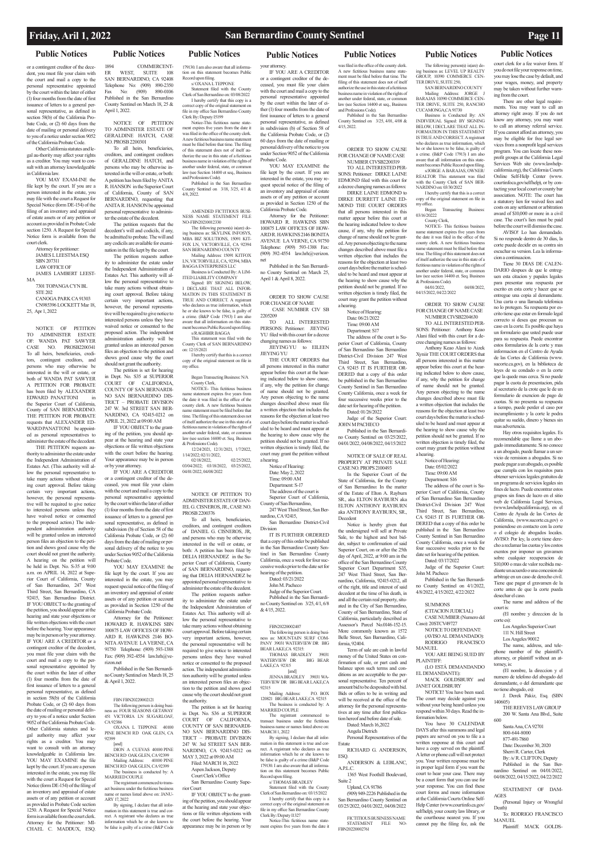or a contingent creditor of the decedent, you must file your claim with the court and mail a copy to the personal representative appointed by the court within the later of either (1) four months from the date of first issuance of letters to a general personal representative, as defined in section 58(b) of the California Probate Code, or (2) 60 days from the date of mailing or personal delivery to you of a notice under section 9052 of the California Probate Code.

YOU MAY EXAM-INE the file kept by the court. If you are a person interested in the estate, you may file with the court a Request for Special Notice (form DE-154) of the filing of an inventory and appraisal of estate assets or of any petition or account as provided in Probate Code section 1250. A Request for Special Notice form is available from the court clerk.

Other California statutes and legal au-thority may affect your rights as a creditor. You may want to consult with an attorney knowledgeable in California law.

> Attorney for petitioner: JAMES L LEESTMA ESQ SBN 207311 LAW OFFICE OF

JAMES LAMBERT LEEST-MA

7301 TOPANGA CYN BL STE 202 CANOGA PARK CA 91303 CN985396 LOCKETT Mar 18, 25, Apr 1, 2022

NOTICE OF PETITION TO ADMINISTER ESTATE OF: WANDA PAT SAWYER CASE NO. PROSB2200341 To all heirs, beneficiaries, creditors, contingent creditors, and persons who may otherwise be interested in the will or estate, or both of WANDA PAT SAWYER A PETITION FOR PROBATE has been filed by ALEXANDER EDWARD PANATTONI in the Superior Court of California, County of SAN BERNARDINO. THE PETITION FOR PROBATE requests that ALEXANDER ED-WARD PANATTONI be appointed as personal representatives to administer the estate of the decedent. THE PETITION requests au-

thority to administer the estate under the Independent Administration of Estates Act. (This authority will allow the personal representative to take many actions without obtaining court approval. Before taking certain very important actions, however, the personal representative will be required to give notice to interested persons unless they have waived notice or consented to the proposed action.) The independent administration authority will be granted unless an interested person files an objection to the petition and shows good cause why the court should not grant the authority. A hearing on the petition will be held in Dept. No. S-35 at 9:00 a.m. on APRIL 14, 2022 at Superior Court of California, County of San Bernardino, 247 West Third Street, San Bernardino, CA 92415, San Bernardino District. IF YOU OBJECT to the granting of the petition, you should appear at the hearing and state your objections or file written objections with the court before the hearing. Your appearance may be in person or by your attorney. IF YOU ARE A CREDITOR or a contingent creditor of the decedent, you must file your claim with the court and mail a copy to the personal representative appointed by the court within the later of either (1) four months from the date of first issuance of letters to a general personal representative, as defined in section 58(b) of the California Probate Code, or (2) 60 days from the date of mailing or personal delivery to you of a notice under Section 9052 of the California Probate Code. Other California statutes and legal authority may affect your rights as a creditor. You may want to consult with an attorney knowledgeable in California law. YOU MAY EXAMINE the file kept by the court. If you are a person interested in the estate, you may file with the court a Request for Special Notice (form DE-154) of the filing of an inventory and appraisal of estate assets or of any petition or account as provided in Probate Code section 1250. A Request for Special Notice form is available from the court clerk. Attorney for the Petitioner: MI-CHAEL C. MADDUX, ESQ.

The registrant commenced to trans-act business under the fictitious business name or names listed above on: JANU-ARY 17, 2022

179130. I am also aware that all information on this statement becomes Public Record upon filing. s/ OXANA L TEPPONE Statement filed with the Co

## **Public Notices Public Notices Public Notices Public Notices Public Notices Public Notices Public Notices**

1894 COMMERCENT-ER WEST, SUITE 108 SAN BERNARDINO, CA 92408 Telephone No: (909) 890-2350<br>Fax No: (909) 890-0106 Fax No: (909) 890-0106 Published in the San Bernardino County Sentinel on March 18, 25 & April 1, 2022.

NOTICE OF PETITION TO ADMINISTER ESTATE OF GERALDINE HATCH, CASE NO. PROSB 2200301

> Mailing Address: 15091 KITFOX LN, VICTORVILLE, CA, 92394, MBA BAGGA ENTERPRISES LLC Business is Conducted By: A LIM-

To all heirs, beneficiaries, creditors, and contingent creditors of GERALDINE HATCH, and persons who may be otherwise interested in the will or estate, or both: A petition has been filed by ANITA R. HANSON in the Superior Court of California, County of SAN BERNARDINO, requesting that ANITA R. HANSON be appointed personal representative to administer the estate of the decedent. The petition requests that the

decedent's will and codicils, if any, be admitted to probate. The will and any codicils are available for examination in the file kept by the court.

The petition requests authority to administer the estate under the Independent Administration of Estates Act. This authority will allow the personal representative to take many actions without obtaining court approval. Before taking certain very important actions, however, the personal representative will be required to give notice to interested persons unless they have waived notice or consented to the proposed action. The independent administration authority will be granted unless an interested person files an objection to the petition and shows good cause why the court

should not grant the authority. The petition is set for hearing in Dept. No. S35 at SUPERIOR COURT OF CALIFORNIA, COUNTY OF SAN BERNARDI-NO SAN BERNARDINO DIS-TRICT – PROBATE DIVISION 247 W. 3rd STREET SAN BER-NARDINO, CA 92415-0212 on APRIL 21, 2022 at 09:00 AM

IF YOU OBJECT to the granting of the petition, you should appear at the hearing and state your objections or file written objections with the court before the hearing. Your appearance may be in person or by your attorney.

IF YOU ARE A CREDITOR or a contingent creditor of the deceased, you must file your claim with the court and mail a copy to the personal representative appointed by the court within the later of either (1) four months from the date of first issuance of letters to a general personal representative, as defined in subdivision (b) of Section 58 of the California Probate Code, or (2) 60 days from the date of mailing or personal delivery of the notice to you under Section 9052 of the California Probate Code.

ALL INTERESTED PERSONS: Petitioner: JIEYING YU filed with this court for a decree changing names as follows: JIEYING YU to EILEEN

YOU MAY EXAMINE the file kept by the court. If you are interested in the estate, you may request special notice of the filing of an inventory and appraisal of estate assets or of any petition or account as provided in Section 1250 of the California Probate Code.

The address of the court is Superior Court of California

Attorney for the Petitioner: HOWARD R. HAWKINS SBN 100875 LAW OFFICES OF HOW-ARD R. HAWKINS 2146 BO-NITA AVENUE LA VERNE, CA 91750 Telephone: (909) 593-1388 Fax: (909) 392-4554 law.hrh@verizon.net

Published in the San Bernardi-

no County Sentinel on March 18, 25 & April 1, 2022.

## FBN FBN20220002121

The following person is doing busi-ness as: FOUR SEASONS GETAWAY 451 VICTORIA LN SUGARLOAF,

The following person is doing b ness as: MOUNTAIN SURF COM-PANY 39031 WATERVIEW DR BIG BEAR LAKE,CA 92315:

CA 92386 OXANA L TEPPONE 40100 PINE BENCH RD OAK GLEN, CA 92399

WATERVIEW DR BIG BEAR [and] JENNA BRADLEY 39031 WA-TERVIEW DR BIG BEAR LAKE,CA 92315

The registrant commenced to transact business under the fictitious business name or names listed above on: MARCH 1, 2022

[and] DION A CUEVAS 40100 PINE BENCH RD OAK GLEN, CA 92399 Mailing Address: 40100 PINE BENCH RD OAK GLEN, CA 92399 The business is conducted by: A MARRIED COUPLE

By signing, I declare that all information in this statement is true and correct. A registrant who declares as true information which he or she knows to be false is guilty of a crime (B&P Code 179130. I am also aware that all information on this statement becomes Public Record upon filing.

By signing, I declare that all information in this statement is true and cor-rect. A registrant who declares as true information which he or she knows to

be false is guilty of a crime (B&P Code

Published in the San Bernardino County Sentinel on 3/25, 4/01, 4/08 & 4/15, 2022.

### ORDER TO SHOW CAUSE FOR CHANGE OF NAME CASE NUMBER CIVSB2200319

Clerk of San Bernardino on: 03/08/2022 I hereby certify that this copy is a correct copy of the original statement on<br>file in my office San Bernardino County file in my office San Bernardino County Clerk By:/Deputy I5199 Notice-This fictitious name statement expires five years from the date it was filed in the office of the county clerk. A new fictitious business name statement must be filed before that time. The filing

> Notice of Hearing: Date: 06/21/2022 Time: 09:00 AM Department: S17

of this statement does not of itself authorize the use in this state of a fictitious business name in violation of the rights of another under federal, state, or common law (see Section 14400 et seq., Business and Professions Code). Published in the San Bernardino County Sentinel on 3/18, 3/25, 4/1 & 4/8, 2022.

AMENDED FICTITIOUS BUSI-NESS NAME STATEMENT FILE NO-FBN20210012330

> JOHN M PACHECO Published in the San Bernardino County Sentinel on 03/25/2022, 04/01/2022, 04/08/2022, 04/15/2022

The following person(s) is(are) doing business as: SKYLINK INFOSYS, MBA BIZ SOLUTIONS, 15091 KIT-FOX LN, VICTORVILLE, CA 92394 SAN BERNARDINO COUNTY

ITED LIABILITY COMPANY Signed: BY SIGNING BELOW, I DECLARE THAT ALL INFOR-MATION IN THIS STATEMENT IS TRUE AND CORRECT. A registrant who declares as true information, which he or she knows to be false, is guilty of a crime. (B&P Code 17913) I am also aware that all information on this statement becomes Public Record upon filing. s/RAGHBIR BAGGA

This statement was filed with the County Clerk of SAN BERNARDINO on: 12/15/2021 I hereby certify that this is a correct

copy of the original statement on file in my office. Began Transacting Business: N/A

business as: LEVEL UP REALTY GROUP, 10390 COMMERCE CEN-TER DRIVE, SUITE 250, SAN BERNARDINO COUNTY Mailing Address: JORGE J BARAJAS 10390 COMMERCE CEN-TER DRIVE, SUITE 250, RANCHO

County Clerk, NOTICE- This fictitious business name statement expires five years from the date it was filed in the office of the county clerk. A new fictitious business name statement must be filed before that time. The filing of this statement does not of itself authorize the use in this state of a fictitious name in violation of the rights of another under federal, state, or common law (see section 14400 et. Seq. Business & Professions Code). 12/24/2021, 12/31/2021, 1/7/2022,

I hereby certify that this is a correct copy of the original statement on file in my office. Began Transacting Business:

03/16/20222 County Clerk,

1/14/2022; 02/11/2022, 02/18/2022, 02/25/2022, 03/04/2022; 03/18/2022, 03/25/2022, 04/01/2022, 04/08/2022

NOTICE OF PETITION TO ADMINISTER ESTATE OF DAN-IEL G. CISNEROS, JR., CASE NO. PROSB 2200376

To all heirs, beneficiaries, creditors, and contingent creditors of DANIEL G. CISNEROS, JR, and persons who may be otherwise interested in the will or estate, or both: A petition has been filed by DELIA HERNANDEZ in the Superior Court of California, County of SAN BERNARDINO, requesting that DELIA HERNANDEZ be

appointed personal representative to administer the estate of the decedent. The petition requests authority to administer the estate under the Independent Administration of Notice of Hearing: Date: 05/02/2022 Time: 09:00 AM Department: S16

Estates Act. This authority will allow the personal representative to take many actions without obtaining court approval. Before taking certain very important actions, however, the personal representative will be required to give notice to interested

tion authority will be granted unless an interested person files an objection to the petition and shows good cause why the court should not grant the authority.

The independent a

The petition is set for hearing in Dept. No. S36 at SUPERIOR COURT OF CALIFORNIA, COUNTY OF SAN BERNARDI-NO SAN BERNARDINO DIS-TRICT – PROBATE DIVISION 247 W. 3rd STREET SAN BER-NARDINO, CA 92415-0212 on MAY 3, 2022 at 09:00 AM Filed: MARCH 16, 2022

Aspen Jackson, Deputy Court Clerk's Office San Bernardino County Superior Court

IF YOU OBJECT to the granting of the petition, you should appear at the hearing and state your objections or file written objections with the court before the hearing. Your appearance may be in person or by your attorney.

IF YOU ARE A CREDITOR or a contingent creditor of the deceased, you must file your claim with the court and mail a copy to the personal representative appointed by the court within the later of either (1) four months from the date of first issuance of letters to a general personal representative, as defined in subdivision (b) of Section 58 of the California Probate Code, or (2) 60 days from the date of mailing or personal delivery of the notice to you under Section 9052 of the California

Probate Code.

YOU MAY EXAMINE the file kept by the court. If you are interested in the estate, you may request special notice of the filing of an inventory and appraisal of estate assets or of any petition or account as provided in Section 1250 of the California Probate Code.

Attorney for the Petitioner: HOWARD R. HAWKINS SBN 100875 LAW OFFICES OF HOW-ARD R. HAWKINS 2146 BONITA AVENUE LA VERNE, CA 91750 Telephone: (909) 593-1388 Fax: (909) 392-4554 law.hrh@verizon.

persons unless they have waived notice or consented to the proposed LAKE,CA 92315

net

2205209<br>TO

Published in the San Bernardino County Sentinel on March 25, April 1 & April 8, 2022.

ORDER TO SHOW CAUSE FOR CHANGE OF NAME CASE NUMBER CIV SB

JIEYING YU

THE COURT ORDERS that all persons interested in this matter appear before this court at the hearing indicated below to show cause, if any, why the petition for change of name should not be granted. Any person objecting to the name changes described above must file a written objection that includes the reasons for the objection at least two

court days before the matter is scheduled to be heard and must appear at the hearing to show cause why the petition should not be granted. If no written objection is timely filed, the court may grant the petition without a hearing. Notice of Hearing: Date: May 2, 2022 Time: 09:00 AM

Department: S-17 County of San Bernardino,

247 West Third Street, San Bernardino, CA 92415,

San Bernardino District-Civil Division

IT IS FURTHER ORDERED

that a copy of this order be published in the San Bernardino County Sentinel in San Bernardino County California, once a week for four successive weeks prior to the date set for hearing of the petition.

Dated: 03/21/2022 John M. Pacheco Judge of the Superior Court. Published in the San Bernardi-

no County Sentinel on 3/25, 4/1, 6/8 & 4/15, 2022.

FBN20220002407

THOMAS BRADLEY 39031

Mailing Address: P.O. BOX 120821 BIG BEAR LAKE,CA 92315 The business is conducted by: A MARRIED COUPLE

> s/ THOMAS BRADLEY Statement filed with the County

Clerk of San Bernardino on: 03/15/2022 I hereby certify that this copy is a correct copy of the original statement on file in my office San Bernardino County Clerk By:/Deputy I1327

Notice-This fictitious name statement expires five years from the date it was filed in the office of the county clerk. A new fictitious business name statement must be filed before that time. The filing of this statement does not of itself authorize the use in this state of a fictitious business name in violation of the rights of another under federal, state, or common law (see Section 14400 et seq., Business and Professions Code).

TO ALL INTERESTED PER-SONS: Petitioner: DIRKE LAINE EDMOND filed with this court for a decree changing names as follows:

DIRKE LAINE EDMOND to DIRKE DURRETT LAINE ED-MOND THE COURT ORDERS that all persons interested in this matter appear before this court at the hearing indicated below to show cause, if any, why the petition for change of name should not be granted. Any person objecting to the name changes described above must file a written objection that includes the reasons for the objection at least two court days before the matter is scheduled to be heard and must appear at the hearing to show cause why the petition should not be granted. If no written objection is timely filed, the court may grant the petition without a hearing.

The address of the court is Superior Court of California, County

of San Bernardino San Bernardino District-Civil Division 247 West Third Street, San Bernardino, CA 92415 IT IS FURTHER OR-DERED that a copy of this order be published in the San Bernardino County Sentinel in San Bernardino County California, once a week for four successive weeks prior to the date set for hearing of the petition. Dated: 01/26/2022

Judge of the Superior Court:

NOTICE OF SALE OF REAL PROPERTY AT PRIVATE SALE CASE NO. PROPS 2100493

In the Superior Court of the State of California, for the County of San Bernardino: In the matter of the Estate of Elton A. Rayburn SR., aka ELTON RAYBURN aka ELTON ANTHONY RAYBURN aka ANTHONY RAYBURN, SR., Decedent

Notice is hereby given that the undersigned will sell at Private Sale, to the highest and best bidder, subject to confirmation of said Superior Court, on or after the 25th day of April, 2022, at 9:00 am in the office of the San Bernardino County Superior Court Department S35, 247 West Third Street, San Bernardino, California, 92415-0212, all of the right, title and interest of said decedent at the time of his death, in and all the certain real property, situated in the City of San Bernardino, County of San Bernardino, State of California, particularly described as Assessor's Parcel No.0146-152-15. More commonly known as 1572 Belle Street, San Barnardino, California, 92404.

Term of sale are cash in lawful money of the United States on confirmation of sale, or part cash and balance upon such terms and conditions as are acceptable to the personal representative. Ten percent of amount bid to be desposited with bid. Bids or offers to be in writing and will be received at the office of the attorney for the personal representatives at any time after first publication hereof and before date of sale. Dated: March 16,2022 Angela Dietrich Personal Representatives of the Estate

RICHARD G. ANDERSON, ESQ.

ANDERSON & LEBLANC, A.P.L.C.

1365 West Foothill Boulevard, Suite 2

Upland, CA 91786 (909) 949-2226 Published in the San Bernardino County Sentinel on 03/25/2022, 04/01/2022, 04/08/2022

FICTITIOUS BUSINESS NAME STATEMENT FILE NO-FBN20220002761

# The following person(s) is(are) do-

CUCAMONGA,CA 91730 Business is Conducted By: AN INDIVIDUAL Signed: BY SIGNING BELOW, I DECLARE THAT ALL IN-FORMATION IN THIS STATEMENT IS TRUE AND CORRECT. A registrant who declares as true information, which he or she knows to be false, is guilty of a crime. (B&P Code 17913) I am also aware that all information on this statement becomes Public Record upon filing. s/JORGE A BARAJAS, OWNER/ REALTOR This statement was filed with the County Clerk of SAN BER-NARDINO on: 03/30/2022

NOTICE- This fictitious business name statement expires five years from the date it was filed in the office of the county clerk. A new fictitious business name statement must be filed before that time. The filing of this statement does not of itself authorize the use in this state of a fictitious name in violation of the rights of another under federal, state, or common law (see section 14400 et. Seq. Business & Professions Code).<br>04/01/2022. 04/08/2022. 04/15/2022, 04/22/2022

ORDER TO SHOW CAUSE FOR CHANGE OF NAME CASE NUMBER CIVSB2204630

TO ALL INTERESTED PER-SONS: Petitioner: Anthony Keao Alani filed with this court for a decree changing names as follows:

Anthony Keao Alani to Aizek Xyniir THE COURT ORDERS that all persons interested in this matter appear before this court at the hearing indicated below to show cause. if any, why the petition for change of name should not be granted. Any person objecting to the name changes described above must file a written objection that includes the reasons for the objection at least two court days before the matter is scheduled to be heard and must appear at the hearing to show cause why the petition should not be granted. If no written objection is timely filed, the court may grant the petition without a hearing.

The address of the court is Superior Court of California, County of San Bernardino San Bernardino District-Civil Division 247 West Third Street, San Bernardino, CA 92415 IT IS FURTHER OR-DERED that a copy of this order be published in the San Bernardino County Sentinel in San Bernardino County California, once a week for

four successive weeks prior to the

date set for hearing of the petition. Dated: 03/17/2022 Judge of the Superior Court: John M. Pacheco Published in the San Bernardi-

no County Sentinel on 4/1/2022, 4/8/2022, 4/15/2022, 4/22/2022 SUMMONS (CITACION JUDICIAL)

CASE NUMBER (Numero del so): 20STCV49727 NOTICE TO DEFENDANT:

(AVISO AL DEMANDADO): RODRIGO FRANCISCO MANUEL

YOU ARE BEING SUED BY PLAINTIFF: (LO ESTÁ DEMANDANDO

EL DEMANDANTE): MACK GOLDSBURY and JANET GOLDSBURY

NOTICE! You have been sued. The court may decide against you without your being heard unless you respond within 30 days. Read the information below.

You have 30 CALENDAR DAYS after this summons and legal papers are served on you to file a a written response at this court and have a copy served on the plaintiff. A letter or phone call will not protect you. Your written response must be in proper legal form if you want the court to hear your case. There may be a court form that you can use for your response. You can find these court forms and more information at the California Courts Online Self-Help Center (www.courtinfo.ca.gov/ selfhelp), your county law library, or the courthouse nearest you. If you cannot pay the filing fee, ask the court clerk for a fee waiver form. If you do not file your response on time, you may lose the case by default, and your wages, money, and property may be taken without further warning from the court.

There are other legal requirements. You may want to call an attorney right away. If you do not know any attorney, you may want to call an attorney referral service. If you cannot afford an attorney, you may be eligible for free legal services from a nonprofit legal services program. You can locate these nonprofit groups at the California Legal Services Web site (www.lawhelpcalifornia.org), the California Courts Online Self-Help Center (www. courtinfoca.gov/selfhelp), or by contacting your local court or county bar association. NOTE: The court has a statutory lien for waived fees and costs on any settlement or arbitration award of \$10,000 or more in a civil case. The court's lien must be paid before the court will dismiss the case.

AVISO! Lo han demandado. Si no responde dentro de 30 dias, la corte puede decidir en su contra sin escuchar su version. Lea la informacion a continuacion.

Tiene 30 DIAS DE CALEN-DARIO despues de que le entreguen esta citacion y papales legales para presentar una respuesta por escrito en esta corte y hacer que se entregue una copia al demandante. Una carta o una llamada telefonica no lo protegen. Su respuesta por escrito tiene que estar en formalo legal correcto si desea que procesan su caso en la corte. Es posible que haya un formulario que usted puede usar para su respuesta. Puede encontrar estos formularios de la corte y mas informacion en el Centro de Ayuda de las Cortes de California (www. sucorte.ca.gov), en la biblioteca de leyes de su condado o en la corte que la quede mas cerca. Si no puede pagar la cuota de presentacion, pida al secretario de la crote que le de un formulario de exencion de pago de cuotas. Si no presenta su respuesta a tiempo, puede perder el caso por incumplimiento y la corte le podra quitar su sueldo, dinero y bienes sin mas advertencia.

Hay otros requisitos legales. Es recomendable que llame a un abogado immediatamente. Si no conoce a un abogado, puede llamar a un servicio de remision a abogados. Si no puede pagar a un abogado, es posible que cumpla con los requisitos para obtener servicios legales gratuitos de un programa de servicios legales sin fines de lucro. Puede encontrar estos grupos sin fines de lucro en el sitio web de California Legal Services, (www.lawhelpcalifornia.org), en el Centro de Ayuda de las Cortes de California, (www.sucorte.ca.gov) o poniendose en contacto con la corte o el colegio de abogados locales. AVISO: Por ley, la corte tiene derecho a reclamar las cuotas y los costos exentos por imponer un gravamen sobre cualquier recuperacion de \$10,000 o mas de valor recibida mediante un acuerdo o una concesion de arbitraje en un caso de derecho civil. Tiene que pagar el gravamen de la corte antes de que la corte pueda desechar el caso.

The name and address of the court is:

(El nombre y direccion de la corte es): Los Angeles Superior Court

111 N. Hill Street Los Angeles 90012

The name, address, and telephone number of the plaintiff's attorney, or plaintiff without an at-

torney, is:

(El nombre, la direccion y el numero de telefono del abogado del demandante, o del demandante que no tiene abogado, es): J. Derek Pakiz, Esq. (SBN 140605)

THE REEVES LAW GROUP 200 W. Santa Ana Blvd., Suite 600

Santa Ana, CA 92701 800-644-8000 877-491-7860 Date: December 30, 2020 Sherri R. Carter, Clerk By: /s/ R. CLIFTON, Deputy Published in the San Bernardino Sentinel on 04/01/2022, 04/08/2022, 04/15/2022, 04/22/2022

STATEMENT OF DAM-AGES

(Personal Injury or Wrongful Death)

To: RODRIGO FRANCISCO MANUEL

Plaintiff: MACK GOLDS-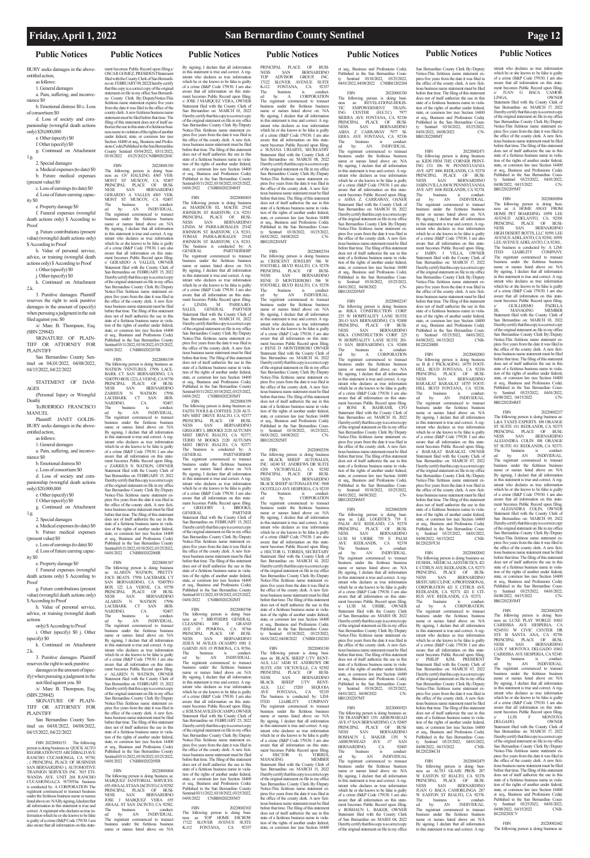### **Public Notices Public Notices**

### **Friday, April 1, 2022 San Bernardino County Sentinel Page 12**

### **Public Notices Public Notices Public Notices Public Notices Public Notices**

BURY seeks damages in the aboveentitled action,

as follows: 1. General damages

a. Pain, suffering, and inconve-

nience \$0

b. Emotional distress \$0 c. Loss of consortium \$0

d. Loss of society and companionship (wrongful death actions

only) \$20,000,000 e. Other (specify) \$0

- f. Other (specify) \$0
- g. Continued on Attachment

1.g. 2. Special damages

a. Medical expenses (to date) \$0 b. Future medical expenses

(present value) \$0 c. Loss of earnings (to date) \$0 d. Loss of future earning capac-

ity \$0

e. Property damage \$0 f. Funeral expenses (wrongful

To:RODRIGO FRANCISCO MANUEL.

death actions only) \$ According to

Proof g. Future contributions (present value) (wrongful death actions only)

\$ According to Proof h. Value of personal service,

advice, or training (wrongful death actions only) \$ According to Proof

i. Other (specify) \$0 j. Other (specify) \$0

k. Continued on Attachment

value) (wrongful death actions only) \$ According to Proof

2.k. 3. Punitive damages. Plaintiff reserves the right to seek punitive

damages in the amount of (specify) when pursuing a judgment in the suit filed against you. \$0

(specify) \$0 k. Continued on Attachment  $2k$ 

/s/ Marc B. Thompson, Esq. (SBN 229842)

SIGNATURE OF PLAIN-TIFF OR ATTORNEY FOR PLAINTIFF

SIGNATURE OF PLAIN-TIFF OR ATTORNEY FOR PLAINTIFF

San Bernardino County Sentinel on 04/01/2022, 04/08/2022. 04/15/2022, 04/22/2022

FBN 20220001153 The following person is doing business as: QUICK AUTO REGISRATION 9253 ARCHIBALD AVE RANCHO CUCAMONGA, CA 91730; ; ( PRINCIPAL PLACE OF BUSINESS SAN BERNARDINO ); AUTOMOTIVE TRAINIGN SERVICES INC. 7615 ETI-WANDA AVE. UNIT 268 RANCHO CUCAMONGA,CA 91739The business is conducted by: A CORPORATION The registrant commenced to transact business under the fictitious business name or names listed above on: N/ABy signing, I declare that all information in this statement is true and correct. A registrant who declares as true in-formation which he or she knows to be false is guilty of a crime (B&P Code 179130. I am re that all information on this state

STATEMENT OF DAM-AGES

(Personal Injury or Wrongful Death)

Plaintiff: JANET GOLDS-BURY seeks damages in the above-

entitled action, as follows:

1. General damages

a. Pain, suffering, and inconvenience \$0

b. Emotional distress \$0

c. Loss of consortium \$0

d. Loss of society and companionship (wrongful death actions only) \$20,000,000

e. Other (specify) \$0

f. Other (specify) \$0

g. Continued on Attachment 1.g.

2. Special damages

a. Medical expenses (to date) \$0

b. Future medical expenses (present value) \$0

c. Loss of earnings (to date) \$0 d. Loss of future earning capac-

ity \$0

e. Property damage \$0 f. Funeral expenses (wrongful

death actions only) \$ According to Proof g. Future contributions (present

ment becomes Public Record upon filing.s OSCAR GOMEZ, PRESIDENTStatement filed with the County Clerk of San Bernardi-no on: FEBRUARY 09, 2022I hereby certify that this copy is a correct copy of the original statement on file in my office San Bernardi-no County Clerk By:/DeputyNotice-This fictitious name statement expires five years from the date it was filed in the office of the county clerk. A new fictitious business name statement must be filed before that time. The filing of this statement does not of itself au-thorize the use in this state of a fictitious business name in violation of the rights of another under federal, state, or common law (see Section 14400 et seq., Business and Professions Code). Published in the San Bernardino County Sentinel 03/04/2022, 03/11/2022, 03/18/2022 03/25/2022 CNBB9202201C

h. Value of personal service, advice, or training (wrongful death actions

only) \$ According to Proof i. Other (specify) \$0 j. Other

3. Punitive damages. Plaintiff

reserves the right to seek punitive the amount of (sp ify) when pursuing a judgment in the suit filed against you. \$0 /s/ Marc B. Thompson, Esq. (SBN 229842)

San Bernardino County Sentinel on 04/01/2022, 04/08/2022, 04/15/2022, 04/22/2022

FBN 20220001330<br>The following person is doing busi-<br>ness as: GV HAULING. 4365 VER-<br>MONT ST MUSCOY, CA 92407.<br>NESS SAN BERNARDINO<br>GERARDO A VALLES 4365 VER-<br>MONT ST MUSCOY, CA 92407. The business is conduct-ed by: AN INDIVIDUAL. The registrant commenced to transact business under the fictitious business name or names listed above on: N/A By signing, I declare that all information in this statement is true and correct. A registrant who declares as true information which he or she knows to be false is guilty of a crime (B&P Code 179130. I am also aware that all information on this statement becomes Public Record upon filing. s/ GERARDO A VALLES, OWNER Statement filed with the County Clerk of San Bernardino on: FEBRUARY 15, 2022 San Bernaruno on: FEDINOTINE 13, 2022<br>I hereby certify that this copy is a correct copy of the original statement on file in my office San Bernardino County Clerk By:/Deputy Notice-This fictitious name statement expires five years from the date it was filed in the office of the county clerk. A new ficti-tious business name statement must be filed before that time. The filing of this statement does not of itself authorize the use in this state of a fictitious business name in violation of the rights of another under federal, state, or common law (see Section 14400 et seq., Business and Professions Code). Published in the San Bernardino County Sentinel 03/11/2022, 03/18/2022, 03/25/2022,

04/01/2022 CNBB10202207IR FBN 20220001339 The following person is doing business as: WATSON VENTURES. 17956 LACE-BARK CT SAN BERNARDINO, CA 92407PO BOX 122 LA VERNE, CA 91750 PRINCIPAL PLACE OF BUSI-NESS SAN BERNARDINO ZARRIUS N WATSON 17956 LACEBARK CT SAN BER-NARDINO, CA 92407. The business is conduct-ed by: AN INDIVIDUAL. The registrant commenced to transact business under the fictitious business name or names listed above on: N/A By signing, I declare that all information<br>in this statement is true and correct. A regin this statement is true and correct. A reg-istrant who declares as true information which he or she knows to be false is guilty of a crime (B&P Code 179130. I am also aware that all information on this statement becomes Public Record upon filing. s/ ZARRIUS N WATSON, OIWNER Statement filed with the County Clerk of San Bernardino on: FEBRUARY 15, 2022 I hereby certify that this copy is a correct copy of the original statement on file in my office San Bernardino County Clerk By:/Deputy Notice-This fictitious name statement expires five years from the date it was filed in the office of the county clerk. A new fictitious business name statement must be filed before that time. The filing of this statement does not of itself authorize the use in this state of a fictitious business name in violation of the rights of another under federal, state, or common law (see Section 14400 et seq., Business and Professions Code). Published in the San Bernardino County Sentinel 03/11/2022, 03/18/2022, 03/25/2022, 04/01/2022 CNBB10202206IR

FBN 20220001347 The following person is doing business as: ALAREN WATSON; PRETTY FACE BEATS. 17956 LACEBARK CT SAN BERNARDINO, CA 92407P.O<br>BOX 122 LA VERNE, CA 91750<br>PRINCIPAL PLACE OF BUSI-<br>NESS SAN BERNARDINO<br>ALAREN N WATSON 17956<br>LACEBARK CT SAN BER-NARDINO, CA 92407. The business is conduct-ed by: AN INDIVIDUAL. The registrant commenced to transact business under the fictitious business name or names listed above on: N/A By signing, I declare that all information in this statement is true and correct. A reg-istrant who declares as true information which he or she knows to be false is guilty of a crime (B&P Code 179130. I am also aware that all information on this statement becomes Public Record upon filing. s/ ALAREN N WATSON, OWNER Statement filed with the County Clerk of San Bernardino on: FEBRUARY 15, 2022 I hereby certify that this copy is a correct copy of the original statement on file in my office San Bernardino County Clerk By:/Deputy Notice-This fictitious name statement ex-<br>pires five years from the date it was filed in pires five years from the date it was filed in the office of the county clerk. A new fictitious business name statement must be filed before that time. The filing of this statement does not of itself authorize the use in this state of a fictitious business name in viola-tion of the rights of another under federal, state, or common law (see Section 14400 et seq., Business and Professions Code). Published in the San Bernardino County Sentinel 03/11/2022, 03/18/2022, 03/25/2022,<br>04/01/2022 CNBB10202205IR CNBB10202205IR

04/01/2022 CNBB10202204MT FBN<br>The following person is doing business<br>as: MARISCOS EL MACHI. 25142<br>JOHNSON ST BARSTOW, CA 92311<br>PRINCIPAL PLACE OF BUSI-NESS SAN BERNARDINO LINDA M PARRA-ROSALES 25142 JOHNSON ST BARSTOW, CA 92311; TOMAS PARRA-ROSALES 25142 JOHNSON ST BARSTOW, CA 92311. The business is conducted by:

GENERAL<br>The registrant commenced to transact<br>business under the fictitious business<br>name or names listed above on: N/A<br>By signing, I declare that all information in this statement is true and correct. A registrant who declares as true information which he or she knows to be false is guilty of a crime ( $B&P$  Code 179130. I am aware that all information on this state-ment becomes Public Record upon filing. s/ LINDA M PARRA-RO-SALES, GENERAL PARTNER SALES, GENERAL PARTNER<br>Statement filed with the County Clerk of

FBN 20220001359<br>
The following person is doing business as:<br>
FAITH TOOLS & COFFEES. 2120 AUT-<br>
MN MIST DRIVE RIALTO, CA 92377<br>
PRINCIPAL PLACE OF BUSI-<br>
NESS<br>
SCEGORY L BROOKS 2120 AUTUMN<br>
GREGORY L BROOKS 2120 AUTUMN MIST DRIVE RIALTO, CA 92377; TERRI M BOOKS 2120 AUTUMN MIST DRIVE RIALTO, CA 92377. The business is conducted by: A<br>GENERAL PARTNERSHIP. GENERAL<br>The registrant commenced to transact<br>business under the fictitious business<br>name or names listed above on: N/A<br>By signing, I declare that all information in this statement is true and correct. A registrant who declares as true information which he or she knows to be false is guilty

The business is conduct-<br>ed by: AN INDIVIDUAL.<br>The registrant commenced to transact<br>business under the fictitious business<br>aname or names listed above on: NA<br>By siging, I declane that all information<br>in this statement is t istrant who declares as true information which he or she knows to be false is quilty of a crime (B&P Code 179130. I am also aware that all information on this state-ment becomes Public Record upon filing. s/ JESUS M AVILES OCAMPO, OWNER Statement filed with the County Clerk of San Bernardino on: FEBRUARY 25, 2022 I hereby certify that this copy is a correct copy of the original statement on file in my office San Bernardino County Clerk By:/Deputy Notice-This fictitious name statement expires five years from the date it was filed in the office of the county clerk. A new fictitious business name statement must be filed before that time. The filing of this statement does not of itself authorize the use in this state of a fictitious business name in violation of the rights of another under federal. state, or common law (see Section 14400 et seq., Business and Professions Code). Published in the San Bernardino County Sentinel 03/11/2022, 03/18/2022, 03/25/2022, 04/01/2022 CNBB10202201MT

FBN 20220001804 The following person is doing business as: MARQUEZ JANITORIAL SERVICES. 655 AWAAL ST SAN JACINTO, CA 92582 PRINCIPAL PLACE OF BUSI-NESS SAN BERNARDINO JOSE J MARQUEZ VERA 655 AWAAL ST SAN JACINTO, CA 92582. The business is conduct-ed by: AN INDIVIDUAL. The registrant commenced to transact business under the fictitious business name or names listed above on: N/A NESS SAN BERNARDINO<br>BLACK SHEEP AUTOSALES INC. 9168 OCOTILLO AVE HESPERIA, CA 92335 The business is conduct-ed by: CORPORATION The registrant commenced to transact business under the fictitious business name or names listed above on: N/A By signing, I declare that all information in this statement is true and correct. A reg-istrant who declares as true information which he or she knows to be false is guilty of a crime (B&P Code 179130. I am also aware that all information on this statement becomes Public Record upon filing. s/ HECTOR G. TORRES, SECRETARY Statement filed with the County Clerk of San Bernardino on: MARCH 14, 2022 I hereby certify that this copy is a correct copy of the original statement on file in my office<br>San Bernardino County Clerk By:/Deputy ardino County Clerk By:/Deputy Notice-This fictitious name statement ex-pires five years from the date it was filed in the office of the county clerk. A new fictitious business name statement must be filed before that time. The filing of this statement does not of itself authorize the use in this state of a fictitious business name in violation of the rights of another under federal state, or common law (see Section 14400 et seq., Business and Professions Code). Published in the San Bernardino Coun-<br>ty Sentinel 03/18/2022. 03/25/2022. ty Sentinel 03/18/2022, 03/25/2022, 04/01/2022, 04/08/2022 CNBB11202203

By signing, I declare that all information in this statement is true and correct. A registrant who declares as true information which he or she knows to be false is guilty of a crime (B&P Code 179130. I am also aware that all information on this state-ment becomes Public Record upon filing. s/ JOSE J MARQUEZ VERA, OWNER Statement filed with the County Clerk of San Bernardino on: MARCH 01, 2022 I hereby certify that this copy is a correct copy of the original statement on file in my office San Bernardino County Clerk By:/Deputy Notice-This fictitious name statement expires five years from the date it was filed in the office of the county clerk. A new fictitious business name statement must be filed before that time. The filing of this statement does not of itself authorize the use in this state of a fictitious business name in violation of the rights of another under federal, state, or common law (see Section 14400 et seq., Business and Professions Code). Published in the San Bernardino County Sentinel 03/11/2022, 03/18/2022, 03/25/2022,

PRINCIPAL PLACE OF BUSI-<br>NESS SAN BERNARDINO<br>TOP ADVISOR GROUP, INC.<br>17122 SLOVER AVENUE SUITE<br>K-112 FONTANA, CA 92337 The business is conduct-ed by: A CORPORATION The registrant commenced to transact et seq., Business and Professions Code). <sub>p</sub>, *Business* and *Processions* Coup, ty Sentinel 03/18/2022, 03/25/2022, 04/01/2022, 04/08/2022 CNBB11202204

FBN 20220001330<br>The following person is doing busi-<br>ness as: REVELATIONZ-HOLIS-<br>TIC EMPOWERMENT TRAIN-<br>ING CENTER (H.E.T.C) 7977<br>SIERRA AVE FONTANA, CA 92336 PRINCIPAL PLACE OF BUSINESS SAN BERNARDINO NESS SAN BERNARDINO ASHA Z CARRAWAY 7977 SI-ERRA AVE FONTANA, CA 92336 The business is conduct-ed by: AN INDIVIDUAL. The registrant commenced to transact business under the fictitious business name or names listed above on: N/A By signing, I declare that all information in this statement is true and correct. A registrant who declares as true information which he or she knows to be false is guilty of a crime (B&P Code 179130. I am also aware that all information on this statement becomes Public Record upon filing. s/ AHSA Z. CARRAWAY, OANER Statement filed with the County Clerk of San Bernardino on: MARCH 10, 2022 I hereby certify that this copy is a correct copy I hereby certify that this copy is a correct copy<br>of the original statement on file in my office San Bernardino County Clerk By:/Deputy Notice-This fictitious name statement expires five years from the date it was filed in the office of the county clerk. A new ficti-tious business name statement must be filed before that time. The filing of this statement does not of itself authorize the use in this state of a fictitious business name in violation of the rights of another under federal, state, or common law (see Section 14400 et seq., Business and Professions Code). Published in the San Bernardino County Sentinel 03/18/2022, 03/25/2022, 04/01/2022, 04/08/2022 CN-BB11202205MT

San Bernardino on: MARCH 01, 2022 I hereby certify that this copy is a correct copy of the original statement on file in my office San Bernardino County Clerk By:/Deputy Notice-This fictitious name statement expires five years from the date it was filed in the office of the county clerk. A new fictitious business name statement must be filed before that time. The filing of this statement does not of itself authorize the use in this state of a fictitious business name in violation of the rights of another under federal, state, or common law (see Section 14400 et seq., Business and Professions Code). Published in the San Bernardino County Sentinel 03/11/2022, 03/18/2022, 03/25/2022, 04/01/2022 CNBB10202203MT

> state of a fictitious business name in viola-<br>tion of the rights of another under federal tion of the rights of another under federal, state, or common law (see Section 14400 et seq., Business and Professions Code). Published in the San Bernardino County Sentinel 03/18/2022, 03/25/2022, 04/01/2022, 04/08/2022 CN-BB11202207MT

of a crime (B&P Code 179130. I am also aware that all information on this state-ment becomes Public Record upon filing. GREGORY L BROOKS, GENERAL PARTNER Statement filed with the County Clerk of San Bernardino on: FEBRUARY 15, 2022 I hereby certify that this copy is a correct copy of the original statement on file in my office San Bernardino County Clerk By:/Deputy Notice-This fictitious name statement ex-pires five years from the date it was filed in the office of the county clerk. A new fictitious business name statement must be filed before that time. The filing of this statement does not of itself authorize the use in this state of a fictitious business name in violation of the rights of another under federal, state, or common law (see Section 14400 et seq., Business and Professions Code). Published in the San Bernardino County Sentinel 03/11/2022, 03/18/2022, 03/25/2022,

Notice-This fictitious name statement pires five years from the date it was filed in the office of the county clerk. A new fictitious business name statement must be filed before that time. The filing of this statement<br>does not of itself authorize the use in this does not of itself authorize the use in this state of a fictitious business name in violation of the rights of another under federal, state, or common law (see Section 14400 et seq., Business and Professions Code). Published in the San Bernardino Coun-<br>ty - Sentinel - 03/18/2022 - 03/25/2022 ty Sentinel 03/18/2022, 03/25/2022, 04/01/2022, 04/08/2022 CN-BB11202208MT

04/01/2022 CNBB10202202MT FBN 20220001706 The following person is doing business as: 7 BROTHERS GENERAL<br>CLEANING. 1081 E GRAND<br>AVE #3 POMONA, CA 91766<br>PRINCIPAL PLACE OF BUSI-NESS SAN BERNARDINO JESUS M AVILES OCAMPO 1081 E GARND AVE #3 POMONA, CA 91766.

s/ JABIN J VILLA, OWNER Statement filed with the County Clerk of San Bernardino on: MARCH 17, 2022 I hereby certify that this copy is a correct copy of the original statement on file in my office San Bernardino County Clerk By:/Deputy Notice-This fictitious name statement expires five years from the date it was filed in the office of the county clerk. A new fictitious business name statement must be filed before that time. The filing of this statement does not of itself authorize the use in this state of a fictitious business name in violation of the rights of another under federal. state, or common law (see Section 14400)

FBN 20220002102 The following person is doing busi-ness as: TOP HOME ESCROW 17122 SLOVER AVENUE SUITE K-112 FONTANA, CA 92337

# W EASTON ST RIALTO, CA 92376 PRINCIPAL PLACE OF BUSINESS SAN BERNARDINO

business under the fictitious business name or names listed above on: N/A By signing, I declare that all information in this statement is true and correct. A registrant who declares as true information which he or she knows to be false is guilty of a crime (B&P Code 179130. I am also aware that all information on this state-<br>ment becomes Public Record upon filing ment becomes Public Record upon filing. s/ SUSANA URIARTE, SECREATRY Statement filed with the County Clerk of San Bernardino on: MARCH 08, 2022 I hereby certify that this copy is a correct copy of the original statement on file in my office San Bernardino County Clerk By:/Deputy Notice-This fictitious name statement ex-pires five years from the date it was filed in the office of the county clerk. A new fictitious business name statement must be filed before that time. The filing of this statement does not of itself authorize the use in this state of a fictitious business name in violation of the rights of another under federal, state, or common law (see Section 14400 et seq., Business and Professions Code). Published in the San Bernardino Coun-ty Sentinel 03/18/2022, 03/25/2022, 04/01/2022, 04/08/2022 CN-

BB11202201MT

FBN 20220002354 The following person is doing business as: CRESCENT JEWELRY 586 W FOOTHILL BLVD RIALTO, CA 92376 PRINCIPAL PLACE OF BUSI-NESS SAN BERNARDINO RENE D MONTERROSO 586 W FOOTHILL BLVD RIALTO, CA 92376 The business is conduct-ed by: AN INDIVIDUAL. The registrant commenced to transact business under the fictitious business name or names listed above on: N/A By signing, I declare that all information in this statement is true and correct. A reg-istrant who declares as true information which he or she knows to be false is guilty of a crime (B&P Code 179130. I am also aware that all information on this statement becomes Public Record upon filing.<br>
S/ RENE D. MONTERROSO OWNER s/ RENE D. MONTERROSO OWNER Statement filed with the County Clerk of San Bernardino on: MARCH 14, 2022 I hereby certify that this copy is a correct copy of the original statement on file in my office San Bernardino County Clerk By:/Deputy Notice-This fictitious name statement ex-pires five years from the date it was filed in the office of the county clerk. A new fictitious business name statement must be filed before that time. The filing of this statement does not of itself authorize the use in this state of a fictitious business name in viola-tion of the rights of another under federal, state, or common law (see Section 14400 et seq., Business and Professions Code). Published in the San Bernardino County Sentinel 03/18/2022, 03/25/2022, 04/01/2022, 04/08/2022 CN-

BB11202202MT

FBN 20220002356<br>The following person is doing business<br>as: BLACK SHEEP AUTOSALES,<br>INC. 14240 ST. ANDREWS DR SUITE<br>#201 VICTORVILLE, CA 92392<br>PRINCIPAL PLACE OF BUSI-<br>NESS SAN BERNARDINO

FBN 20220001330 The following person is doing busi-ness as: BLACK SHEEP UTV RENT-

ALS, LLC 14240 ST. ANDREWS DR SUITE #201 VICTOVILLE, CA 92392 PRINCIPAL PLACE OF BUSI-NESS SAN BERNARDINO<br>BLACK SHEEP UTV RENT-<br>ALS, LLC 15203 SEQUOIA<br>The business is conducted by: LIM-<br>The business is conducted by: LIM-<br>The registrant commenced to transact<br>business under the fictitious business<br>business un name or names listed above on: N/A By signing, I declare that all information in this statement is true and correct. A reg-istrant who declares as true information which he or she knows to be false is guilty of a crime (B&P Code 179130. I am also aware that all information on this statement becomes Public Record upon filing. s/ HECTOR G. TORRES, MANAGING MEMBER Statement filed with the County Clerk of San Bernardino on: MARCH 15, 2022 I hereby certify that this copy is a correct copy of the original statement on file in my office San Bernardino County Clerk By:/Deputy San Bernarumo County Chan  $\Sigma_{J}$   $\Sigma_{T}$   $\square$ pires five years from the date it was filed in he office of the county clerk. A new fictitious business name statement must be filed before that time. The filing of this statement does not of itself authorize the use in this state of a fictitious business name in violation of the rights of another under federal, state, or common law (see Section 14400

FBN 20220002247 The following person is doing business as: RIKA CONSTRUCTION CORP. 225 W HOSPITALITY LANE SUITE 201-O SAN BERNARDINO, CA 92408 PRINCIPAL PLACE OF BUSI-NESS SAN BERNARDINO NESS SAN BERNARI<br>RIKA CONSTRUCTION CORP. W HOSPITALITY LANE SUITE 201- O SAN BERNARDINO, CA 92408 The business is conduct-ed by: A CORPORATION The registrant commenced to transact business under the fictitious business

name or names listed above on: N/A By signing, I declare that all information in this statement is true and correct. A registrant who declares as true information which he or she knows to be false is guilty of a crime (B&P Code 179130. I am also aware that all information on this statement becomes Public Record upon filing.<br>s/ RONI R. BAHRAMI. CFO s/ RONI R. BAHRAMI, CFO Statement filed with the County Clerk of San Bernardino on: MARCH 10, 2022 I hereby certify that this copy is a correct copy of the original statement on file in my office San Bernardino County Clerk By:/Deputy Notice-This fictitious name statement expires five years from the date it was filed in the office of the county clerk. A new fictitious business name statement must be filed before that time. The filing of this statement does not of itself authorize the use in this state of a fictitious business name in violation of the rights of another under federal, state, or common law (see Section 14400 et seq., Business and Professions Code). Published in the San Bernardino County Sentinel 03/18/2022, 03/25/2022,<br>04/01/2022, 04/08/2022 CN-04/01/2022, 04/08/2022 BB11202206MT

FBN 20220002058 The following person is doing busi-ness as: L&L LOGISTICS 719 E PALM AVE REDLAND, CA 92374 PRINCIPAL PLACE OF BUSINESS SAN BERNARDINO NESS SAN BERNARDINO<br>LUIS M URIBE 719 E PALM<br>AVE REDLANDS, CA 92374<br>The business is conduct-<br>ed by: AN INDIVIDUAL. The registrant commenced to transact business under the fictitious business name or names listed above on: N/A By signing, I declare that all information in this statement is true and correct. A registrant who declares as true information which he or she knows to be false is guilty of a crime (B&P Code 179130. I am also aware that all information on this statement becomes Public Record upon filing. s/ LUIS M. URIBE, OWNER Statement filed with the County Clerk of San Bernardino on: MARH 08, 2022 I hereby certify that this copy is a correct copy of the original statement on file in my office San Bernardino County Clerk By:/Deputy Notice-This fictitious name statement expires five years from the date it was filed in the office of the county clerk. A new ficti-tious business name statement must be filed before that time. The filing of this statement does not of itself authorize the use in this

FBN 20220002471 The following person is doing business as: KIDS FRM THE CORNER PRINT-ING CO. 106 W. PENNSYLVANIA AVE APT 1606 REDLANDS, CA 92374 PRINCIPAL PLACE OF BUSI-<br>NESS SAN BERNARDINO<br>JABINJVILLA 106 W.PENNSYLVANIA AVE APT 1606 REDLANDS, CA 92374. The business is conduct-ed by: AN INDIVIDUAL. The registrant commenced to transact business under the fictitious business name or names listed above on: N/A By signing, I declare that all information in this statement is true and correct. A registrant who declares as true information which he or she knows to be false is guilty of a crime (B&P Code 179130. I am also aware that all information on this state-ment becomes Public Record upon filing.

FBN 20220001923 The following person is doing business as: TB TRANSPORT 1351 ARROWHEAD AVE #7 SAN BERNARDINO, CA 92405<br>PRINCIPAL PLACE OF BUSI-PRINCIPAL PLACE OF BUSI-NESS<br>NESS SAN BERNARDINO ANEXANDINO ARROWHEAD AVE #7 SAN<br>ARROWHEAD AVE #7 SAN<br>BERNARDINO, CA 92405<br>The business is conducted by: AN INDIVIDUAL<br>The registrant commenced to transact<br>business under the B12202206CH

By signing, I declare that all information in this statement is true and correct. A registrant who declares as true information which he or she knows to be false is guilty of a crime (B&P Code 179130. I aware that all information on this statement becomes Public Record upon filing. s/ ROSHAUN L. BAKER, OWNER Statement filed with the County Clerk of San Bernardino on: MARH 04, 2022 I hereby certify that this copy is a correct copy of the original statement on file in my office FBN 20220002475 The following person is doing busi-ness as: AUTO GLASS PROS. 287

### San Bernardino County Clerk By:/Deputy istrant who declares as true information

FBN 20220002003 The following person is doing business as: B & J PACKAGING. 14755 FOOT-HILL BLVD FONTANA, CA 92336 PRINCIPAL PLACE OF BUSI-NESS SAN BERNARDINO BARAKAT BARAKAT 14755 FOOT-HILL BLVD FONTANA, CA 92336. The business is conduct-ed by: AN INDIVIDUAL. The registrant commenced to transact business under the fictitious business name or names listed above on: N/A By signing, I declare that all information in this statement is true and correct. A registrant who declares as true information which he or she knows to be false is guilty of a crime (B&P Code 179130. I am also aware that all information on this state-ment becomes Public Record upon filing. s/ BARAKAT BARAKAT, OWNER Statement filed with the County Clerk of San Bernardino on: MARCH 07, 2022 I hereby certify that this copy is a correct copy of the original statement on file in my office San Bernardino County Clerk By:/Deputy Notice-This fictitious name statement expires five years from the date it was filed in the office of the county clerk. A new fictitious business name statement must be filed before that time. The filing of this statement does not of itself authorize the use in this state of a fictitious business name in violation of the rights of another under federal, state, or common law (see Section 14400 et seq., Business and Professions Code). Published in the San Bernardino Coun-ty Sentinel 03/25/2022, 04/01/2022, 04/08/2022, 04/15/2022 CNB-

### B12202207CH

FBN 20220002002 The following person is doing business as: HUSHH... MEDICAL AESTHETICS. 421 E CITRUS AVE REDLANDS, CA 92373 PRINCIPAL PLACE OF BUSI-NESS SAN BERNARDINO NESS SAN BERNARDINO CORPORATION 421 E CITRUS AVE REDLANDS, CA 92373; 421 E CIT-RUS AVE REDLANDS, CA 92373; . The business is conduct-ed by: A CORPORATION. The registrant commenced to transact

business under the fictitious business name or names listed above on: N/A By signing, I declare that all information in this statement is true and correct. A registrant who declares as true information which he or she knows to be false is guilty<br>of a crime (B&P Code 179130. I am also of a crime (B&P Code 179130. I am also aware that all information on this statement becomes Public Record upon filing. s/ PHILIP KIM, PRESIDENT Statement filed with the County Clerk of San Bernardino on: MARCH 07, 2022 I hereby certify that this copy is a correct copy of the original statement on file in my office San Bernardino County Clerk By:/Deputy Notice-This fictitious name statement expires five years from the date it was filed in the office of the county clerk. A new fictitious business name statement must be filed before that time. The filing of this statement does not of itself authorize the use in this state of a fictitious business name in violation of the rights of another under federal, state, or common law (see Section 14400) et seq., Business and Professions Code). Published in the San Bernardino Coun-ty Sentinel 03/25/2022, 04/01/2022, 04/08/2022, 04/15/2022 CNB-

et seq., Business and Professions Code). Published in the San Bernardino Coun-ty Sentinel 03/25/2022, 04/01/2022, 04/08/2022, 04/15/2022 CNB-B12202208IR in this statement is true and correct. A reg-istrant who declares as true information which he or she knows to be false is guilty of a crime (B&P Code 179130. I am also aware that all information on this statement becomes Public Record upon filing.<br> $\frac{S}{S}$  GUILLERMO PADILLA s/ GUILLERMO<br>JR, MANAGING JR, MANAGING MEMBER Statement filed with the County Clerk of San Bernardino on: MARCH 03, 2022 I hereby certify that this copy is a correct copy of the original statement on file in my office San Bernardino County Clerk By:/Deputy Notice-This fictitious name statement ex-pires five years from the date it was filed in the office of the county clerk. A new fictitious business name statement must be filed before that time. The filing of this statement

NESS SAN BERNARDINO JUAN G BACA CAMORLINGA 287 W EASTON ST RIALTO, CA 92376. The business is conduct-ed by: AN INDIVIDUAL. The registrant commenced to transact business under the fictitious business name or names listed above on: N/A By signing, I declare that all information in this statement is true and correct. A reg-

which he or she knows to be false is guilty of a crime (B&P Code 179130. I am also aware that all information on this statement becomes Public Record upon filing. s JUAN G BACA CAMOR-<br>LINGA. OWNER LINGA, OWNER Statement filed with the County Clerk of San Bernardino on: MARCH 17, 2022 I hereby certify that this copy is a correct copy of the original statement on file in my office San Bernardino County Clerk By:/Deputy Notice-This fictitious name statement expires five years from the date it was filed in the office of the county clerk. A new ficti-tious business name statement must be filed before that time. The filing of this statement does not of itself authorize the use in this state of a fictitious business name in violation of the rights of another under federal, state, or common law (see Section 14400 et seq., Business and Professions Code). Published in the San Bernardino County Sentinel 03/25/2022, 04/01/2022, 04/08/2022, 04/15/2022 CN-

BB12202205MT

FBN 20220001894 The following person is doing busi-ness as: A HOME AWAY FROM HOME PET BOARDING. 10591 LEE

AVENUE ADELANTO, CA 92301 PRINCIPAL PLACE OF BUSI-NESS SAN BERNARDINO HIGH DESERT ROTTS, LLC 10591 LEE AVENUE ADELANTO, CA 92301; 10591<br>LEE AVENUE ADELANTO, CA 92301: LEE AVENUE ADELANTO, CA 92301; . The business is conducted by: A LIM-ITED LIABILITY COMPANY. The registrant commenced to transact business under the fictitious business<br>name or names listed above on: N/A name or names listed above on: N/A By signing, I declare that all information

does not of itself authorize the use in this state of a fictitious business name in viola-tion of the rights of another under federal, state, or common law (see Section 14400 et seq., Business and Professions Code). Published in the San Bernardino County Sentinel 03/25/2022, 04/01/2022, 04/08/2022, 04/15/2022 CN-BB12202204MT FBN<br>The following person is doing business are<br>L&A TAXES EXPERTS. 108 ORANGE<br>ST SUITE #11 REDLANDS, CA 92373<br>PRINCIPAL PLACE OF BUSINESS<br>MESS SAN BERNARDINO<br>ALEJANDRA COLIN 108 ORANGE<br>ST SUITE #11 REDLANDS, CA 92373. The business is conduct-ed by: AN INDIVIDUAL. The registrant commenced to transact business under the fictitious business name or names listed above on: N/A By signing, I declare that all information

in this statement is true and correct. A reg-istrant who declares as true information which he or she knows to be false is guilty of a crime (B&P Code 179130. I am also aware that all information on this statement becomes Public Record upon filing<br>
S ALEIANDRA COLIN OWNER V ALEJANDRA COLIN, Statement filed with the County Clerk of San Bernardino on: MARCH 09, 2022 I hereby certify that this copy is a correct copy of the original statement on file in my office San Bernardino County Clerk By:/Deputy Notice-This fictitious name statement ex-pires five years from the date it was filed in the office of the county clerk. A new fictitious business name statement must be filed before that time. The filing of this statement does not of itself authorize the use in this

## state of a fictitious business name in viola-tion of the rights of another under federal, state, or common law (see Section 14400 et seq., Business and Professions Code). Published in the San Bernardino Coun-ty Sentinel 03/25/2022, 04/01/2022, 04/08/2022, 04/15/2022 CN-BB12202203MT

### FBN 20220002478

The following person is doing business as: LUXE PLAY WORLD, 10163 ness as: LUXE PLAY WORLD. 10163<br>CARRISSA AVE HESPERIA, CA<br>92345311 W CIVIC CENTER DR<br>STE B SANTA ANA, CA 92701<br>PRINCIPAL PLACE OF BUSI-<br>NESS SAN BERNARDINO NESS SAN BERNARDINO LUIS F MONTOYA DELGADO 10163

CARRISSA AVE HESPERIA, CA 92345. The business is conduct-ed by: AN INDIVIDUAL. The registrant comm business under the fictitious business

name or names listed above on: N/A By signing, I declare that all inform in this statement is true and correct. A reg-istrant who declares as true information which he or she knows to be false is guilty of a crime (B&P Code 179130. I am also are that all information on this statement becomes Public Record upon filing. s/ LUIS F MONTOYA DELGADO, OWNER Statement filed with the County Clerk of San Bernardino on: MARCH 17, 2022 I hereby certify that this copy is a correct copy of the original statement on file in my office

San Bernardino County Clerk By:/Deputy Notice-This fictitious name statement ex-pires five years from the date it was filed in the office of the county clerk. A new fictitious business name statement must be filed before that time. The filing of this statement does not of itself authorize the use in this state of a fictitious business name in violation of the rights of another under federal, state, or common law (see Section 14400 et seq., Business and Professions Code). Published in the San Bernardino County Sentinel 03/25/2022, 04/01/2022, 04/08/2022, 04/15/2022 CNB-B12202202CV

> FBN 20220002442 The following person is doing business as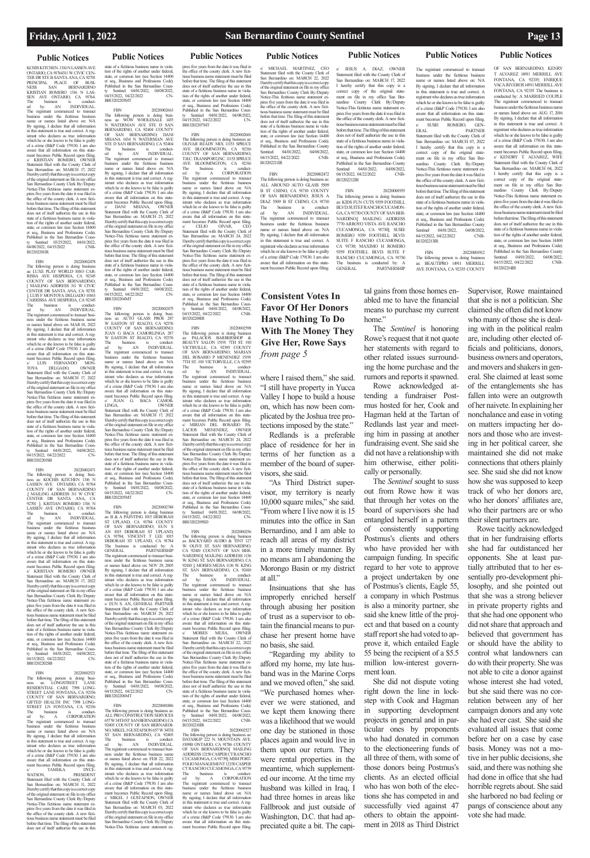## **Public Notices Public Notices Public Notices Public Notices Public Notices Public Notices Public Notices**

KCHIS KITCHEN. 1316 N LASSEN AVE ONTARIO, CA 91764311 W CIVIC CEN-TER DR STE B SANTA ANA, CA 92701 PRINCIPAL PLACE OF BUSI-NESS SAN BERNARDINO KRISTIAN ROMERO 1316 N LAS-SEN AVE ONTARIO, CA 91764. The business is conduct-ed by: AN INDIVIDUAL. The registrant commenced to transact business under the fictitious business name or names listed above on: N/A By signing, I declare that all information<br>in this statement is true and correct. A reg-<br>istrant who declares as true information<br>which he or she knows to be false is guilty<br>of a crime (B&P Code 179130. I am also aware that all information on this statement becomes Public Record upon filing. s/ KRISTIAN ROMERO, OWNER Statement filed with the County Clerk of San Bernardino on: MARCH 17, 2022 I hereby certify that this copy is a correct copy of the original statement on file in my office San Bernardino County Clerk By:/Deputy Notice-This fictitious name statement expires five years from the date it was filed in the office of the county clerk. A new ficti-tious business name statement must be filed before that time. The filing of this statement does not of itself authorize the use in this state of a fictitious business name in violation of the rights of another under federal, state, or common law (see Section 14400 et seq., Business and Professions Code). et seq., Business and Protessions Coun-<br>Published in the San Bernardino County Sentinel 03/25/2022, 04/01/2022, 04/08/2022, 04/15/2022 CNB-B12202201IR

FBN 20220002478 The following person is doing business as: LUXE PLAY WORLD 10163 CAR-RISSA AVE HESPERIA, CA 92345 COUNTY OF SAN BERNARDINO; [ MAILING ADDRESS 311 W CIVIC CENTER DR SANTA ANA, CA 92701 ]; LUIS F MONTOYA DELGADO 10163 CARRISSA AVE HESPERIA, CA 92345 The business is conduct-ed by: AN INDIVIDUAL. The registrant commenced to transact busi-ness under the fictitious business name or names listed above on: MAR 01, 2022 By signing, I declare that all information<br>in this statement is true and correct. A reg-<br>istrant who declares as true information<br>which he or she knows to be false is guilty<br>of a crime (B&P Code 179130. I am also aware that all information on this statement becomes Public Record upon filing. s/ LUIS FERNANDO MON-TOYA DELGADO, OWNER Statement filed with the County Clerk of San Bernardino on: MARCH 17, 2022 I hereby certify that this copy is a correct copy of the original statement on file in my office<br>San Bernardino County Clerk By:/Deputy<br>Notice-This fictitious name statement ex-<br>pires five years from the date it was filed in<br>the office of the county clerk. A new fictitious business name statement must be filed before that time. The filing of this statement does not of itself authorize the use in this state of a fictitious business name in viola-tion of the rights of another under federal, state, or common law (see Section 14400 et seq., Business and Professions Code). Published in the San Bernardino Coun-ty Sentinel 04/01/2022, 04/08/2022, ty Sentinel 04/01/2022, 04/08/2022<br>04/15/2022, 04/22/2022 CN-BB13202201SB

FBN 20220002663 The following person is doing busi-ness as: WOW WHOLESALE 1435 N WATERMAN AVE STE D SAN BERNARDINO, CA 92404 COUNTY OF SAN BERNARDINO; DANI MHANA 1434 N WATERMAN AVE STE D SAN BERNARDINO, CA 92404<br>The business is conducted by: AN INDIVIDUAL. The business is conduct-ed by: AN INDIVIDUAL. The registrant commenced to transact business under the fictitious business name or names listed above on: N/A By signing, I declare that all information in this statement is true and correct. A reg-istrant who declares as true information which he or she knows to be false is guilty of a crime (B&P Code 179130. I am also aware that all information on this statement becomes Public Record upon filing.<br>
s/ DANI MHANA, OWNER s/ DANI MHANA, OWNER Statement filed with the County Clerk of San Bernardino on: MARCH 25, 2022 I hereby certify that this copy is a correct copy of the original statement on file in my office San Bernardino County Clerk By:/Deputy Notice-This fictitious name statement ex-pires five years from the date it was filed in the office of the county clerk. A new fictitious business name statement must be filed before that time. The filing of this statement does not of itself authorize the use in this state of a fictitious business name in viola-tion of the rights of another under federal, state, or common law (see Section 14400 et seq., Business and Professions Code). Published in the San Bernardino Coun-Sentinel 04/01/2022, 04/08/2022,<br>
15/2022, 04/22/2022 CN-04/15/2022, 04/22/2022 BB13202204MT

FBN 20220002471 The following person is doing busi-ness as: KOCHIS KITCHEN 1316 N LASSEN AVE ONTARIO, CA 91764 COUNTY OF SAN BERNARDINO ;[ MAILING ADDRESS 311 W CIVIC CENTER DR SANTA ANA, CA 92701 ]; KRITIAN ROMERO 1316 N LASSEN AVE ONTARIO, CA 91764 The business is conduct-ed by: AN INDIVIDUAL. The registrant commenced to transact business under the fictitious business name or names listed above on: N/A<br>By signing, I declare that all information<br>in this statement is true and correct. A reg-<br>istrant who declares as true information<br>which he or she knows to be false is guilty of a crime (B&P Code 179130. I am also aware that all information on this state-ment becomes Public Record upon filing. s/ KRISTIAN ROMERO OWNER Statement filed with the County Clerk of San Bernardino on: MARCH 17, 2022 I hereby certify that this copy is a correct copy of the original statement on file in my office<br>San Bernardino County Clerk By:/Deputy<br>Notice-This fictitious name statement ex-<br>pires five years from the date it was filed in<br>the office of the county clerk. A new fictitious business name statement must be filed before that time. The filing of this statement does not of itself authorize the use in this state of a fictitious business name in viola-tion of the rights of another under federal, state, or common law (see Section 14400 et seq., Business and Professions Code). Published in the San Bernardino Coun-ty Sentinel 04/01/2022, 04/08/2022, ty Sentinel 04/01/2022, 04/08/2022<br>04/15/2022, 04/22/2022 CN-BB13202202SB

20220002748 The following person is doing business as: B & A PAINTING 1015 DEBORAH ST UPLAND, CA 91784 COUNTY OF SAN BERNARDINO; EUN S AN 1015 DEBORAH ST UPLAND, CA 91784; VINCENT T LEE 1015 DEBORAH ST UPLAND, CA 91784 The business is conducted by: A<br>GENERAL PARTNERSHIP GENERAL PARTNERSHIP The registrant commenced to transact busi-ness under the fictitious business name or names listed above on: NOV 29, 2005 By signing, I declare that all information in this statement is true and correct. A registrant who declares as true information which he or she knows to be false is guilty of a crime (B&P Code 179130. I am also aware that all information on this statement becomes Public Record upon filing. s/ EUN S. AN, GENERAL PARTNER Statement filed with the County Clerk of San Bernardino on: MARCH 29, 2022 I hereby certify that this copy is a correct copy of the original statement on file in my office San Bernardino County Clerk By:/Deputy Notice-This fictitious name statement expires five years from the date it was filed in the office of the county clerk. A new ficti-<br>tious business name statement must be filed tious business name statement must be filed before that time. The filing of this statement does not of itself authorize the use in this state of a fictitious business name in viola-

FBN 20220002521 The following person is doing busi-ness as: LONGSTREET LANE RESIDENTIAL CARE 7398 LONG-STREET LANE FONTANA, CA 92336 COUNTY OF SAN BERNARDINO; GIFTED HEALTH INC 7398 LONG-STREET LN FONTANA, CA 92336<br>The business The business is conduct-ed by: A CORPORATION The registrant commenced to transact business under the fictitious business name or names listed above on: N/A By signing, I declare that all information in this statement is true and correct. A registrant who declares as true information which he or she knows to be false is guilty of a crime (B&P Code 179130. I am also aware that all information on this statement becomes Public Record upon filing. s/ TAMEKA DYCEment becomes Alexander TAMEKA<br>
WATSON, PRESIDENT<br>
WATSON, PRESIDENT Statement filed with the County Clerk of San Bernardino on: MARCH 11, 2022 I hereby certify that this copy is a correct copy of the original statement on file in my office<br>San Bernardino County Clerk By:/Deputy<br>Notice-This fictitious name statement ex-<br>pires five years from the date it was filed in<br>the office of the county clerk. A new fictitious business name statement must be filed before that time. The filing of this statement does not of itself authorize the use in this tion of the rights of another under federal,<br>state, or common law (see Section 14400 state, or common law (see Section 14400 et seq., Business and Professions Code). Published in the San Bernardino County Sentinel 04/01/2022, 04/08/2022, 04/15/2022, 04/22/2022 CN-BB13202206MT

state of a fictitious business name in violation of the rights of another under federal, state, or common law (see Section 14400 et seq., Business and Professions Code). Published in the San Bernardino County Sentinel 04/01/2022, 04/08/2022, 04/15/2022, 04/22/2022 CN-BB13202203MT

> tion of the rights of another under federal, state, or common law (see Section 14400 et seq., Business and Professions Code).<br>Published in the San Bernardino Countyly Sentinel 04010222, 044087022, 042082022, 042082022, 04 B13202208IR FBN 20220002598 The following person is doing business as: PALACIOS BARBERSHOP & BEAUTY SALON 15191 7TH ST. #10 VICTRVILLE, CA 92395 COUNTY OF SAN BERNARDINO; MARIAN DEL ROSARIO P MENENDEZ 15191

> > ST. SAN BERNARDINO, CA 92410<br>The business is conduct-The business is conduct-ed by: AN INDIVIDUAL. The registrant commenced to transact business under the fictitious business name or names listed above on: N/A By signing, I declare that all information in this statement is true and correct. A registrant who declares as true information which he or she knows to be false is guilty of a crime (B&P Code 179130. I am also aware that all information on this statement becomes Public Record upon filing. s/ MOISES MEJIA, OWNER

pires five years from the date it was filed in the office of the county clerk. A new ficti-tious business name statement must be filed before that time. The filing of this statement does not of itself authorize the use in this state of a fictitious business name in violation of the rights of another under federal, state, or common law (see Section 14400<br>
et seq., Business and Professions Code).<br>
Published in the San Bernardino Coun-<br>
ty Sentinel 04/01/2022, 04/08/2022,<br>
04/15/2022, 04/22/2022 CNB-

FBN 20220002475 The following person is doing busi-ness as: AUTO GLASS PROS 287 W EASTON ST RIALTO, CA 92376 COUNTY OF SAN BERNARDINO; JUAN G BACA CAMORLINGA 287 W EASTON ST RIALTO, CA 92376 The business is conduct-ed by: AN INDIVIDUAL. The registrant commenced to transact business under the fictitious business name or names listed above on: N/A By signing, I declare that all information in this statement is true and correct. A registrant who declares as true information which he or she knows to be false is guilty of a crime (B&P Code 179130. I am also aware that all information on this statement becomes Public Record upon filing. s/ JUAN G. BACA CAMOR-LINGA, OWNER Statement filed with the County Clerk of San Bernardino on: MARCH 17, 2022 I hereby certify that this copy is a correct copy of the original statement on file in my office San Bernardino County Clerk By:/Deputy Notice-This fictitious name statement expires five years from the date it was filed in the office of the county clerk. A new ficti-tious business name statement must be filed before that time. The filing of this statement does not of itself authorize the use in this state of a fictitious business name in violation of the rights of another under federal, state, or common law (see Section 14400 et seq., Business and Professions Code). Published in the San Bernardino Coun-ty Sentinel 04/01/2022, 04/08/2022, ty Sentinel 04/01/2022, 04/06/2022,<br>04/15/2022, 04/22/2022 CN-BB13202205MT

> B13202210IR<br>
> FBN 20220002527<br>
> The following person is doing business as:<br>
> DATASKIP 222 N. MOUNTAIN AVE.<br>
> #109B ONTARIO, CA 91786 COUNTY<br>
> OF SAN BERNARDINO;[ MAILING ADDRESS 12150 CASPER CT RANCHO CUCAMONGA, CA 91739]; MSM PORT-FOLIO MANAGEMENT 12150 CASPER CT RANCHO CUCAMONGA, CA 91739 The business is conduct-<br>ed by: A CORPORATION<br>The registrant commenced to transact<br>business under the fictitious business<br>name or names listed above on: N/A<br>By signing, I declare that all information in this statement is true and correct. A reg-istrant who declares as true information which he or she knows to be false is guilty of a crime (B&P Code 179130. I am also aware that all information on this state-ment becomes Public Record upon filing.

JESUS A. DIAZ, OWNER Statement filed with the County Clerk of San Bernardino on: MARCH 17, 2022 I hereby certify that this copy is a correct copy of the original state-ment on file in my office San Bernardino County Clerk By:/Deputy Notice-This fictitious name statement expires five years from the date it was filed in the office of the county clerk. A new fictitious business name statement must be filed before that time. The filing of this statement does not of itself authorize the use in this state of a fictitious business name in violation of the rights of another under federal. state, or common law (see Section 14400 et seq., Business and Professions Code). Published in the San Bernardino County Sentinel 04/01/2022, 04/08/2022,<br>04/15/2022, 04/22/2022 CNB-04/15/2022, 04/22/2022 B13202212IR

FBN 20220001955 The following person is doing bus as: KIDS FUN CUTS 9359 FOOTHILL BLVD. SUITEFRANCHO CUCAMON-GA, CA 91730 COUNTY OF SAN BER-NARDINO;[ MAILING ADDRESS 7770 ARROYO VISTA AVE RANCHO CUCAMONGA, CA 91730]; SUSIE ROMERO 9359 FOOTHILL BLVD. SUITE F RANCHO CUCAMONGA, CA 91730; MAXIMO H ROMERO 9359 FOOTHILL BLVD. SUITE F RANCHO CUCAMONGA, CA 91730 The business is conducted by: A<br>GENERAL PARTNERSHIP PARTNERSHIP

Statement filed with the County Clerk of San Bernardino on: MARCH 07, 2022 I hereby certify that this copy is a correct copy of the original statement on file in my office San Bernardino County Clerk By:/Deputy Notice-This fictitious name statement expires five years from the date it was filed in the office of the county clerk. A new fictitious business name statement must be filed before that time. The filing of this statement does not of itself authorize the use in this state of a fictitious business name in violation of the rights of another under federal state, or common law (see Section 14400 et seq., Business and Professions Code). Published in the San Bernardino County<br>Sentinel 04/01/2022, 04/08/2022 04/01/2022, 04/08/2022,<br>
O4/22/2022 CNB-

04/15/2022, 04/22/2022 B13202213IR

FBN 20220001886 The following person is doing business as: ALL PRO CONSTRUCTION SERVICES 657 W 34TH ST SAN BERNARDINO, CA 92405 COUNTY OF SAN BERNARDI-NO; MIKEL J GUSTAFSON 657 W 34TH ST SAN BERNARDINO, CA 92405 The business is conduct-ed by: AN INDIVIDUAL. The registrant commenced to transact busi-ness under the fictitious business name or names listed above on: FEB 22, 2022<br>By signing, I declare that all information<br>in this statement is true and correct. A reg-<br>istrant who declares as true information<br>which he or she knows to be false is guilty of a crime (B&P Code 179130. I am also aware that all information on this state-ment becomes Public Record upon filing. s/ MIKEL J GUSTAFSON, OWNER Statement filed with the County Clerk of San Bernardino on: MARCH 03, 2022 I hereby certify that this copy is a correct copy of the original statement on file in my office San Bernardino County Clerk By:/Deputy Notice-This fictitious name statement exwhere I raised them," she said. "I still have property in Yucca Valley I hope to build a house on, which has now been complicated by the Joshua tree protections imposed by the state."

pires five years from the date it was filed in the office of the county clerk. A new fictitious business name statement must be filed before that time. The filing of this statement does not of itself authorize the use in this state of a fictitious business name in viola-tion of the rights of another under federal, state, or common law (see Section 14400 et seq., Business and Professions Code). Published in the San Bernardino County Sentinel 04/01/2022, 04/08/2022, 04/15/2022, 04/22/2022 CN-BB13202207MT

> tal gains from those homes enabled me to have the financial means to purchase my current home."

### FBN 20220002601 The following person is doing business as: OLIVAR READY MIX 11153 SPRUCE AVE BLOOMINGTON, CA 92316 COUNTY OF SAN BERNARDINO; T.B.C. TRANSPORT,INC. 11153 SPRUCE AVE BLOOMINGTON, CA 92316<br>The business is conduct-The business is conduct-ed by: A CORPORATION The registrant commenced to transact business under the fictitious business name or names listed above on: N/A By signing, I declare that all information in this statement is true and correct. A registrant who declares as true information which he or she knows to be false is guilty of a crime (B&P Code 179130. I am also aware that all information on this statement becomes Public Record upon filing.<br>
s/
CELIO
OIVAR,
CEO s/ CELIO OIVAR, CEO Statement filed with the County Clerk of San Bernardino on: MARCH 24, 2022 I hereby certify that this copy is a correct copy of the original statement on file in my office San Bernardino County Clerk By:/Deputy Notice-This fictitious name statement expires five years from the date it was filed in the office of the county clerk. A new ficti-<br>tious business name statement must be filed tious business name statement must be filed before that time. The filing of this statement does not of itself authorize the use in this state of a fictitious business name in viola-

7TH ST. #10 VICTORVILLE, CA 92395 The business is conduct-<br>ed by: AN INDIVIDUAL.<br>The registrant commenced to transact<br>business under the fictitious business<br>name or names listed above on: N/A<br>By signing, I declare that all information in this statement is true and correct. A registrant who declares as true information which he or she knows to be false is guilty of a crime (B&P Code 179130. I am also aware that all information on this state-ment becomes Public Record upon filing. s/ MIRIAN DEL ROSARIO PA-LACIOS MENENDEZ, OWNER Statement filed with the County Clerk of San Bernardino on: MARCH 24, 2022 I hereby certify that this copy is a correct copy of the original statement on file in my office

San Bernardino County Clerk By:/Deputy Notice-This fictitious name statement expires five years from the date it was filed in the office of the county clerk. A new ficti-tious business name statement must be filed before that time. The filing of this statement does not of itself authorize the use in this state of a fictitious business name in violation of the rights of another under federal, state, or common law (see Section 14400 et seq., Business and Professions Code). Published in the San Bernardino County Sentinel 04/01/2022, 04/08/2022, 04/15/2022, 04/22/2022 CN-BB13202209SD

FBN 2022000256 The following person is doing business as: BACKYARD AUDIO & TINT 127 W. OLIVE ST. SAN BERNARDINO, CA 92410 COUNTY OF SAN BER-NARDINO;[ MAILING ADDRESS 1136 W. KING ST. SAN BERNARDINO, CA 92410 ]; MOISES MEJIA 1136 W. KING

Statement filed with the County Clerk of San Bernardino on: MARCH 22, 2022 I hereby certify that this copy is a correct copy of the original statement on file in my office San Bernardino County Clerk By:/Deputy Notice-This fictitious name statement ex-

s/ MICHAEL MARTINEZ, CEO Statement filed with the County Clerk of San Bernardino on: MARCH 22, 2022 I hereby certify that this copy is a correct copy of the original statement on file in my office San Bernardino County Clerk By:/Deputy Notice-This fictitious name statement expires five years from the date it was filed in the office of the county clerk. A new ficti-tious business name statement must be filed before that time. The filing of this statement does not of itself authorize the use in this state of a fictitious business name in violation of the rights of another under federal, state, or common law (see Section 14400 et seq., Business and Professions Code). Published in the San Bernardino County<br>Sentinel 04/01/2022, 04/08/2022, 04/01/2022, 04/15/2022, 04/22/2022 CNB-B13202211IR

FBN 20220002472 The following person is doing business as: ALL AROUND AUTO GLASS 5509 B ST CHINO, CA 91710 COUNTY OF SAN BERNARDINO; JESUS A DIAZ 5509 B ST CHINO, CA 91710<br>The business is conductis conduct-<br>INDIVIDUAL. The business<br>ed by: AN The registrant commenced to transact business under the fictitious business name or names listed above on: N/A By signing, I declare that all information in this statement is true and correct. A registrant who declares as true information which he or she knows to be false is guilty of a crime (B&P Code 179130. I am also aware that all information on this statement becomes Public Record upon filing.

FBN 20220001912 The following person is doing business BEAUTIPRO 14911 MERRILL AVE FONTANA, CA 92335 COUNTY

**PARTNER** 

OF SAN BERNARDINO; KENRY T ALVAREZ 14911 MERRILL AVE FONTANA, CA 92335; ENRIQUE VACA RIVEROS 14911 MERRILL AVE FONTANA, CA 92335 The business is conducted by: A MARRIED COUPLE The registrant commenced to transact business under the fictitious business name or names listed above on: AUG 17, 2016 By signing, I declare that all information in this statement is true and correct. A registrant who declares as true information which he or she knows to be false is guilty of a crime (B&P Code 179130. I am also aware that all information on this statecomes Public Record upon filing. s/ KENDRY T. ALVAREZ, WIFE Statement filed with the County Clerk of San Bernardino on: MARCH 04, 2022 I hereby certify that this copy is a correct copy of the original state-ment on file in my office San Bernardino County Clerk By:/Deputy Notice-This fictitious name statement expires five years from the date it was filed in the office of the county clerk. A new fictitious business name statement must be filed before that time. The filing of this statement does not of itself authorize the use in this state of a fictitious business name in violation of the rights of another under federal, state, or common law (see Section 14400 et seq., Business and Professions Code). Published in the San Bernardino County<br>Sentinel 04/01/2022, 04/08/2022, 04/01/2022, 04/15/2022, 04/22/2022 CNB-B13202214IR

Redlands is a preferable place of residence for her in terms of her function as a member of the board of supervisors, she said.

"As Third District supervisor, my territory is nearly 10,000 square miles," she said. "From where I live now it is 15 minutes into the office in San Bernardino, and I am able to reach all areas of my district in a more timely manner. By no means am I abandoning the Morongo Basin or my district at all."

Insinuations that she has improperly enriched herself through abusing her position of trust as a supervisor to obtain the financial means to purchase her present home have no basis, she said.

"Regarding my ability to afford my home, my late husband was in the Marine Corps and we moved often," she said. "We purchased homes wherever we were stationed, and we kept them knowing there was a likelihood that we would one day be stationed in those places again and would live in them upon our return. They were rental properties in the meantime, which supplemented our income. At the time my husband was killed in Iraq, I had three homes in areas like Fallbrook and just outside of Washington, D.C. that had appreciated quite a bit. The capi-

The registrant commenced to transact business under the fictitious business name or names listed above on: N/A By signing, I declare that all information in this statement is true and correct. A registrant who declares as true information which he or she knows to be false is guilty of a crime (B&P Code 179130. I am also aware that all information on this statement becomes Public Record upon filing.<br>s/ SUSIE ROMERO, GEN- $\,$ s/ $\,$ SUSIE $\,$  ROMERO, ERAL $\,$  I

The *Sentinel* is honoring Rowe's request that it not quote her statements with regard to other related issues surrounding the home purchase and the rumors and reports it spawned.

Rowe acknowledged attending a fundraiser Postmus hosted for her, Cook and Hagman held at the Tartan of Redlands last year and meeting him in passing at another fundraising event. She said she did not have a relationship with him otherwise, either politically or personally.

The *Sentinel* sought to suss out from Rowe how it was that through her votes on the board of supervisors she had entangled herself in a pattern of consistently supporting Postmus's clients and others who have provided her with campaign funding. In specific regard to her vote to approve a project undertaken by one of Postmus's clients, Eagle 55, a company in which Postmus is also a minority partner, she said she knew little of the project and that based on a county staff report she had voted to approve it, which entailed Eagle 55 being the recipient of a \$5.5 million low-interest govern-

ment loan.

She did not dispute voting right down the line in lockstep with Cook and Hagman in supporting development projects in general and in particular ones by proponents who had donated in common to the electioneering funds of all three of them, with some of those donors being Postmus's clients. As an elected official who has won both of the elections she has competed in and successfully vied against 47 others to obtain the appointment in 2018 as Third District

Supervisor, Rowe maintained that she is not a politician. She claimed she often did not know who many of those she is dealing with in the political realm are, including other elected officials and politicians, donors, business owners and operators, and movers and shakers in general. She claimed at least some of the entanglements she has fallen into were an outgrowth of her naivete. In explaining her nonchalance and ease in voting on matters impacting her donors and those who are investing in her political career, she maintained she did not make connections that others plainly see. She said she did not know how she was supposed to keep track of who her donors are, who her donors' affiliates are, who their partners are or who their silent partners are.

Rowe tacitly acknowledged that in her fundraising efforts she had far outdistanced her opponents. She at least partially attributed that to her essentially pro-development philosophy, and she pointed out that she was a strong believer in private property rights and that she had one opponent who did not share that approach and believed that government has or should have the ability to control what landowners can do with their property. She was not able to cite a donor against whose interest she had voted, but she said there was no correlation between any of her campaign donors and any vote she had ever cast. She said she evaluated all issues that come before her on a case by case basis. Money was not a motive in her public decisions, she said, and there was nothing she had done in office that she had horrible regrets about. She said she harbored no bad feeling or pangs of conscience about any vote she had made.

## **Consistent Votes In Favor Of Her Donors Have Nothing To Do With The Money They Give Her, Rowe Says**  *from page 5*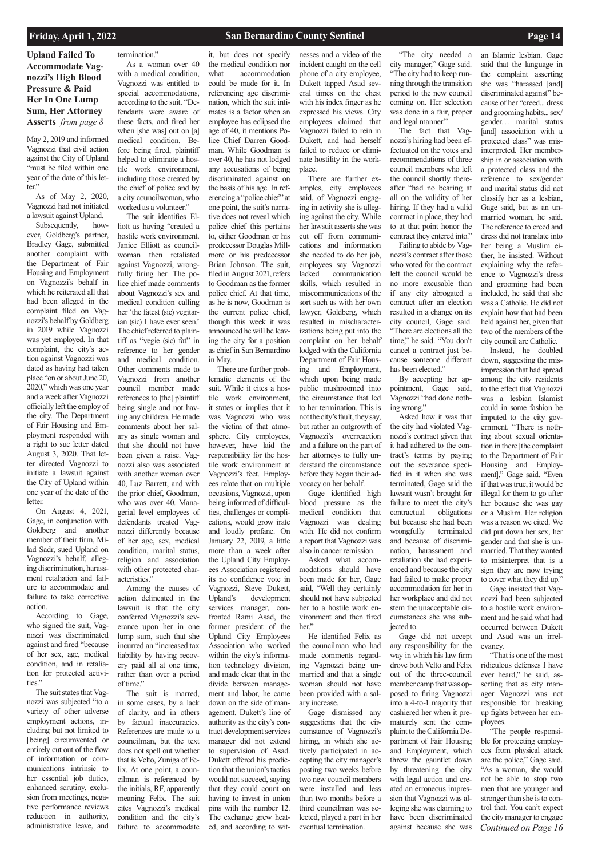## **Upland Failed To Accommodate Vagnozzi's High Blood Pressure & Paid Her In One Lump Sum, Her Attorney Asserts** *from page 8*

May 2, 2019 and informed Vagnozzi that civil action against the City of Upland "must be filed within one year of the date of this letter."

As of May 2, 2020, Vagnozzi had not initiated a lawsuit against Upland.

tion for protected activities."

Subsequently, however, Goldberg's partner, Bradley Gage, submitted another complaint with the Department of Fair Housing and Employment on Vagnozzi's behalf in which he reiterated all that had been alleged in the complaint filed on Vagnozzi's behalf by Goldberg in 2019 while Vagnozzi was yet employed. In that complaint, the city's action against Vagnozzi was dated as having had taken place "on or about June 20, 2020," which was one year and a week after Vagnozzi officially left the employ of the city. The Department of Fair Housing and Employment responded with a right to sue letter dated August 3, 2020. That letter directed Vagnozzi to initiate a lawsuit against the City of Upland within one year of the date of the letter.

On August 4, 2021, Gage, in conjunction with Goldberg and another member of their firm, Milad Sadr, sued Upland on Vagnozzi's behalf, alleging discrimination, harassment retaliation and failure to accommodate and failure to take corrective action.

According to Gage, who signed the suit, Vagnozzi was discriminated against and fired "because of her sex, age, medical condition, and in retalia-

The suit states that Vagnozzi was subjected "to a variety of other adverse employment actions, including but not limited to [being] circumvented or entirely cut out of the flow of information or communications intrinsic to her essential job duties, enhanced scrutiny, exclusion from meetings, negative performance reviews reduction in authority, administrative leave, and

### termination."

As a woman over 40 with a medical condition, Vagnozzi was entitled to special accommodations, according to the suit. "Defendants were aware of these facts, and fired her when [she was] out on [a] medical condition. Before being fired, plaintiff helped to eliminate a hostile work environment, including those created by the chief of police and by a city councilwoman, who worked as a volunteer."

The suit identifies Elliott as having "created a hostile work environment. Janice Elliott as councilwoman then retaliated against Vagnozzi, wrongfully firing her. The police chief made comments about Vagnozzi's sex and medical condition calling her 'the fatest (sic) vegitarian (sic) I have ever seen.' The chief referred to plaintiff as "vegie (sic) fat" in reference to her gender and medical condition. Other comments made to Vagnozzi from another council member made references to [the] plaintiff being single and not having any children. He made comments about her salary as single woman and that she should not have been given a raise. Vagnozzi also was associated with another woman over 40, Luz Barrett, and with the prior chief, Goodman, who was over 40. Managerial level employees of defendants treated Vagnozzi differently because of her age, sex, medical condition, marital status, religion and association with other protected characteristics."

Among the causes of action delineated in the lawsuit is that the city conferred Vagnozzi's severance upon her in one lump sum, such that she incurred an "increased tax liability by having recovery paid all at one time, rather than over a period of time." The suit is marred, in some cases, by a lack of clarity, and in others by factual inaccuracies. References are made to a councilman, but the text does not spell out whether that is Velto, Zuniga of Felix. At one point, a councilman is referenced by the initials, RF, apparently meaning Felix. The suit cites Vagnozzi's medical condition and the city's failure to accommodate

it, but does not specify the medical condition nor what accommodation could be made for it. In referencing age discrimination, which the suit intimates is a factor when an employee has eclipsed the age of 40, it mentions Police Chief Darren Goodman. While Goodman is over 40, he has not lodged any accusations of being discriminated against on the basis of his age. In referencing a "police chief" at one point, the suit's narrative does not reveal which police chief this pertains to, either Goodman or his predecessor Douglas Millmore or his predecessor Brian Johnson. The suit, filed in August 2021, refers to Goodman as the former police chief. At that time, as he is now, Goodman is the current police chief, though this week it was announced he will be leaving the city for a position as chief in San Bernardino in May.

There are further problematic elements of the suit. While it cites a hostile work environment, it states or implies that it was Vagnozzi who was the victim of that atmosphere. City employees, however, have laid the responsibility for the hostile work environment at Vagnozzi's feet. Employees relate that on multiple occasions, Vagnozzi, upon being informed of difficulties, challenges or complications, would grow irate and loudly profane. On January 22, 2019, a little more than a week after the Upland City Employees Association registered its no confidence vote in Vagnozzi, Steve Dukett, Upland's development services manager, confronted Rami Asad, the former president of the Upland City Employees Association who worked within the city's information technology division, and made clear that in the divide between management and labor, he came down on the side of management. Dukett's line of authority as the city's contract development services manager did not extend to supervision of Asad. Dukett offered his prediction that the union's tactics would not succeed, saying that they could count on having to invest in union pins with the number 12. The exchange grew heated, and according to wit-

*Continued on Page 16* "That is one of the most ridiculous defenses I have ever heard," he said, asserting that as city manager Vagnozzi was not responsible for breaking up fights between her employees. "The people responsible for protecting employees from physical attack are the police," Gage said. "As a woman, she would not be able to stop two men that are younger and stronger than she is to control that. You can't expect the city manager to engage

nesses and a video of the incident caught on the cell phone of a city employee, Dukett tapped Asad several times on the chest with his index finger as he expressed his views. City employees claimed that Vagnozzi failed to rein in Dukett, and had herself failed to reduce or eliminate hostility in the workplace.

There are further examples, city employees said, of Vagnozzi engaging in activity she is alleging against the city. While her lawsuit asserts she was cut off from communications and information she needed to do her job, employees say Vagnozzi lacked communication skills, which resulted in miscommunications of the sort such as with her own lawyer, Goldberg, which resulted in mischaracterizations being put into the complaint on her behalf lodged with the California Department of Fair Housing and Employment, which upon being made public mushroomed into the circumstance that led to her termination. This is not the city's fault, they say, but rather an outgrowth of Vagnozzi's overreaction and a failure on the part of her attorneys to fully understand the circumstance before they began their advocacy on her behalf.

Gage identified high blood pressure as the medical condition that Vagnozzi was dealing with. He did not confirm a report that Vagnozzi was also in cancer remission.

Asked what accommodations should have been made for her, Gage said, "Well they certainly should not have subjected her to a hostile work environment and then fired her."

He identified Felix as the councilman who had made comments regarding Vagnozzi being unmarried and that a single woman should not have been provided with a salary increase. Gage dismissed any suggestions that the circumstance of Vagnozzi's hiring, in which she actively participated in accepting the city manager's posting two weeks before two new council members were installed and less than two months before a third councilman was selected, played a part in her eventual termination.

"The city needed a city manager," Gage said. "The city had to keep running through the transition period to the new council coming on. Her selection was done in a fair, proper and legal manner."

The fact that Vagnozzi's hiring had been effectuated on the votes and recommendations of three council members who left the council shortly thereafter "had no bearing at all on the validity of her hiring. If they had a valid contract in place, they had to at that point honor the contract they entered into."

Failing to abide by Vagnozzi's contract after those who voted for the contract left the council would be no more excusable than if any city abrogated a contract after an election resulted in a change on its city council, Gage said. "There are elections all the time," he said. "You don't cancel a contract just because someone different has been elected."

By accepting her appointment, Gage said, Vagnozzi "had done nothing wrong."

Asked how it was that the city had violated Vagnozzi's contract given that it had adhered to the contract's terms by paying out the severance specified in it when she was terminated, Gage said the lawsuit wasn't brought for failure to meet the city's contractual obligations but because she had been wrongfully terminated and because of discrimination, harassment and retaliation she had experienced and because the city had failed to make proper accommodation for her in her workplace and did not stem the unacceptable circumstances she was subjected to.

Gage did not accept any responsibility for the way in which his law firm drove both Velto and Felix

out of the three-council member camp that was opposed to firing Vagnozzi into a 4-to-1 majority that cashiered her when it prematurely sent the complaint to the California Department of Fair Housing and Employment, which threw the gauntlet down by threatening the city with legal action and created an erroneous impression that Vagnozzi was alleging she was claiming to have been discriminated against because she was

an Islamic lesbian. Gage said that the language in the complaint asserting she was "harassed [and] discriminated against" because of her "creed... dress and grooming habits... sex/ gender… marital status [and] association with a protected class" was misinterpreted. Her membership in or association with a protected class and the reference to sex/gender and marital status did not classify her as a lesbian, Gage said, but as an unmarried woman, he said. The reference to creed and dress did not translate into her being a Muslim either, he insisted. Without explaining why the reference to Vagnozzi's dress and grooming had been included, he said that she was a Catholic. He did not explain how that had been held against her, given that two of the members of the city council are Catholic.

Instead, he doubled down, suggesting the misimpression that had spread among the city residents to the effect that Vagnozzi was a lesbian Islamist could in some fashion be imputed to the city government. "There is nothing about sexual orientation in there [the complaint to the Department of Fair Housing and Employment]," Gage said. "Even if that was true, it would be illegal for them to go after her because she was gay or a Muslim. Her religion was a reason we cited. We did put down her sex, her gender and that she is unmarried. That they wanted to misinterpret that is a sign they are now trying to cover what they did up."

Gage insisted that Vagnozzi had been subjected to a hostile work environment and he said what had occurred between Dukett and Asad was an irrelevancy.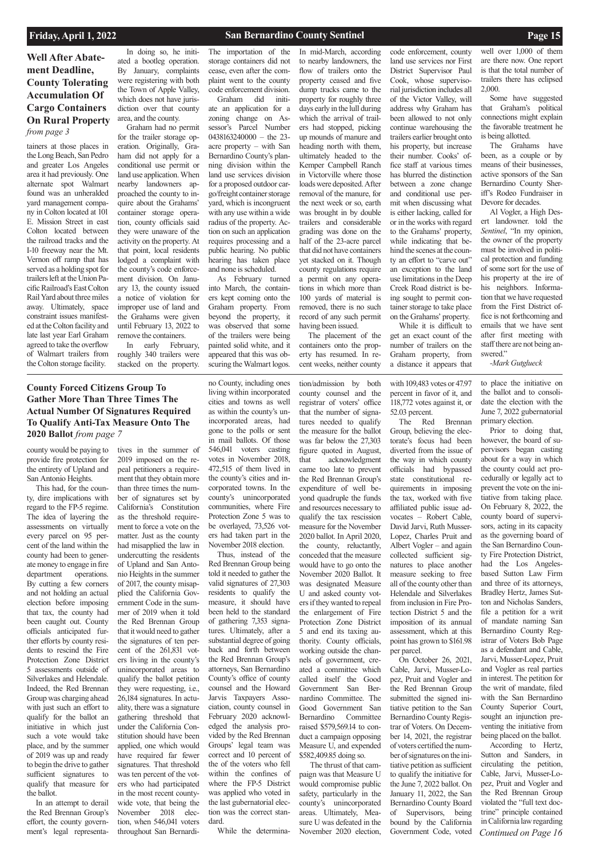## **Well After Abatement Deadline, County Tolerating Accumulation Of Cargo Containers On Rural Property**  *from page 3*

## **County Forced Citizens Group To Gather More Than Three Times The Actual Number Of Signatures Required To Qualify Anti-Tax Measure Onto The 2020 Ballot** *from page 7*

### **Friday, April 1, 2022 San Bernardino County Sentinel Page 15**

tainers at those places in the Long Beach, San Pedro and greater Los Angeles area it had previously. One alternate spot Walmart found was an unheralded yard management company in Colton located at 101 E. Mission Street in east Colton located between the railroad tracks and the I-10 freeway near the Mt. Vernon off ramp that has served as a holding spot for trailers left at the Union Pacific Railroad's East Colton Rail Yard about three miles away. Ultimately, space constraint issues manifested at the Colton facility and late last year Earl Graham agreed to take the overflow of Walmart trailers from the Colton storage facility.

In doing so, he initiated a bootleg operation. By January, complaints were registering with both the Town of Apple Valley, which does not have jurisdiction over that county area, and the county.

Graham had no permit for the trailer storage operation. Originally, Graham did not apply for a conditional use permit or land use application. When nearby landowners approached the county to inquire about the Grahams' container storage operation, county officials said they were unaware of the activity on the property. At that point, local residents lodged a complaint with the county's code enforcement division. On January 13, the county issued a notice of violation for improper use of land and the Grahams were given until February 13, 2022 to remove the containers.

In early February, roughly 340 trailers were stacked on the property.

### The importation of the storage containers did not cease, even after the complaint went to the county code enforcement division.

Graham did initiate an application for a zoning change on Assessor's Parcel Number 0438163240000 – the 23 acre property – with San Bernardino County's planning division within the land use services division for a proposed outdoor cargo/freight container storage yard, which is incongruent with any use within a wide radius of the property. Action on such an application requires processing and a public hearing. No public hearing has taken place and none is scheduled.

As February turned into March, the containers kept coming onto the Graham property. From beyond the property, it was observed that some of the trailers were being painted solid white, and it appeared that this was obscuring the Walmart logos.

In mid-March, according to nearby landowners, the flow of trailers onto the property ceased and five dump trucks came to the property for roughly three days early in the lull during which the arrival of trailers had stopped, picking up mounds of manure and heading north with them, ultimately headed to the Kemper Campbell Ranch in Victorville where those loads were deposited. After removal of the manure, for the next week or so, earth was brought in by double trailers and considerable grading was done on the half of the 23-acre parcel that did not have containers yet stacked on it. Though county regulations require a permit on any operations in which more than 100 yards of material is removed, there is no such record of any such permit

having been issued. The placement of the containers onto the property has resumed. In recent weeks, neither county

code enforcement, county land use services nor First District Supervisor Paul Cook, whose supervisorial jurisdiction includes all of the Victor Valley, will address why Graham has been allowed to not only continue warehousing the trailers earlier brought onto his property, but increase their number. Cooks' office staff at various times has blurred the distinction between a zone change and conditional use permit when discussing what is either lacking, called for or in the works with regard to the Grahams' property, while indicating that behind the scenes at the county an effort to "carve out" an exception to the land use limitations in the Deep Creek Road district is being sought to permit container storage to take place on the Grahams' property. While it is difficult to get an exact count of the

number of trailers on the Graham property, from a distance it appears that

well over 1,000 of them are there now. One report is that the total number of trailers there has eclipsed 2,000.

Some have suggested that Graham's political connections might explain the favorable treatment he is being allotted.

The Grahams have been, as a couple or by means of their businesses, active sponsors of the San Bernardino County Sheriff's Rodeo Fundraiser in Devore for decades.

Al Vogler, a High Desert landowner. told the *Sentinel*, "In my opinion, the owner of the property must be involved in political protection and funding of some sort for the use of his property at the ire of his neighbors. Information that we have requested from the First District office is not forthcoming and emails that we have sent after first meeting with staff there are not being answered."

*-Mark Gutglueck*

county would be paying to provide fire protection for the entirety of Upland and San Antonio Heights.

This had, for the county, dire implications with regard to the FP-5 regime. The idea of layering the assessments on virtually every parcel on 95 percent of the land within the county had been to generate money to engage in fire department operations. By cutting a few corners and not holding an actual election before imposing that tax, the county had been caught out. County officials anticipated further efforts by county residents to rescind the Fire Protection Zone District 5 assessments outside of Silverlakes and Helendale. Indeed, the Red Brennan Group was charging ahead with just such an effort to qualify for the ballot an initiative in which just such a vote would take place, and by the summer of 2019 was up and ready to begin the drive to gather sufficient signatures to qualify that measure for the ballot. In an attempt to derail the Red Brennan Group's effort, the county government's legal representa*Continued on Page 16* Prior to doing that, however, the board of supervisors began casting about for a way in which the county could act procedurally or legally act to prevent the vote on the initiative from taking place. On February 8, 2022, the county board of supervisors, acting in its capacity as the governing board of the San Bernardino County Fire Protection District, had the Los Angelesbased Sutton Law Firm and three of its attorneys, Bradley Hertz, James Sutton and Nicholas Sanders, file a petition for a writ of mandate naming San Bernardino County Registrar of Voters Bob Page as a defendant and Cable, Jarvi, Musser-Lopez, Pruit and Vogler as real parties in interest. The petition for the writ of mandate, filed with the San Bernardino County Superior Court, sought an injunction preventing the initiative from being placed on the ballot. According to Hertz, Sutton and Sanders, in circulating the petition, Cable, Jarvi, Musser-Lopez, Pruit and Vogler and the Red Brennan Group violated the "full text doctrine" principle contained in California law regarding

tives in the summer of 2019 imposed on the repeal petitioners a requirement that they obtain more than three times the number of signatures set by California's Constitution as the threshold requirement to force a vote on the matter. Just as the county had misapplied the law in undercutting the residents of Upland and San Antonio Heights in the summer of 2017, the county misapplied the California Government Code in the summer of 2019 when it told the Red Brennan Group that it would need to gather the signatures of ten percent of the 261,831 voters living in the county's unincorporated areas to qualify the ballot petition they were requesting, i.e., 26,184 signatures. In actuality, there was a signature gathering threshold that under the California Constitution should have been applied, one which would have required far fewer signatures. That threshold was ten percent of the voters who had participated in the most recent countywide vote, that being the November 2018 election, when 546,041 voters throughout San Bernardi-

no County, including ones living within incorporated cities and towns as well as within the county's unincorporated areas, had gone to the polls or sent in mail ballots. Of those 546,041 voters casting votes in November 2018, 472,515 of them lived in the county's cities and incorporated towns. In the county's unincorporated communities, where Fire Protection Zone 5 was to be overlayed, 73,526 voters had taken part in the November 2018 election.

Thus, instead of the Red Brennan Group being told it needed to gather the valid signatures of 27,303 residents to qualify the measure, it should have been held to the standard of gathering 7,353 signatures. Ultimately, after a substantial degree of going back and forth between the Red Brennan Group's attorneys, San Bernardino

County's office of county counsel and the Howard Jarvis Taxpayers Association, county counsel in February 2020 acknowledged the analysis provided by the Red Brennan Groups' legal team was correct and 10 percent of the of the voters who fell within the confines of where the FP-5 District was applied who voted in the last gubernatorial election was the correct standard.

While the determina-

tion/admission by both

county counsel and the registrar of voters' office that the number of signatures needed to qualify the measure for the ballot was far below the 27,303 figure quoted in August, that acknowledgment came too late to prevent the Red Brennan Group's expenditure of well beyond quadruple the funds and resources necessary to qualify the tax rescission measure for the November 2020 ballot. In April 2020, the county, reluctantly, conceded that the measure would have to go onto the November 2020 Ballot. It was designated Measure U and asked county voters if they wanted to repeal the enlargement of Fire Protection Zone District 5 and end its taxing authority. County officials, working outside the channels of government, cre-

ated a committee which called itself the Good Government San Bernardino Committee. The Good Government San Bernardino Committee raised \$579,569.14 to conduct a campaign opposing Measure U, and expended \$582,409.85 doing so.

 The thrust of that campaign was that Measure U would compromise public safety, particularly in the county's unincorporated areas. Ultimately, Measure U was defeated in the November 2020 election,

with 109,483 votes or 47.97 percent in favor of it, and 118,772 votes against it, or 52.03 percent.

The Red Brennan Group, believing the electorate's focus had been diverted from the issue of the way in which county officials had bypassed state constitutional requirements in imposing the tax, worked with five affiliated public issue advocates – Robert Cable, David Jarvi, Ruth Musser-Lopez, Charles Pruit and Albert Vogler – and again collected sufficient signatures to place another measure seeking to free all of the county other than Helendale and Silverlakes from inclusion in Fire Protection District 5 and the imposition of its annual assessment, which at this point has grown to \$161.98 per parcel.

On October 26, 2021, able, Jarvi, Musser-Lopez, Pruit and Vogler and the Red Brennan Group submitted the signed initiative petition to the San Bernardino County Registrar of Voters. On December 14, 2021, the registrar of voters certified the number of signatures on the initiative petition as sufficient to qualify the initiative for the June 7, 2022 ballot. On January 11, 2022, the San Bernardino County Board of Supervisors, being bound by the California Government Code, voted

to place the initiative on the ballot and to consolidate the election with the June 7, 2022 gubernatorial primary election.